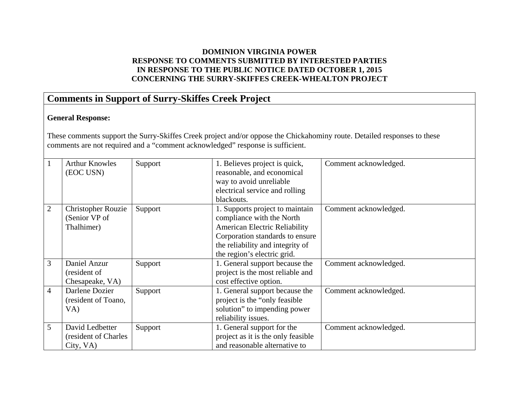### **DOMINION VIRGINIA POWER RESPONSE TO COMMENTS SUBMITTED BY INTERESTED PARTIES IN RESPONSE TO THE PUBLIC NOTICE DATED OCTOBER 1, 2015 CONCERNING THE SURRY-SKIFFES CREEK-WHEALTON PROJECT**

**US Army Corps of Engineers Norfolk District Regulatory Office Received by: RLS Date: Jan 29, 2016** 

## **Comments in Support of Surry-Skiffes Creek Project**

#### **General Response:**

These comments support the Surry-Skiffes Creek project and/or oppose the Chickahominy route. Detailed responses to these comments are not required and a "comment acknowledged" response is sufficient.

| <b>Arthur Knowles</b>     | Support | 1. Believes project is quick,        | Comment acknowledged.                                          |
|---------------------------|---------|--------------------------------------|----------------------------------------------------------------|
| (EOC USN)                 |         |                                      |                                                                |
|                           |         | way to avoid unreliable              |                                                                |
|                           |         | electrical service and rolling       |                                                                |
|                           |         | blackouts.                           |                                                                |
| <b>Christopher Rouzie</b> | Support | 1. Supports project to maintain      | Comment acknowledged.                                          |
| (Senior VP of             |         | compliance with the North            |                                                                |
| Thalhimer)                |         | <b>American Electric Reliability</b> |                                                                |
|                           |         | Corporation standards to ensure      |                                                                |
|                           |         |                                      |                                                                |
|                           |         | the region's electric grid.          |                                                                |
| Daniel Anzur              | Support | 1. General support because the       | Comment acknowledged.                                          |
| (resident of              |         | project is the most reliable and     |                                                                |
| Chesapeake, VA)           |         | cost effective option.               |                                                                |
| Darlene Dozier            | Support | 1. General support because the       | Comment acknowledged.                                          |
| (resident of Toano,       |         | project is the "only feasible"       |                                                                |
| VA)                       |         | solution" to impending power         |                                                                |
|                           |         | reliability issues.                  |                                                                |
| David Ledbetter           | Support | 1. General support for the           | Comment acknowledged.                                          |
| (resident of Charles)     |         | project as it is the only feasible   |                                                                |
| City, VA)                 |         | and reasonable alternative to        |                                                                |
|                           |         |                                      | reasonable, and economical<br>the reliability and integrity of |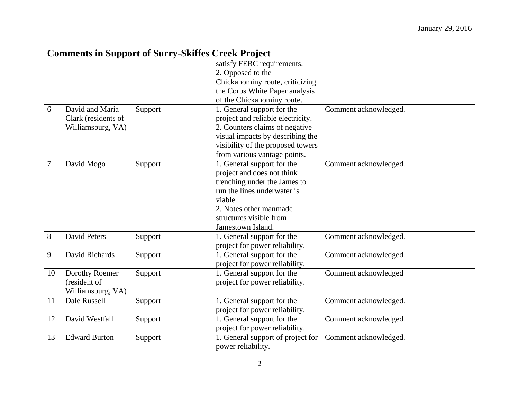|                  | <b>Comments in Support of Surry-Skiffes Creek Project</b> |         |                                   |                       |
|------------------|-----------------------------------------------------------|---------|-----------------------------------|-----------------------|
|                  |                                                           |         | satisfy FERC requirements.        |                       |
|                  |                                                           |         | 2. Opposed to the                 |                       |
|                  |                                                           |         | Chickahominy route, criticizing   |                       |
|                  |                                                           |         | the Corps White Paper analysis    |                       |
|                  |                                                           |         | of the Chickahominy route.        |                       |
| 6                | David and Maria                                           | Support | 1. General support for the        | Comment acknowledged. |
|                  | Clark (residents of                                       |         | project and reliable electricity. |                       |
|                  | Williamsburg, VA)                                         |         | 2. Counters claims of negative    |                       |
|                  |                                                           |         | visual impacts by describing the  |                       |
|                  |                                                           |         | visibility of the proposed towers |                       |
|                  |                                                           |         | from various vantage points.      |                       |
| $\boldsymbol{7}$ | David Mogo                                                | Support | 1. General support for the        | Comment acknowledged. |
|                  |                                                           |         | project and does not think        |                       |
|                  |                                                           |         | trenching under the James to      |                       |
|                  |                                                           |         | run the lines underwater is       |                       |
|                  |                                                           |         | viable.                           |                       |
|                  |                                                           |         | 2. Notes other manmade            |                       |
|                  |                                                           |         | structures visible from           |                       |
|                  |                                                           |         | Jamestown Island.                 |                       |
| 8                | <b>David Peters</b>                                       | Support | 1. General support for the        | Comment acknowledged. |
|                  |                                                           |         | project for power reliability.    |                       |
| 9                | David Richards                                            | Support | 1. General support for the        | Comment acknowledged. |
|                  |                                                           |         | project for power reliability.    |                       |
| 10               | Dorothy Roemer                                            | Support | 1. General support for the        | Comment acknowledged  |
|                  | (resident of                                              |         | project for power reliability.    |                       |
|                  | Williamsburg, VA)                                         |         |                                   |                       |
| 11               | Dale Russell                                              | Support | 1. General support for the        | Comment acknowledged. |
|                  |                                                           |         | project for power reliability.    |                       |
| 12               | David Westfall                                            | Support | 1. General support for the        | Comment acknowledged. |
|                  |                                                           |         | project for power reliability.    |                       |
| 13               | <b>Edward Burton</b>                                      | Support | 1. General support of project for | Comment acknowledged. |
|                  |                                                           |         | power reliability.                |                       |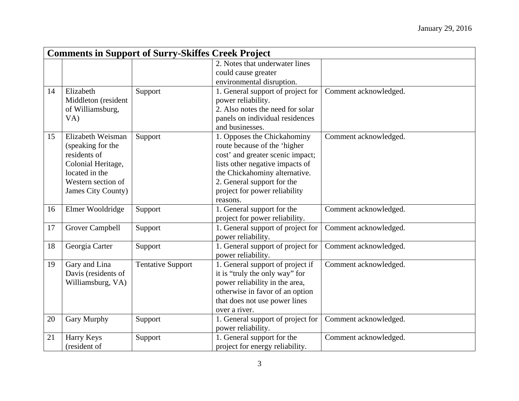|    |                                                                                                                                            | <b>Comments in Support of Surry-Skiffes Creek Project</b> |                                                                                                                                                                                                                                                |                       |
|----|--------------------------------------------------------------------------------------------------------------------------------------------|-----------------------------------------------------------|------------------------------------------------------------------------------------------------------------------------------------------------------------------------------------------------------------------------------------------------|-----------------------|
|    |                                                                                                                                            |                                                           | 2. Notes that underwater lines                                                                                                                                                                                                                 |                       |
|    |                                                                                                                                            |                                                           | could cause greater<br>environmental disruption.                                                                                                                                                                                               |                       |
| 14 | Elizabeth<br>Middleton (resident<br>of Williamsburg,<br>VA)                                                                                | Support                                                   | 1. General support of project for<br>power reliability.<br>2. Also notes the need for solar<br>panels on individual residences<br>and businesses.                                                                                              | Comment acknowledged. |
| 15 | Elizabeth Weisman<br>(speaking for the<br>residents of<br>Colonial Heritage,<br>located in the<br>Western section of<br>James City County) | Support                                                   | 1. Opposes the Chickahominy<br>route because of the 'higher<br>cost' and greater scenic impact;<br>lists other negative impacts of<br>the Chickahominy alternative.<br>2. General support for the<br>project for power reliability<br>reasons. | Comment acknowledged. |
| 16 | Elmer Wooldridge                                                                                                                           | Support                                                   | 1. General support for the<br>project for power reliability.                                                                                                                                                                                   | Comment acknowledged. |
| 17 | Grover Campbell                                                                                                                            | Support                                                   | 1. General support of project for<br>power reliability.                                                                                                                                                                                        | Comment acknowledged. |
| 18 | Georgia Carter                                                                                                                             | Support                                                   | 1. General support of project for<br>power reliability.                                                                                                                                                                                        | Comment acknowledged. |
| 19 | Gary and Lina<br>Davis (residents of<br>Williamsburg, VA)                                                                                  | <b>Tentative Support</b>                                  | 1. General support of project if<br>it is "truly the only way" for<br>power reliability in the area,<br>otherwise in favor of an option<br>that does not use power lines<br>over a river.                                                      | Comment acknowledged. |
| 20 | <b>Gary Murphy</b>                                                                                                                         | Support                                                   | 1. General support of project for<br>power reliability.                                                                                                                                                                                        | Comment acknowledged. |
| 21 | Harry Keys<br>(resident of                                                                                                                 | Support                                                   | 1. General support for the<br>project for energy reliability.                                                                                                                                                                                  | Comment acknowledged. |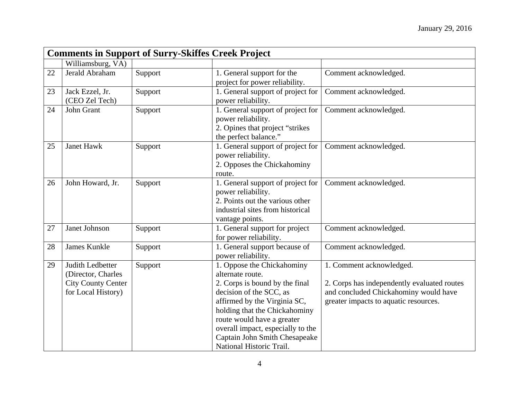|    |                                                                                           |         | <b>Comments in Support of Surry-Skiffes Creek Project</b>                                                                                                                                                                                                                                                    |                                                                                                                                                           |  |  |
|----|-------------------------------------------------------------------------------------------|---------|--------------------------------------------------------------------------------------------------------------------------------------------------------------------------------------------------------------------------------------------------------------------------------------------------------------|-----------------------------------------------------------------------------------------------------------------------------------------------------------|--|--|
|    | Williamsburg, VA)                                                                         |         |                                                                                                                                                                                                                                                                                                              |                                                                                                                                                           |  |  |
| 22 | Jerald Abraham                                                                            | Support | 1. General support for the<br>project for power reliability.                                                                                                                                                                                                                                                 | Comment acknowledged.                                                                                                                                     |  |  |
| 23 | Jack Ezzel, Jr.<br>(CEO Zel Tech)                                                         | Support | 1. General support of project for<br>power reliability.                                                                                                                                                                                                                                                      | Comment acknowledged.                                                                                                                                     |  |  |
| 24 | John Grant                                                                                | Support | 1. General support of project for<br>power reliability.<br>2. Opines that project "strikes"<br>the perfect balance."                                                                                                                                                                                         | Comment acknowledged.                                                                                                                                     |  |  |
| 25 | <b>Janet Hawk</b>                                                                         | Support | 1. General support of project for<br>power reliability.<br>2. Opposes the Chickahominy<br>route.                                                                                                                                                                                                             | Comment acknowledged.                                                                                                                                     |  |  |
| 26 | John Howard, Jr.                                                                          | Support | 1. General support of project for<br>power reliability.<br>2. Points out the various other<br>industrial sites from historical<br>vantage points.                                                                                                                                                            | Comment acknowledged.                                                                                                                                     |  |  |
| 27 | Janet Johnson                                                                             | Support | 1. General support for project<br>for power reliability.                                                                                                                                                                                                                                                     | Comment acknowledged.                                                                                                                                     |  |  |
| 28 | James Kunkle                                                                              | Support | 1. General support because of<br>power reliability.                                                                                                                                                                                                                                                          | Comment acknowledged.                                                                                                                                     |  |  |
| 29 | Judith Ledbetter<br>(Director, Charles<br><b>City County Center</b><br>for Local History) | Support | 1. Oppose the Chickahominy<br>alternate route.<br>2. Corps is bound by the final<br>decision of the SCC, as<br>affirmed by the Virginia SC,<br>holding that the Chickahominy<br>route would have a greater<br>overall impact, especially to the<br>Captain John Smith Chesapeake<br>National Historic Trail. | 1. Comment acknowledged.<br>2. Corps has independently evaluated routes<br>and concluded Chickahominy would have<br>greater impacts to aquatic resources. |  |  |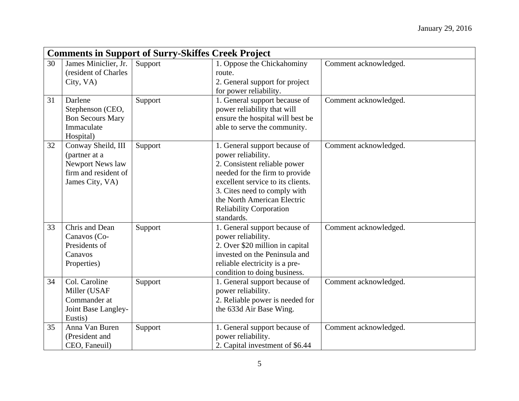|    |                                                                                                    | <b>Comments in Support of Surry-Skiffes Creek Project</b> |                                                                                                                                                                                                                                                                           |                       |
|----|----------------------------------------------------------------------------------------------------|-----------------------------------------------------------|---------------------------------------------------------------------------------------------------------------------------------------------------------------------------------------------------------------------------------------------------------------------------|-----------------------|
| 30 | James Miniclier, Jr.<br>(resident of Charles<br>City, VA)                                          | Support                                                   | 1. Oppose the Chickahominy<br>route.<br>2. General support for project<br>for power reliability.                                                                                                                                                                          | Comment acknowledged. |
| 31 | Darlene<br>Stephenson (CEO,<br><b>Bon Secours Mary</b><br>Immaculate<br>Hospital)                  | Support                                                   | 1. General support because of<br>power reliability that will<br>ensure the hospital will best be<br>able to serve the community.                                                                                                                                          | Comment acknowledged. |
| 32 | Conway Sheild, III<br>(partner at a<br>Newport News law<br>firm and resident of<br>James City, VA) | Support                                                   | 1. General support because of<br>power reliability.<br>2. Consistent reliable power<br>needed for the firm to provide<br>excellent service to its clients.<br>3. Cites need to comply with<br>the North American Electric<br><b>Reliability Corporation</b><br>standards. | Comment acknowledged. |
| 33 | Chris and Dean<br>Canavos (Co-<br>Presidents of<br>Canavos<br>Properties)                          | Support                                                   | 1. General support because of<br>power reliability.<br>2. Over \$20 million in capital<br>invested on the Peninsula and<br>reliable electricity is a pre-<br>condition to doing business.                                                                                 | Comment acknowledged. |
| 34 | Col. Caroline<br>Miller (USAF<br>Commander at<br>Joint Base Langley-<br>Eustis)                    | Support                                                   | 1. General support because of<br>power reliability.<br>2. Reliable power is needed for<br>the 633d Air Base Wing.                                                                                                                                                         | Comment acknowledged. |
| 35 | Anna Van Buren<br>(President and<br>CEO, Faneuil)                                                  | Support                                                   | 1. General support because of<br>power reliability.<br>2. Capital investment of \$6.44                                                                                                                                                                                    | Comment acknowledged. |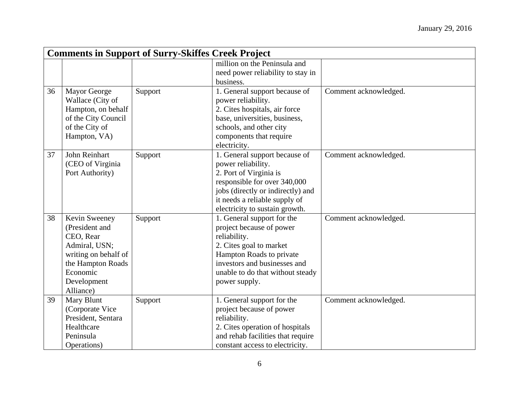|    |                      | <b>Comments in Support of Surry-Skiffes Creek Project</b> |                                   |                       |
|----|----------------------|-----------------------------------------------------------|-----------------------------------|-----------------------|
|    |                      |                                                           | million on the Peninsula and      |                       |
|    |                      |                                                           | need power reliability to stay in |                       |
|    |                      |                                                           | business.                         |                       |
| 36 | <b>Mayor George</b>  | Support                                                   | 1. General support because of     | Comment acknowledged. |
|    | Wallace (City of     |                                                           | power reliability.                |                       |
|    | Hampton, on behalf   |                                                           | 2. Cites hospitals, air force     |                       |
|    | of the City Council  |                                                           | base, universities, business,     |                       |
|    | of the City of       |                                                           | schools, and other city           |                       |
|    | Hampton, VA)         |                                                           | components that require           |                       |
|    |                      |                                                           | electricity.                      |                       |
| 37 | John Reinhart        | Support                                                   | 1. General support because of     | Comment acknowledged. |
|    | (CEO of Virginia     |                                                           | power reliability.                |                       |
|    | Port Authority)      |                                                           | 2. Port of Virginia is            |                       |
|    |                      |                                                           | responsible for over 340,000      |                       |
|    |                      |                                                           | jobs (directly or indirectly) and |                       |
|    |                      |                                                           | it needs a reliable supply of     |                       |
|    |                      |                                                           | electricity to sustain growth.    |                       |
| 38 | Kevin Sweeney        | Support                                                   | 1. General support for the        | Comment acknowledged. |
|    | (President and       |                                                           | project because of power          |                       |
|    | CEO, Rear            |                                                           | reliability.                      |                       |
|    | Admiral, USN;        |                                                           | 2. Cites goal to market           |                       |
|    | writing on behalf of |                                                           | Hampton Roads to private          |                       |
|    | the Hampton Roads    |                                                           | investors and businesses and      |                       |
|    | Economic             |                                                           | unable to do that without steady  |                       |
|    | Development          |                                                           | power supply.                     |                       |
|    | Alliance)            |                                                           |                                   |                       |
| 39 | Mary Blunt           | Support                                                   | 1. General support for the        | Comment acknowledged. |
|    | (Corporate Vice      |                                                           | project because of power          |                       |
|    | President, Sentara   |                                                           | reliability.                      |                       |
|    | Healthcare           |                                                           | 2. Cites operation of hospitals   |                       |
|    | Peninsula            |                                                           | and rehab facilities that require |                       |
|    | Operations)          |                                                           | constant access to electricity.   |                       |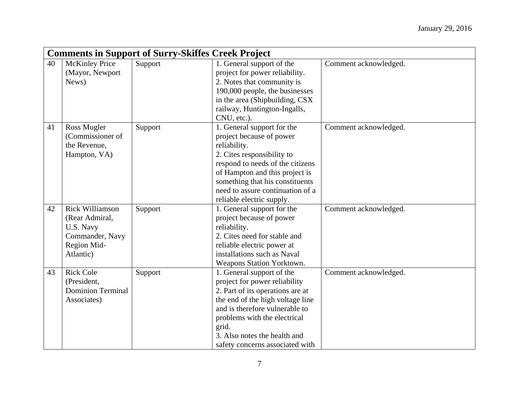|    | <b>Comments in Support of Surry-Skiffes Creek Project</b> |         |                                  |                       |  |
|----|-----------------------------------------------------------|---------|----------------------------------|-----------------------|--|
| 40 | <b>McKinley Price</b>                                     | Support | 1. General support of the        | Comment acknowledged. |  |
|    | (Mayor, Newport                                           |         | project for power reliability.   |                       |  |
|    | News)                                                     |         | 2. Notes that community is       |                       |  |
|    |                                                           |         | 190,000 people, the businesses   |                       |  |
|    |                                                           |         | in the area (Shipbuilding, CSX   |                       |  |
|    |                                                           |         | railway, Huntington-Ingalls,     |                       |  |
|    |                                                           |         | CNU, etc.).                      |                       |  |
| 41 | Ross Mugler                                               | Support | 1. General support for the       | Comment acknowledged. |  |
|    | (Commissioner of                                          |         | project because of power         |                       |  |
|    | the Revenue,                                              |         | reliability.                     |                       |  |
|    | Hampton, VA)                                              |         | 2. Cites responsibility to       |                       |  |
|    |                                                           |         | respond to needs of the citizens |                       |  |
|    |                                                           |         | of Hampton and this project is   |                       |  |
|    |                                                           |         | something that his constituents  |                       |  |
|    |                                                           |         | need to assure continuation of a |                       |  |
|    |                                                           |         | reliable electric supply.        |                       |  |
| 42 | <b>Rick Williamson</b>                                    | Support | 1. General support for the       | Comment acknowledged. |  |
|    | (Rear Admiral,                                            |         | project because of power         |                       |  |
|    | U.S. Navy                                                 |         | reliability.                     |                       |  |
|    | Commander, Navy                                           |         | 2. Cites need for stable and     |                       |  |
|    | Region Mid-                                               |         | reliable electric power at       |                       |  |
|    | Atlantic)                                                 |         | installations such as Naval      |                       |  |
|    |                                                           |         | Weapons Station Yorktown.        |                       |  |
| 43 | <b>Rick Cole</b>                                          | Support | 1. General support of the        | Comment acknowledged. |  |
|    | (President,                                               |         | project for power reliability    |                       |  |
|    | <b>Dominion Terminal</b>                                  |         | 2. Part of its operations are at |                       |  |
|    | Associates)                                               |         | the end of the high voltage line |                       |  |
|    |                                                           |         | and is therefore vulnerable to   |                       |  |
|    |                                                           |         | problems with the electrical     |                       |  |
|    |                                                           |         | grid.                            |                       |  |
|    |                                                           |         | 3. Also notes the health and     |                       |  |
|    |                                                           |         | safety concerns associated with  |                       |  |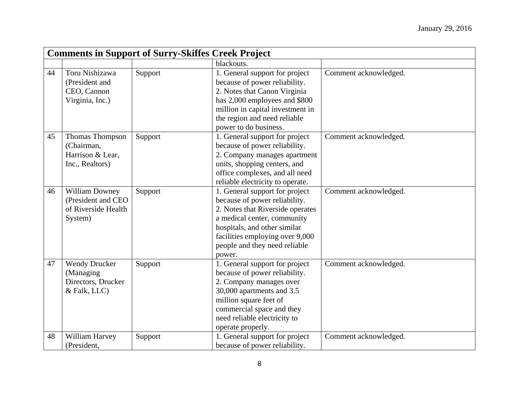|    | <b>Comments in Support of Surry-Skiffes Creek Project</b>               |         |                                                                                                                                                                                                                                                  |                       |
|----|-------------------------------------------------------------------------|---------|--------------------------------------------------------------------------------------------------------------------------------------------------------------------------------------------------------------------------------------------------|-----------------------|
|    |                                                                         |         | blackouts.                                                                                                                                                                                                                                       |                       |
| 44 | Toru Nishizawa<br>(President and<br>CEO, Cannon<br>Virginia, Inc.)      | Support | 1. General support for project<br>because of power reliability.<br>2. Notes that Canon Virginia<br>has 2,000 employees and \$800<br>million in capital investment in<br>the region and need reliable<br>power to do business.                    | Comment acknowledged. |
| 45 | Thomas Thompson<br>(Chairman,<br>Harrison & Lear,<br>Inc., Realtors)    | Support | 1. General support for project<br>because of power reliability.<br>2. Company manages apartment<br>units, shopping centers, and<br>office complexes, and all need<br>reliable electricity to operate.                                            | Comment acknowledged. |
| 46 | William Downey<br>(President and CEO<br>of Riverside Health<br>System)  | Support | 1. General support for project<br>because of power reliability.<br>2. Notes that Riverside operates<br>a medical center, community<br>hospitals, and other similar<br>facilities employing over 9,000<br>people and they need reliable<br>power. | Comment acknowledged. |
| 47 | <b>Wendy Drucker</b><br>(Managing<br>Directors, Drucker<br>& Falk, LLC) | Support | 1. General support for project<br>because of power reliability.<br>2. Company manages over<br>30,000 apartments and 3.5<br>million square feet of<br>commercial space and they<br>need reliable electricity to<br>operate properly.              | Comment acknowledged. |
| 48 | William Harvey<br>(President,                                           | Support | 1. General support for project<br>because of power reliability.                                                                                                                                                                                  | Comment acknowledged. |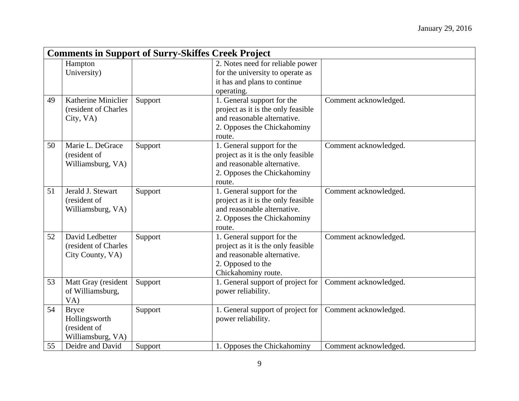|    |                                                                    | <b>Comments in Support of Surry-Skiffes Creek Project</b> |                                                                                                                                             |                       |
|----|--------------------------------------------------------------------|-----------------------------------------------------------|---------------------------------------------------------------------------------------------------------------------------------------------|-----------------------|
|    | Hampton                                                            |                                                           | 2. Notes need for reliable power                                                                                                            |                       |
|    | University)                                                        |                                                           | for the university to operate as                                                                                                            |                       |
|    |                                                                    |                                                           | it has and plans to continue                                                                                                                |                       |
|    |                                                                    |                                                           | operating.                                                                                                                                  |                       |
| 49 | Katherine Miniclier<br>(resident of Charles<br>City, VA)           | Support                                                   | 1. General support for the<br>project as it is the only feasible<br>and reasonable alternative.<br>2. Opposes the Chickahominy<br>route.    | Comment acknowledged. |
| 50 | Marie L. DeGrace<br>(resident of<br>Williamsburg, VA)              | Support                                                   | 1. General support for the<br>project as it is the only feasible<br>and reasonable alternative.<br>2. Opposes the Chickahominy<br>route.    | Comment acknowledged. |
| 51 | Jerald J. Stewart<br>(resident of<br>Williamsburg, VA)             | Support                                                   | 1. General support for the<br>project as it is the only feasible<br>and reasonable alternative.<br>2. Opposes the Chickahominy<br>route.    | Comment acknowledged. |
| 52 | David Ledbetter<br>(resident of Charles<br>City County, VA)        | Support                                                   | 1. General support for the<br>project as it is the only feasible<br>and reasonable alternative.<br>2. Opposed to the<br>Chickahominy route. | Comment acknowledged. |
| 53 | Matt Gray (resident<br>of Williamsburg,<br>VA)                     | Support                                                   | 1. General support of project for<br>power reliability.                                                                                     | Comment acknowledged. |
| 54 | <b>Bryce</b><br>Hollingsworth<br>(resident of<br>Williamsburg, VA) | Support                                                   | 1. General support of project for<br>power reliability.                                                                                     | Comment acknowledged. |
| 55 | Deidre and David                                                   | Support                                                   | 1. Opposes the Chickahominy                                                                                                                 | Comment acknowledged. |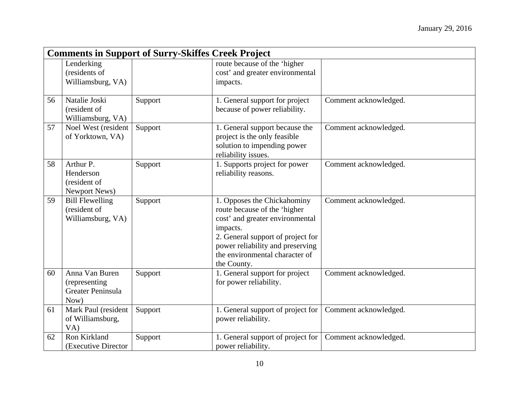|    |                                                              | <b>Comments in Support of Surry-Skiffes Creek Project</b> |                                                                                                                                                                                                                                      |                       |
|----|--------------------------------------------------------------|-----------------------------------------------------------|--------------------------------------------------------------------------------------------------------------------------------------------------------------------------------------------------------------------------------------|-----------------------|
|    | Lenderking<br>(residents of<br>Williamsburg, VA)             |                                                           | route because of the 'higher<br>cost' and greater environmental<br>impacts.                                                                                                                                                          |                       |
| 56 | Natalie Joski<br>(resident of<br>Williamsburg, VA)           | Support                                                   | 1. General support for project<br>because of power reliability.                                                                                                                                                                      | Comment acknowledged. |
| 57 | Noel West (resident<br>of Yorktown, VA)                      | Support                                                   | 1. General support because the<br>project is the only feasible<br>solution to impending power<br>reliability issues.                                                                                                                 | Comment acknowledged. |
| 58 | Arthur P.<br>Henderson<br>(resident of<br>Newport News)      | Support                                                   | 1. Supports project for power<br>reliability reasons.                                                                                                                                                                                | Comment acknowledged. |
| 59 | <b>Bill Flewelling</b><br>(resident of<br>Williamsburg, VA)  | Support                                                   | 1. Opposes the Chickahominy<br>route because of the 'higher<br>cost' and greater environmental<br>impacts.<br>2. General support of project for<br>power reliability and preserving<br>the environmental character of<br>the County. | Comment acknowledged. |
| 60 | Anna Van Buren<br>(representing<br>Greater Peninsula<br>Now) | Support                                                   | 1. General support for project<br>for power reliability.                                                                                                                                                                             | Comment acknowledged. |
| 61 | Mark Paul (resident<br>of Williamsburg,<br>VA)               | Support                                                   | 1. General support of project for<br>power reliability.                                                                                                                                                                              | Comment acknowledged. |
| 62 | Ron Kirkland<br>(Executive Director)                         | Support                                                   | 1. General support of project for<br>power reliability.                                                                                                                                                                              | Comment acknowledged. |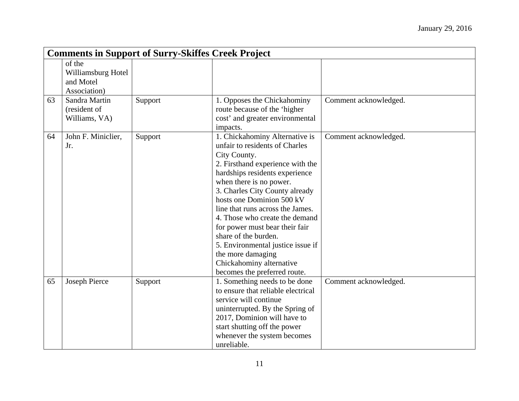|    | <b>Comments in Support of Surry-Skiffes Creek Project</b> |         |                                                                                                                                                                                                                                                                                                                                                                                                                                                                                                        |                       |
|----|-----------------------------------------------------------|---------|--------------------------------------------------------------------------------------------------------------------------------------------------------------------------------------------------------------------------------------------------------------------------------------------------------------------------------------------------------------------------------------------------------------------------------------------------------------------------------------------------------|-----------------------|
|    | of the<br>Williamsburg Hotel<br>and Motel<br>Association) |         |                                                                                                                                                                                                                                                                                                                                                                                                                                                                                                        |                       |
| 63 | Sandra Martin<br>(resident of<br>Williams, VA)            | Support | 1. Opposes the Chickahominy<br>route because of the 'higher<br>cost' and greater environmental<br>impacts.                                                                                                                                                                                                                                                                                                                                                                                             | Comment acknowledged. |
| 64 | John F. Miniclier,<br>Jr.                                 | Support | 1. Chickahominy Alternative is<br>unfair to residents of Charles<br>City County.<br>2. Firsthand experience with the<br>hardships residents experience<br>when there is no power.<br>3. Charles City County already<br>hosts one Dominion 500 kV<br>line that runs across the James.<br>4. Those who create the demand<br>for power must bear their fair<br>share of the burden.<br>5. Environmental justice issue if<br>the more damaging<br>Chickahominy alternative<br>becomes the preferred route. | Comment acknowledged. |
| 65 | Joseph Pierce                                             | Support | 1. Something needs to be done<br>to ensure that reliable electrical<br>service will continue<br>uninterrupted. By the Spring of<br>2017, Dominion will have to<br>start shutting off the power<br>whenever the system becomes<br>unreliable.                                                                                                                                                                                                                                                           | Comment acknowledged. |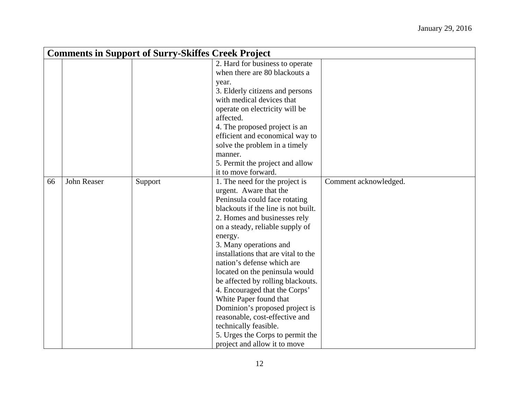|    | <b>Comments in Support of Surry-Skiffes Creek Project</b> |         |                                     |                       |
|----|-----------------------------------------------------------|---------|-------------------------------------|-----------------------|
|    |                                                           |         | 2. Hard for business to operate     |                       |
|    |                                                           |         | when there are 80 blackouts a       |                       |
|    |                                                           |         | year.                               |                       |
|    |                                                           |         | 3. Elderly citizens and persons     |                       |
|    |                                                           |         | with medical devices that           |                       |
|    |                                                           |         | operate on electricity will be      |                       |
|    |                                                           |         | affected.                           |                       |
|    |                                                           |         | 4. The proposed project is an       |                       |
|    |                                                           |         | efficient and economical way to     |                       |
|    |                                                           |         | solve the problem in a timely       |                       |
|    |                                                           |         | manner.                             |                       |
|    |                                                           |         | 5. Permit the project and allow     |                       |
|    |                                                           |         | it to move forward.                 |                       |
| 66 | John Reaser                                               | Support | 1. The need for the project is      | Comment acknowledged. |
|    |                                                           |         | urgent. Aware that the              |                       |
|    |                                                           |         | Peninsula could face rotating       |                       |
|    |                                                           |         | blackouts if the line is not built. |                       |
|    |                                                           |         | 2. Homes and businesses rely        |                       |
|    |                                                           |         | on a steady, reliable supply of     |                       |
|    |                                                           |         | energy.                             |                       |
|    |                                                           |         | 3. Many operations and              |                       |
|    |                                                           |         | installations that are vital to the |                       |
|    |                                                           |         | nation's defense which are          |                       |
|    |                                                           |         | located on the peninsula would      |                       |
|    |                                                           |         | be affected by rolling blackouts.   |                       |
|    |                                                           |         | 4. Encouraged that the Corps'       |                       |
|    |                                                           |         | White Paper found that              |                       |
|    |                                                           |         | Dominion's proposed project is      |                       |
|    |                                                           |         | reasonable, cost-effective and      |                       |
|    |                                                           |         | technically feasible.               |                       |
|    |                                                           |         | 5. Urges the Corps to permit the    |                       |
|    |                                                           |         | project and allow it to move        |                       |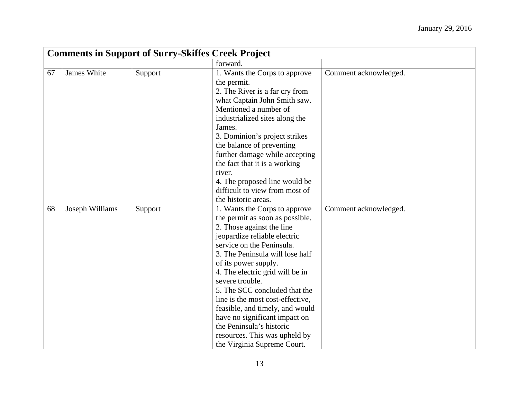|    | <b>Comments in Support of Surry-Skiffes Creek Project</b> |         |                                                                                                                                                                                                                                                                                                                                                                                                                                                                                                                  |                       |  |
|----|-----------------------------------------------------------|---------|------------------------------------------------------------------------------------------------------------------------------------------------------------------------------------------------------------------------------------------------------------------------------------------------------------------------------------------------------------------------------------------------------------------------------------------------------------------------------------------------------------------|-----------------------|--|
|    |                                                           |         | forward.                                                                                                                                                                                                                                                                                                                                                                                                                                                                                                         |                       |  |
| 67 | James White                                               | Support | 1. Wants the Corps to approve<br>the permit.<br>2. The River is a far cry from<br>what Captain John Smith saw.<br>Mentioned a number of<br>industrialized sites along the<br>James.<br>3. Dominion's project strikes<br>the balance of preventing<br>further damage while accepting<br>the fact that it is a working<br>river.<br>4. The proposed line would be<br>difficult to view from most of<br>the historic areas.                                                                                         | Comment acknowledged. |  |
| 68 | Joseph Williams                                           | Support | 1. Wants the Corps to approve<br>the permit as soon as possible.<br>2. Those against the line<br>jeopardize reliable electric<br>service on the Peninsula.<br>3. The Peninsula will lose half<br>of its power supply.<br>4. The electric grid will be in<br>severe trouble.<br>5. The SCC concluded that the<br>line is the most cost-effective,<br>feasible, and timely, and would<br>have no significant impact on<br>the Peninsula's historic<br>resources. This was upheld by<br>the Virginia Supreme Court. | Comment acknowledged. |  |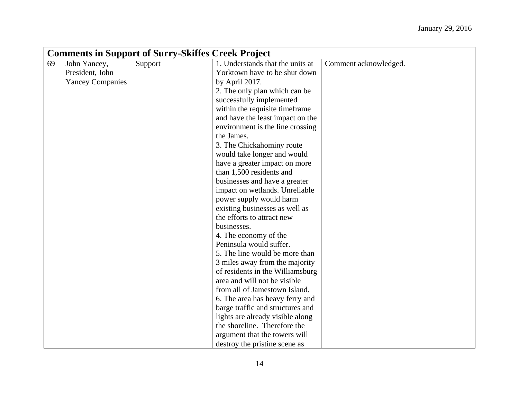|    | <b>Comments in Support of Surry-Skiffes Creek Project</b> |         |                                  |                       |  |
|----|-----------------------------------------------------------|---------|----------------------------------|-----------------------|--|
| 69 | John Yancey,                                              | Support | 1. Understands that the units at | Comment acknowledged. |  |
|    | President, John                                           |         | Yorktown have to be shut down    |                       |  |
|    | <b>Yancey Companies</b>                                   |         | by April 2017.                   |                       |  |
|    |                                                           |         | 2. The only plan which can be    |                       |  |
|    |                                                           |         | successfully implemented         |                       |  |
|    |                                                           |         | within the requisite timeframe   |                       |  |
|    |                                                           |         | and have the least impact on the |                       |  |
|    |                                                           |         | environment is the line crossing |                       |  |
|    |                                                           |         | the James.                       |                       |  |
|    |                                                           |         | 3. The Chickahominy route        |                       |  |
|    |                                                           |         | would take longer and would      |                       |  |
|    |                                                           |         | have a greater impact on more    |                       |  |
|    |                                                           |         | than 1,500 residents and         |                       |  |
|    |                                                           |         | businesses and have a greater    |                       |  |
|    |                                                           |         | impact on wetlands. Unreliable   |                       |  |
|    |                                                           |         | power supply would harm          |                       |  |
|    |                                                           |         | existing businesses as well as   |                       |  |
|    |                                                           |         | the efforts to attract new       |                       |  |
|    |                                                           |         | businesses.                      |                       |  |
|    |                                                           |         | 4. The economy of the            |                       |  |
|    |                                                           |         | Peninsula would suffer.          |                       |  |
|    |                                                           |         | 5. The line would be more than   |                       |  |
|    |                                                           |         | 3 miles away from the majority   |                       |  |
|    |                                                           |         | of residents in the Williamsburg |                       |  |
|    |                                                           |         | area and will not be visible     |                       |  |
|    |                                                           |         | from all of Jamestown Island.    |                       |  |
|    |                                                           |         | 6. The area has heavy ferry and  |                       |  |
|    |                                                           |         | barge traffic and structures and |                       |  |
|    |                                                           |         | lights are already visible along |                       |  |
|    |                                                           |         | the shoreline. Therefore the     |                       |  |
|    |                                                           |         | argument that the towers will    |                       |  |
|    |                                                           |         | destroy the pristine scene as    |                       |  |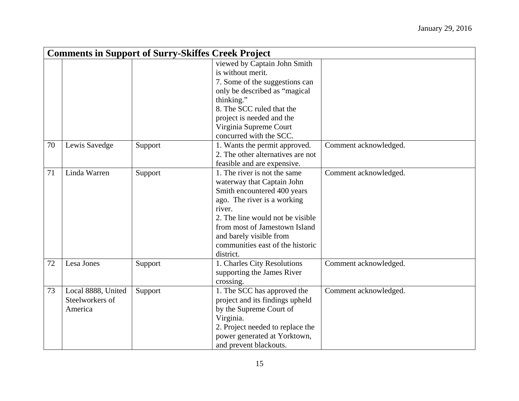|    | <b>Comments in Support of Surry-Skiffes Creek Project</b> |         |                                   |                       |  |
|----|-----------------------------------------------------------|---------|-----------------------------------|-----------------------|--|
|    |                                                           |         | viewed by Captain John Smith      |                       |  |
|    |                                                           |         | is without merit.                 |                       |  |
|    |                                                           |         | 7. Some of the suggestions can    |                       |  |
|    |                                                           |         | only be described as "magical     |                       |  |
|    |                                                           |         | thinking."                        |                       |  |
|    |                                                           |         | 8. The SCC ruled that the         |                       |  |
|    |                                                           |         | project is needed and the         |                       |  |
|    |                                                           |         | Virginia Supreme Court            |                       |  |
|    |                                                           |         | concurred with the SCC.           |                       |  |
| 70 | Lewis Savedge                                             | Support | 1. Wants the permit approved.     | Comment acknowledged. |  |
|    |                                                           |         | 2. The other alternatives are not |                       |  |
|    |                                                           |         | feasible and are expensive.       |                       |  |
| 71 | Linda Warren                                              | Support | 1. The river is not the same      | Comment acknowledged. |  |
|    |                                                           |         | waterway that Captain John        |                       |  |
|    |                                                           |         | Smith encountered 400 years       |                       |  |
|    |                                                           |         | ago. The river is a working       |                       |  |
|    |                                                           |         | river.                            |                       |  |
|    |                                                           |         | 2. The line would not be visible  |                       |  |
|    |                                                           |         | from most of Jamestown Island     |                       |  |
|    |                                                           |         | and barely visible from           |                       |  |
|    |                                                           |         | communities east of the historic  |                       |  |
|    |                                                           |         | district.                         |                       |  |
| 72 | Lesa Jones                                                | Support | 1. Charles City Resolutions       | Comment acknowledged. |  |
|    |                                                           |         | supporting the James River        |                       |  |
|    |                                                           |         | crossing.                         |                       |  |
| 73 | Local 8888, United                                        | Support | 1. The SCC has approved the       | Comment acknowledged. |  |
|    | Steelworkers of                                           |         | project and its findings upheld   |                       |  |
|    | America                                                   |         | by the Supreme Court of           |                       |  |
|    |                                                           |         | Virginia.                         |                       |  |
|    |                                                           |         | 2. Project needed to replace the  |                       |  |
|    |                                                           |         | power generated at Yorktown,      |                       |  |
|    |                                                           |         | and prevent blackouts.            |                       |  |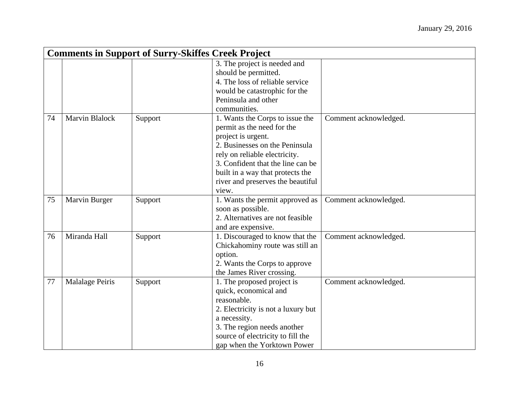|    | <b>Comments in Support of Surry-Skiffes Creek Project</b> |         |                                    |                       |  |
|----|-----------------------------------------------------------|---------|------------------------------------|-----------------------|--|
|    |                                                           |         | 3. The project is needed and       |                       |  |
|    |                                                           |         | should be permitted.               |                       |  |
|    |                                                           |         | 4. The loss of reliable service    |                       |  |
|    |                                                           |         | would be catastrophic for the      |                       |  |
|    |                                                           |         | Peninsula and other                |                       |  |
|    |                                                           |         | communities.                       |                       |  |
| 74 | <b>Marvin Blalock</b>                                     | Support | 1. Wants the Corps to issue the    | Comment acknowledged. |  |
|    |                                                           |         | permit as the need for the         |                       |  |
|    |                                                           |         | project is urgent.                 |                       |  |
|    |                                                           |         | 2. Businesses on the Peninsula     |                       |  |
|    |                                                           |         | rely on reliable electricity.      |                       |  |
|    |                                                           |         | 3. Confident that the line can be  |                       |  |
|    |                                                           |         | built in a way that protects the   |                       |  |
|    |                                                           |         | river and preserves the beautiful  |                       |  |
|    |                                                           |         | view.                              |                       |  |
| 75 | Marvin Burger                                             | Support | 1. Wants the permit approved as    | Comment acknowledged. |  |
|    |                                                           |         | soon as possible.                  |                       |  |
|    |                                                           |         | 2. Alternatives are not feasible   |                       |  |
|    |                                                           |         | and are expensive.                 |                       |  |
| 76 | Miranda Hall                                              | Support | 1. Discouraged to know that the    | Comment acknowledged. |  |
|    |                                                           |         | Chickahominy route was still an    |                       |  |
|    |                                                           |         | option.                            |                       |  |
|    |                                                           |         | 2. Wants the Corps to approve      |                       |  |
|    |                                                           |         | the James River crossing.          |                       |  |
| 77 | <b>Malalage Peiris</b>                                    | Support | 1. The proposed project is         | Comment acknowledged. |  |
|    |                                                           |         | quick, economical and              |                       |  |
|    |                                                           |         | reasonable.                        |                       |  |
|    |                                                           |         | 2. Electricity is not a luxury but |                       |  |
|    |                                                           |         | a necessity.                       |                       |  |
|    |                                                           |         | 3. The region needs another        |                       |  |
|    |                                                           |         | source of electricity to fill the  |                       |  |
|    |                                                           |         | gap when the Yorktown Power        |                       |  |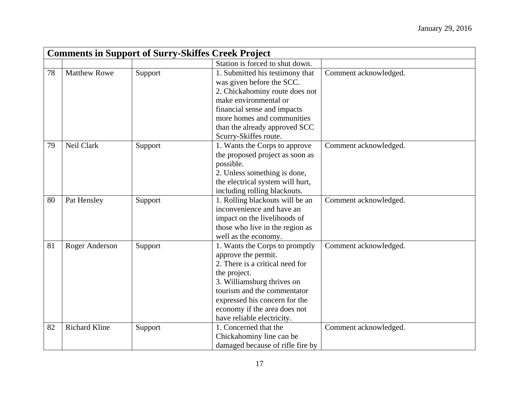|    | <b>Comments in Support of Surry-Skiffes Creek Project</b> |         |                                                                                                                                                                                                                                                                      |                       |  |
|----|-----------------------------------------------------------|---------|----------------------------------------------------------------------------------------------------------------------------------------------------------------------------------------------------------------------------------------------------------------------|-----------------------|--|
|    |                                                           |         | Station is forced to shut down.                                                                                                                                                                                                                                      |                       |  |
| 78 | <b>Matthew Rowe</b>                                       | Support | 1. Submitted his testimony that<br>was given before the SCC.<br>2. Chickahominy route does not<br>make environmental or<br>financial sense and impacts<br>more homes and communities<br>than the already approved SCC<br>Scurry-Skiffes route.                       | Comment acknowledged. |  |
| 79 | Neil Clark                                                | Support | 1. Wants the Corps to approve<br>the proposed project as soon as<br>possible.<br>2. Unless something is done,<br>the electrical system will hurt,<br>including rolling blackouts.                                                                                    | Comment acknowledged. |  |
| 80 | Pat Hensley                                               | Support | 1. Rolling blackouts will be an<br>inconvenience and have an<br>impact on the livelihoods of<br>those who live in the region as<br>well as the economy.                                                                                                              | Comment acknowledged. |  |
| 81 | Roger Anderson                                            | Support | 1. Wants the Corps to promptly<br>approve the permit.<br>2. There is a critical need for<br>the project.<br>3. Williamsburg thrives on<br>tourism and the commentator<br>expressed his concern for the<br>economy if the area does not<br>have reliable electricity. | Comment acknowledged. |  |
| 82 | <b>Richard Kline</b>                                      | Support | 1. Concerned that the<br>Chickahominy line can be<br>damaged because of rifle fire by                                                                                                                                                                                | Comment acknowledged. |  |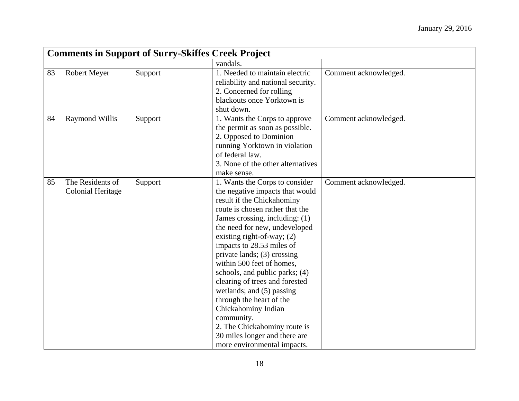|    | <b>Comments in Support of Surry-Skiffes Creek Project</b> |         |                                                                                                                                                                                                                                                                                                                                                                                                                                                                                                                                                                                                  |                       |  |
|----|-----------------------------------------------------------|---------|--------------------------------------------------------------------------------------------------------------------------------------------------------------------------------------------------------------------------------------------------------------------------------------------------------------------------------------------------------------------------------------------------------------------------------------------------------------------------------------------------------------------------------------------------------------------------------------------------|-----------------------|--|
|    |                                                           |         | vandals.                                                                                                                                                                                                                                                                                                                                                                                                                                                                                                                                                                                         |                       |  |
| 83 | Robert Meyer                                              | Support | 1. Needed to maintain electric<br>reliability and national security.<br>2. Concerned for rolling<br>blackouts once Yorktown is<br>shut down.                                                                                                                                                                                                                                                                                                                                                                                                                                                     | Comment acknowledged. |  |
| 84 | <b>Raymond Willis</b>                                     | Support | 1. Wants the Corps to approve<br>the permit as soon as possible.<br>2. Opposed to Dominion<br>running Yorktown in violation<br>of federal law.<br>3. None of the other alternatives<br>make sense.                                                                                                                                                                                                                                                                                                                                                                                               | Comment acknowledged. |  |
| 85 | The Residents of<br><b>Colonial Heritage</b>              | Support | 1. Wants the Corps to consider<br>the negative impacts that would<br>result if the Chickahominy<br>route is chosen rather that the<br>James crossing, including: (1)<br>the need for new, undeveloped<br>existing right-of-way; $(2)$<br>impacts to 28.53 miles of<br>private lands; (3) crossing<br>within 500 feet of homes,<br>schools, and public parks; (4)<br>clearing of trees and forested<br>wetlands; and (5) passing<br>through the heart of the<br>Chickahominy Indian<br>community.<br>2. The Chickahominy route is<br>30 miles longer and there are<br>more environmental impacts. | Comment acknowledged. |  |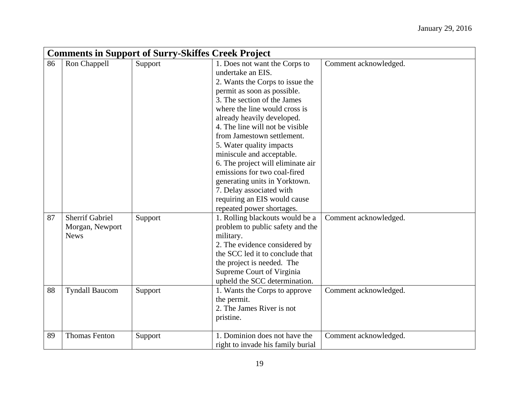|    | <b>Comments in Support of Surry-Skiffes Creek Project</b> |         |                                   |                       |  |
|----|-----------------------------------------------------------|---------|-----------------------------------|-----------------------|--|
| 86 | Ron Chappell                                              | Support | 1. Does not want the Corps to     | Comment acknowledged. |  |
|    |                                                           |         | undertake an EIS.                 |                       |  |
|    |                                                           |         | 2. Wants the Corps to issue the   |                       |  |
|    |                                                           |         | permit as soon as possible.       |                       |  |
|    |                                                           |         | 3. The section of the James       |                       |  |
|    |                                                           |         | where the line would cross is     |                       |  |
|    |                                                           |         | already heavily developed.        |                       |  |
|    |                                                           |         | 4. The line will not be visible   |                       |  |
|    |                                                           |         | from Jamestown settlement.        |                       |  |
|    |                                                           |         | 5. Water quality impacts          |                       |  |
|    |                                                           |         | miniscule and acceptable.         |                       |  |
|    |                                                           |         | 6. The project will eliminate air |                       |  |
|    |                                                           |         | emissions for two coal-fired      |                       |  |
|    |                                                           |         | generating units in Yorktown.     |                       |  |
|    |                                                           |         | 7. Delay associated with          |                       |  |
|    |                                                           |         | requiring an EIS would cause      |                       |  |
|    |                                                           |         | repeated power shortages.         |                       |  |
| 87 | <b>Sherrif Gabriel</b>                                    | Support | 1. Rolling blackouts would be a   | Comment acknowledged. |  |
|    | Morgan, Newport                                           |         | problem to public safety and the  |                       |  |
|    | <b>News</b>                                               |         | military.                         |                       |  |
|    |                                                           |         | 2. The evidence considered by     |                       |  |
|    |                                                           |         | the SCC led it to conclude that   |                       |  |
|    |                                                           |         | the project is needed. The        |                       |  |
|    |                                                           |         | Supreme Court of Virginia         |                       |  |
|    |                                                           |         | upheld the SCC determination.     |                       |  |
| 88 | <b>Tyndall Baucom</b>                                     | Support | 1. Wants the Corps to approve     | Comment acknowledged. |  |
|    |                                                           |         | the permit.                       |                       |  |
|    |                                                           |         | 2. The James River is not         |                       |  |
|    |                                                           |         | pristine.                         |                       |  |
| 89 | <b>Thomas Fenton</b>                                      | Support | 1. Dominion does not have the     | Comment acknowledged. |  |
|    |                                                           |         | right to invade his family burial |                       |  |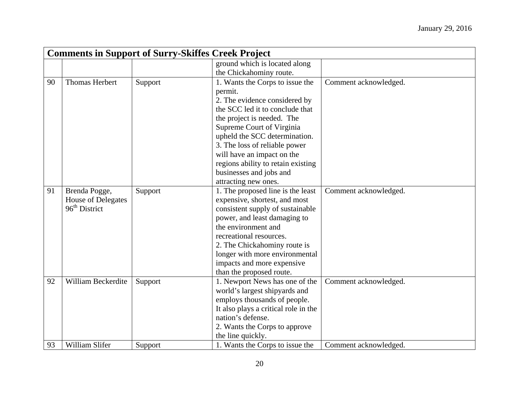|    | <b>Comments in Support of Surry-Skiffes Creek Project</b> |         |                                      |                       |  |
|----|-----------------------------------------------------------|---------|--------------------------------------|-----------------------|--|
|    |                                                           |         | ground which is located along        |                       |  |
|    |                                                           |         | the Chickahominy route.              |                       |  |
| 90 | <b>Thomas Herbert</b>                                     | Support | 1. Wants the Corps to issue the      | Comment acknowledged. |  |
|    |                                                           |         | permit.                              |                       |  |
|    |                                                           |         | 2. The evidence considered by        |                       |  |
|    |                                                           |         | the SCC led it to conclude that      |                       |  |
|    |                                                           |         | the project is needed. The           |                       |  |
|    |                                                           |         | Supreme Court of Virginia            |                       |  |
|    |                                                           |         | upheld the SCC determination.        |                       |  |
|    |                                                           |         | 3. The loss of reliable power        |                       |  |
|    |                                                           |         | will have an impact on the           |                       |  |
|    |                                                           |         | regions ability to retain existing   |                       |  |
|    |                                                           |         | businesses and jobs and              |                       |  |
|    |                                                           |         | attracting new ones.                 |                       |  |
| 91 | Brenda Pogge,                                             | Support | 1. The proposed line is the least    | Comment acknowledged. |  |
|    | House of Delegates                                        |         | expensive, shortest, and most        |                       |  |
|    | $96th$ District                                           |         | consistent supply of sustainable     |                       |  |
|    |                                                           |         | power, and least damaging to         |                       |  |
|    |                                                           |         | the environment and                  |                       |  |
|    |                                                           |         | recreational resources.              |                       |  |
|    |                                                           |         | 2. The Chickahominy route is         |                       |  |
|    |                                                           |         | longer with more environmental       |                       |  |
|    |                                                           |         | impacts and more expensive           |                       |  |
|    |                                                           |         | than the proposed route.             |                       |  |
| 92 | William Beckerdite                                        | Support | 1. Newport News has one of the       | Comment acknowledged. |  |
|    |                                                           |         | world's largest shipyards and        |                       |  |
|    |                                                           |         | employs thousands of people.         |                       |  |
|    |                                                           |         | It also plays a critical role in the |                       |  |
|    |                                                           |         | nation's defense.                    |                       |  |
|    |                                                           |         | 2. Wants the Corps to approve        |                       |  |
|    |                                                           |         | the line quickly.                    |                       |  |
| 93 | William Slifer                                            | Support | 1. Wants the Corps to issue the      | Comment acknowledged. |  |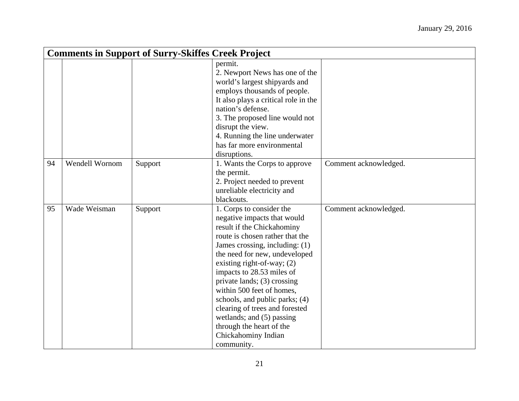|    | <b>Comments in Support of Surry-Skiffes Creek Project</b> |         |                                                                                                                                                                                                                                                                                                                                                                                                                                                                                        |                       |  |
|----|-----------------------------------------------------------|---------|----------------------------------------------------------------------------------------------------------------------------------------------------------------------------------------------------------------------------------------------------------------------------------------------------------------------------------------------------------------------------------------------------------------------------------------------------------------------------------------|-----------------------|--|
|    |                                                           |         | permit.<br>2. Newport News has one of the<br>world's largest shipyards and<br>employs thousands of people.<br>It also plays a critical role in the<br>nation's defense.<br>3. The proposed line would not<br>disrupt the view.<br>4. Running the line underwater<br>has far more environmental<br>disruptions.                                                                                                                                                                         |                       |  |
| 94 | Wendell Wornom                                            | Support | 1. Wants the Corps to approve<br>the permit.<br>2. Project needed to prevent<br>unreliable electricity and<br>blackouts.                                                                                                                                                                                                                                                                                                                                                               | Comment acknowledged. |  |
| 95 | Wade Weisman                                              | Support | 1. Corps to consider the<br>negative impacts that would<br>result if the Chickahominy<br>route is chosen rather that the<br>James crossing, including: (1)<br>the need for new, undeveloped<br>existing right-of-way; $(2)$<br>impacts to 28.53 miles of<br>private lands; (3) crossing<br>within 500 feet of homes,<br>schools, and public parks; (4)<br>clearing of trees and forested<br>wetlands; and (5) passing<br>through the heart of the<br>Chickahominy Indian<br>community. | Comment acknowledged. |  |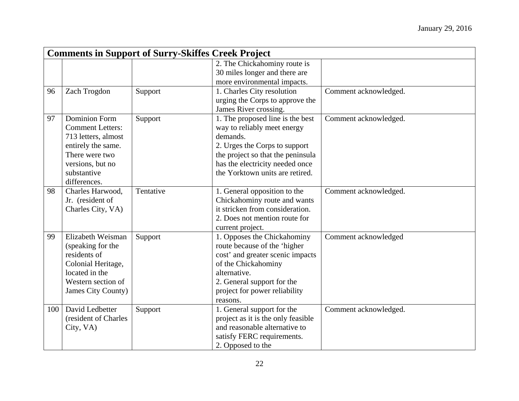|     | <b>Comments in Support of Surry-Skiffes Creek Project</b> |           |                                    |                       |  |
|-----|-----------------------------------------------------------|-----------|------------------------------------|-----------------------|--|
|     |                                                           |           | 2. The Chickahominy route is       |                       |  |
|     |                                                           |           | 30 miles longer and there are      |                       |  |
|     |                                                           |           | more environmental impacts.        |                       |  |
| 96  | Zach Trogdon                                              | Support   | 1. Charles City resolution         | Comment acknowledged. |  |
|     |                                                           |           | urging the Corps to approve the    |                       |  |
|     |                                                           |           | James River crossing.              |                       |  |
| 97  | <b>Dominion Form</b>                                      | Support   | 1. The proposed line is the best   | Comment acknowledged. |  |
|     | <b>Comment Letters:</b>                                   |           | way to reliably meet energy        |                       |  |
|     | 713 letters, almost                                       |           | demands.                           |                       |  |
|     | entirely the same.                                        |           | 2. Urges the Corps to support      |                       |  |
|     | There were two                                            |           | the project so that the peninsula  |                       |  |
|     | versions, but no                                          |           | has the electricity needed once    |                       |  |
|     | substantive                                               |           | the Yorktown units are retired.    |                       |  |
|     | differences.                                              |           |                                    |                       |  |
| 98  | Charles Harwood.                                          | Tentative | 1. General opposition to the       | Comment acknowledged. |  |
|     | Jr. (resident of                                          |           | Chickahominy route and wants       |                       |  |
|     | Charles City, VA)                                         |           | it stricken from consideration.    |                       |  |
|     |                                                           |           | 2. Does not mention route for      |                       |  |
|     |                                                           |           | current project.                   |                       |  |
| 99  | Elizabeth Weisman                                         | Support   | 1. Opposes the Chickahominy        | Comment acknowledged  |  |
|     | (speaking for the                                         |           | route because of the 'higher       |                       |  |
|     | residents of                                              |           | cost' and greater scenic impacts   |                       |  |
|     | Colonial Heritage,                                        |           | of the Chickahominy                |                       |  |
|     | located in the                                            |           | alternative.                       |                       |  |
|     | Western section of                                        |           | 2. General support for the         |                       |  |
|     | James City County)                                        |           | project for power reliability      |                       |  |
|     |                                                           |           | reasons.                           |                       |  |
| 100 | David Ledbetter                                           | Support   | 1. General support for the         | Comment acknowledged. |  |
|     | (resident of Charles                                      |           | project as it is the only feasible |                       |  |
|     | City, VA)                                                 |           | and reasonable alternative to      |                       |  |
|     |                                                           |           | satisfy FERC requirements.         |                       |  |
|     |                                                           |           | 2. Opposed to the                  |                       |  |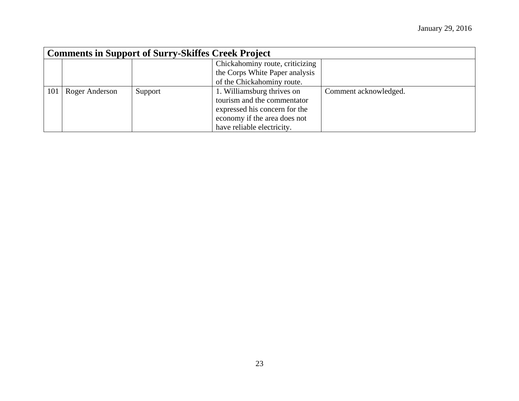|     | <b>Comments in Support of Surry-Skiffes Creek Project</b> |         |                                 |                       |
|-----|-----------------------------------------------------------|---------|---------------------------------|-----------------------|
|     |                                                           |         | Chickahominy route, criticizing |                       |
|     |                                                           |         | the Corps White Paper analysis  |                       |
|     |                                                           |         | of the Chickahominy route.      |                       |
| 101 | Roger Anderson                                            | Support | 1. Williamsburg thrives on      | Comment acknowledged. |
|     |                                                           |         | tourism and the commentator     |                       |
|     |                                                           |         | expressed his concern for the   |                       |
|     |                                                           |         | economy if the area does not    |                       |
|     |                                                           |         | have reliable electricity.      |                       |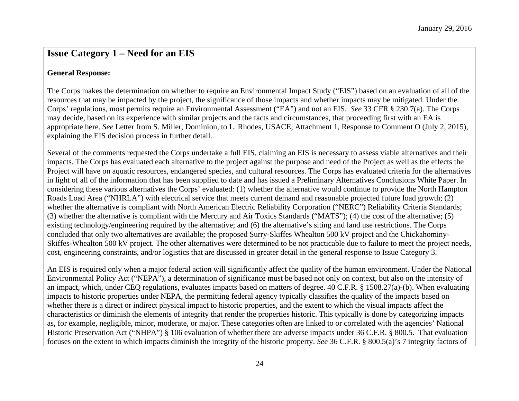#### **General Response:**

The Corps makes the determination on whether to require an Environmental Impact Study ("EIS") based on an evaluation of all of the resources that may be impacted by the project, the significance of those impacts and whether impacts may be mitigated. Under the Corps' regulations, most permits require an Environmental Assessment ("EA") and not an EIS. *See* 33 CFR § 230.7(a). The Corps may decide, based on its experience with similar projects and the facts and circumstances, that proceeding first with an EA is appropriate here. *See* Letter from S. Miller, Dominion, to L. Rhodes, USACE, Attachment 1, Response to Comment O (July 2, 2015), explaining the EIS decision process in further detail.

Several of the comments requested the Corps undertake a full EIS, claiming an EIS is necessary to assess viable alternatives and their impacts. The Corps has evaluated each alternative to the project against the purpose and need of the Project as well as the effects the Project will have on aquatic resources, endangered species, and cultural resources. The Corps has evaluated criteria for the alternatives in light of all of the information that has been supplied to date and has issued a Preliminary Alternatives Conclusions White Paper. In considering these various alternatives the Corps' evaluated: (1) whether the alternative would continue to provide the North Hampton Roads Load Area ("NHRLA") with electrical service that meets current demand and reasonable projected future load growth; (2) whether the alternative is compliant with North American Electric Reliability Corporation ("NERC") Reliability Criteria Standards; (3) whether the alternative is compliant with the Mercury and Air Toxics Standards ("MATS"); (4) the cost of the alternative; (5) existing technology/engineering required by the alternative; and (6) the alternative's siting and land use restrictions. The Corps concluded that only two alternatives are available; the proposed Surry-Skiffes Whealton 500 kV project and the Chickahominy-Skiffes-Whealton 500 kV project. The other alternatives were determined to be not practicable due to failure to meet the project needs, cost, engineering constraints, and/or logistics that are discussed in greater detail in the general response to Issue Category 3.

An EIS is required only when a major federal action will significantly affect the quality of the human environment. Under the National Environmental Policy Act ("NEPA"), a determination of significance must be based not only on context, but also on the intensity of an impact, which, under CEQ regulations, evaluates impacts based on matters of degree. 40 C.F.R. § 1508.27(a)-(b). When evaluating impacts to historic properties under NEPA, the permitting federal agency typically classifies the quality of the impacts based on whether there is a direct or indirect physical impact to historic properties, and the extent to which the visual impacts affect the characteristics or diminish the elements of integrity that render the properties historic. This typically is done by categorizing impacts as, for example, negligible, minor, moderate, or major. These categories often are linked to or correlated with the agencies' National Historic Preservation Act ("NHPA") § 106 evaluation of whether there are adverse impacts under 36 C.F.R. § 800.5. That evaluation focuses on the extent to which impacts diminish the integrity of the historic property. *See* 36 C.F.R. § 800.5(a)'s 7 integrity factors of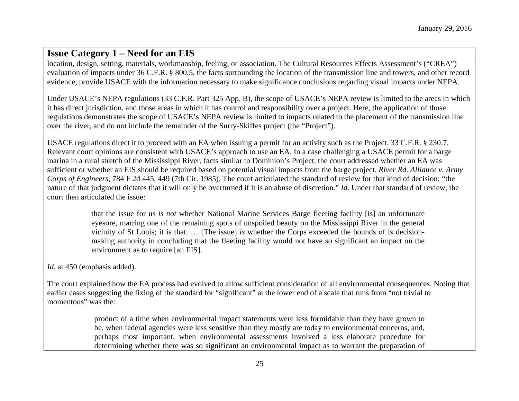location, design, setting, materials, workmanship, feeling, or association. The Cultural Resources Effects Assessment's ("CREA") evaluation of impacts under 36 C.F.R. § 800.5, the facts surrounding the location of the transmission line and towers, and other record evidence, provide USACE with the information necessary to make significance conclusions regarding visual impacts under NEPA.

Under USACE's NEPA regulations (33 C.F.R. Part 325 App. B), the scope of USACE's NEPA review is limited to the areas in which it has direct jurisdiction, and those areas in which it has control and responsibility over a project. Here, the application of those regulations demonstrates the scope of USACE's NEPA review is limited to impacts related to the placement of the transmission line over the river, and do not include the remainder of the Surry-Skiffes project (the "Project").

USACE regulations direct it to proceed with an EA when issuing a permit for an activity such as the Project. 33 C.F.R. § 230.7. Relevant court opinions are consistent with USACE's approach to use an EA. In a case challenging a USACE permit for a barge marina in a rural stretch of the Mississippi River, facts similar to Dominion's Project, the court addressed whether an EA was sufficient or whether an EIS should be required based on potential visual impacts from the barge project. *River Rd. Alliance v. Army Corps of Engineers*, 784 F 2d 445, 449 (7th Cir. 1985). The court articulated the standard of review for that kind of decision: "the nature of that judgment dictates that it will only be overturned if it is an abuse of discretion." *Id.* Under that standard of review, the court then articulated the issue:

> that the issue for us *is not* whether National Marine Services Barge fleeting facility [is] an unfortunate eyesore, marring one of the remaining spots of unspoiled beauty on the Mississippi River in the general vicinity of St Louis; it is that. … [The issue] *is* whether the Corps exceeded the bounds of is decisionmaking authority in concluding that the fleeting facility would not have so significant an impact on the environment as to require [an EIS].

*Id.* at 450 (emphasis added).

The court explained how the EA process had evolved to allow sufficient consideration of all environmental consequences. Noting that earlier cases suggesting the fixing of the standard for "significant" at the lower end of a scale that runs from "not trivial to momentous" was the:

> product of a time when environmental impact statements were less formidable than they have grown to be, when federal agencies were less sensitive than they mostly are today to environmental concerns, and, perhaps most important, when environmental assessments involved a less elaborate procedure for determining whether there was so significant an environmental impact as to warrant the preparation of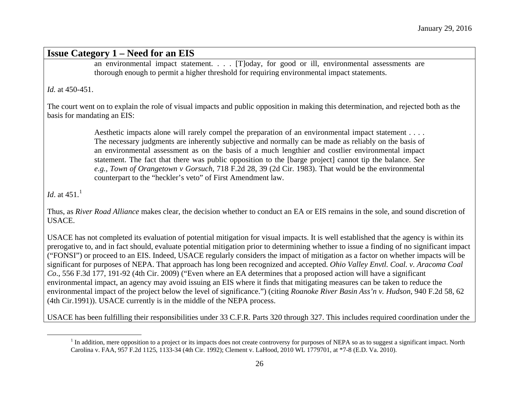<span id="page-25-0"></span>an environmental impact statement. . . . [T]oday, for good or ill, environmental assessments are thorough enough to permit a higher threshold for requiring environmental impact statements.

*Id.* at 450-451.

The court went on to explain the role of visual impacts and public opposition in making this determination, and rejected both as the basis for mandating an EIS:

> Aesthetic impacts alone will rarely compel the preparation of an environmental impact statement . . . . The necessary judgments are inherently subjective and normally can be made as reliably on the basis of an environmental assessment as on the basis of a much lengthier and costlier environmental impact statement. The fact that there was public opposition to the [barge project] cannot tip the balance. *See e.g., Town of Orangetown v Gorsuch,* 718 F.2d 28, 39 (2d Cir. 1983). That would be the environmental counterpart to the "heckler's veto" of First Amendment law.

*Id.* at 45[1](#page-25-0).<sup>1</sup>

Thus, as *River Road Alliance* makes clear, the decision whether to conduct an EA or EIS remains in the sole, and sound discretion of USACE.

USACE has not completed its evaluation of potential mitigation for visual impacts. It is well established that the agency is within its prerogative to, and in fact should, evaluate potential mitigation prior to determining whether to issue a finding of no significant impact ("FONSI") or proceed to an EIS. Indeed, USACE regularly considers the impact of mitigation as a factor on whether impacts will be significant for purposes of NEPA. That approach has long been recognized and accepted. *Ohio Valley Envtl. Coal. v. Aracoma Coal Co*., 556 F.3d 177, 191-92 (4th Cir. 2009) ("Even where an EA determines that a proposed action will have a significant environmental impact, an agency may avoid issuing an EIS where it finds that mitigating measures can be taken to reduce the environmental impact of the project below the level of significance.") (citing *Roanoke River Basin Ass'n v. Hudson*, 940 F.2d 58, 62 (4th Cir.1991)). USACE currently is in the middle of the NEPA process.

USACE has been fulfilling their responsibilities under 33 C.F.R. Parts 320 through 327. This includes required coordination under the

<sup>&</sup>lt;sup>1</sup> In addition, mere opposition to a project or its impacts does not create controversy for purposes of NEPA so as to suggest a significant impact. North Carolina v. FAA, 957 F.2d 1125, 1133-34 (4th Cir. 1992); Clement v. LaHood, 2010 WL 1779701, at \*7-8 (E.D. Va. 2010).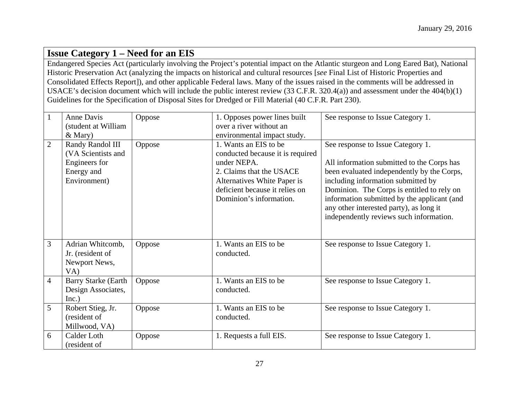Endangered Species Act (particularly involving the Project's potential impact on the Atlantic sturgeon and Long Eared Bat), National Historic Preservation Act (analyzing the impacts on historical and cultural resources [*see* Final List of Historic Properties and Consolidated Effects Report]), and other applicable Federal laws. Many of the issues raised in the comments will be addressed in USACE's decision document which will include the public interest review (33 C.F.R. 320.4(a)) and assessment under the 404(b)(1) Guidelines for the Specification of Disposal Sites for Dredged or Fill Material (40 C.F.R. Part 230).

| $\mathbf{1}$   | Anne Davis<br>(student at William                                                                  | Oppose | 1. Opposes power lines built<br>over a river without an                                                                                                                                                                         | See response to Issue Category 1.                                                                                                                                                                                                                                                                                                                      |
|----------------|----------------------------------------------------------------------------------------------------|--------|---------------------------------------------------------------------------------------------------------------------------------------------------------------------------------------------------------------------------------|--------------------------------------------------------------------------------------------------------------------------------------------------------------------------------------------------------------------------------------------------------------------------------------------------------------------------------------------------------|
| $\overline{2}$ | $&$ Mary)<br>Randy Randol III<br>(VA Scientists and<br>Engineers for<br>Energy and<br>Environment) | Oppose | environmental impact study.<br>1. Wants an EIS to be<br>conducted because it is required<br>under NEPA.<br>2. Claims that the USACE<br>Alternatives White Paper is<br>deficient because it relies on<br>Dominion's information. | See response to Issue Category 1.<br>All information submitted to the Corps has<br>been evaluated independently by the Corps,<br>including information submitted by<br>Dominion. The Corps is entitled to rely on<br>information submitted by the applicant (and<br>any other interested party), as long it<br>independently reviews such information. |
| 3              | Adrian Whitcomb,<br>Jr. (resident of<br>Newport News,<br>VA)                                       | Oppose | 1. Wants an EIS to be<br>conducted.                                                                                                                                                                                             | See response to Issue Category 1.                                                                                                                                                                                                                                                                                                                      |
| $\overline{4}$ | <b>Barry Starke (Earth)</b><br>Design Associates,<br>Inc.)                                         | Oppose | 1. Wants an EIS to be<br>conducted.                                                                                                                                                                                             | See response to Issue Category 1.                                                                                                                                                                                                                                                                                                                      |
| 5              | Robert Stieg, Jr.<br>(resident of<br>Millwood, VA)                                                 | Oppose | 1. Wants an EIS to be<br>conducted.                                                                                                                                                                                             | See response to Issue Category 1.                                                                                                                                                                                                                                                                                                                      |
| 6              | Calder Loth<br>(resident of                                                                        | Oppose | 1. Requests a full EIS.                                                                                                                                                                                                         | See response to Issue Category 1.                                                                                                                                                                                                                                                                                                                      |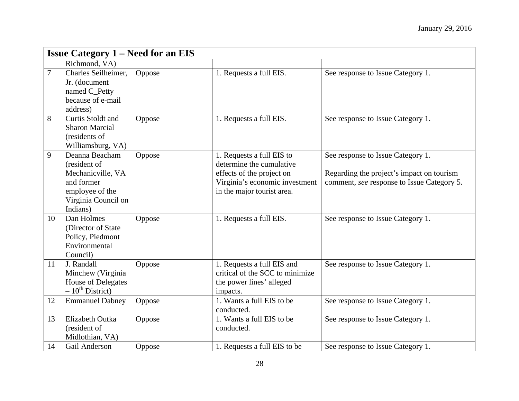| <b>Issue Category 1 – Need for an EIS</b> |                                                                                       |        |                                                                                                       |                                                                                         |
|-------------------------------------------|---------------------------------------------------------------------------------------|--------|-------------------------------------------------------------------------------------------------------|-----------------------------------------------------------------------------------------|
|                                           | Richmond, VA)                                                                         |        |                                                                                                       |                                                                                         |
| $\overline{7}$                            | Charles Seilheimer,<br>Jr. (document<br>named C_Petty                                 | Oppose | 1. Requests a full EIS.                                                                               | See response to Issue Category 1.                                                       |
|                                           | because of e-mail<br>address)                                                         |        |                                                                                                       |                                                                                         |
| 8                                         | Curtis Stoldt and<br><b>Sharon Marcial</b><br>(residents of<br>Williamsburg, VA)      | Oppose | 1. Requests a full EIS.                                                                               | See response to Issue Category 1.                                                       |
| 9                                         | Deanna Beacham<br>(resident of                                                        | Oppose | 1. Requests a full EIS to<br>determine the cumulative                                                 | See response to Issue Category 1.                                                       |
|                                           | Mechanicville, VA<br>and former<br>employee of the<br>Virginia Council on<br>Indians) |        | effects of the project on<br>Virginia's economic investment<br>in the major tourist area.             | Regarding the project's impact on tourism<br>comment, see response to Issue Category 5. |
| 10                                        | Dan Holmes<br>(Director of State)<br>Policy, Piedmont<br>Environmental<br>Council)    | Oppose | 1. Requests a full EIS.                                                                               | See response to Issue Category 1.                                                       |
| 11                                        | J. Randall<br>Minchew (Virginia<br>House of Delegates<br>$-10^{th}$ District)         | Oppose | 1. Requests a full EIS and<br>critical of the SCC to minimize<br>the power lines' alleged<br>impacts. | See response to Issue Category 1.                                                       |
| 12                                        | <b>Emmanuel Dabney</b>                                                                | Oppose | 1. Wants a full EIS to be<br>conducted.                                                               | See response to Issue Category 1.                                                       |
| 13                                        | Elizabeth Outka<br>(resident of<br>Midlothian, VA)                                    | Oppose | 1. Wants a full EIS to be<br>conducted.                                                               | See response to Issue Category 1.                                                       |
| 14                                        | Gail Anderson                                                                         | Oppose | 1. Requests a full EIS to be                                                                          | See response to Issue Category 1.                                                       |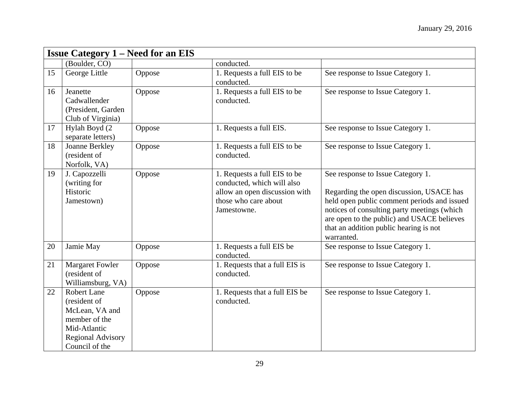| <b>Issue Category 1 – Need for an EIS</b> |                                                                                                                                     |        |                                                                                                                                    |                                                                                                                                                                                                                                                                                   |
|-------------------------------------------|-------------------------------------------------------------------------------------------------------------------------------------|--------|------------------------------------------------------------------------------------------------------------------------------------|-----------------------------------------------------------------------------------------------------------------------------------------------------------------------------------------------------------------------------------------------------------------------------------|
|                                           | (Boulder, CO)                                                                                                                       |        | conducted.                                                                                                                         |                                                                                                                                                                                                                                                                                   |
| 15                                        | George Little                                                                                                                       | Oppose | 1. Requests a full EIS to be<br>conducted.                                                                                         | See response to Issue Category 1.                                                                                                                                                                                                                                                 |
| 16                                        | Jeanette<br>Cadwallender<br>(President, Garden)<br>Club of Virginia)                                                                | Oppose | 1. Requests a full EIS to be<br>conducted.                                                                                         | See response to Issue Category 1.                                                                                                                                                                                                                                                 |
| 17                                        | Hylah Boyd (2<br>separate letters)                                                                                                  | Oppose | 1. Requests a full EIS.                                                                                                            | See response to Issue Category 1.                                                                                                                                                                                                                                                 |
| 18                                        | Joanne Berkley<br>(resident of<br>Norfolk, VA)                                                                                      | Oppose | 1. Requests a full EIS to be<br>conducted.                                                                                         | See response to Issue Category 1.                                                                                                                                                                                                                                                 |
| 19                                        | J. Capozzelli<br>(writing for<br>Historic<br>Jamestown)                                                                             | Oppose | 1. Requests a full EIS to be<br>conducted, which will also<br>allow an open discussion with<br>those who care about<br>Jamestowne. | See response to Issue Category 1.<br>Regarding the open discussion, USACE has<br>held open public comment periods and issued<br>notices of consulting party meetings (which<br>are open to the public) and USACE believes<br>that an addition public hearing is not<br>warranted. |
| 20                                        | Jamie May                                                                                                                           | Oppose | 1. Requests a full EIS be<br>conducted.                                                                                            | See response to Issue Category 1.                                                                                                                                                                                                                                                 |
| 21                                        | Margaret Fowler<br>(resident of<br>Williamsburg, VA)                                                                                | Oppose | 1. Requests that a full EIS is<br>conducted.                                                                                       | See response to Issue Category 1.                                                                                                                                                                                                                                                 |
| 22                                        | <b>Robert Lane</b><br>(resident of<br>McLean, VA and<br>member of the<br>Mid-Atlantic<br><b>Regional Advisory</b><br>Council of the | Oppose | 1. Requests that a full EIS be<br>conducted.                                                                                       | See response to Issue Category 1.                                                                                                                                                                                                                                                 |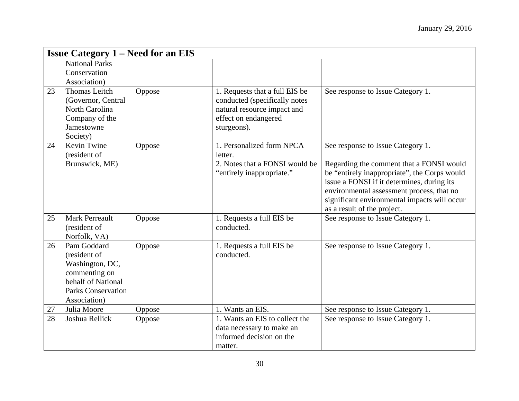| <b>Issue Category 1 – Need for an EIS</b> |                                                                                                                                    |        |                                                                                                                                       |                                                                                                                                                                                                                                                                                                         |
|-------------------------------------------|------------------------------------------------------------------------------------------------------------------------------------|--------|---------------------------------------------------------------------------------------------------------------------------------------|---------------------------------------------------------------------------------------------------------------------------------------------------------------------------------------------------------------------------------------------------------------------------------------------------------|
|                                           | <b>National Parks</b><br>Conservation<br>Association)                                                                              |        |                                                                                                                                       |                                                                                                                                                                                                                                                                                                         |
| 23                                        | Thomas Leitch<br>(Governor, Central<br>North Carolina<br>Company of the<br>Jamestowne<br>Society)                                  | Oppose | 1. Requests that a full EIS be<br>conducted (specifically notes<br>natural resource impact and<br>effect on endangered<br>sturgeons). | See response to Issue Category 1.                                                                                                                                                                                                                                                                       |
| 24                                        | Kevin Twine<br>(resident of<br>Brunswick, ME)                                                                                      | Oppose | 1. Personalized form NPCA<br>letter.<br>2. Notes that a FONSI would be<br>"entirely inappropriate."                                   | See response to Issue Category 1.<br>Regarding the comment that a FONSI would<br>be "entirely inappropriate", the Corps would<br>issue a FONSI if it determines, during its<br>environmental assessment process, that no<br>significant environmental impacts will occur<br>as a result of the project. |
| 25                                        | <b>Mark Perreault</b><br>(resident of<br>Norfolk, VA)                                                                              | Oppose | 1. Requests a full EIS be<br>conducted.                                                                                               | See response to Issue Category 1.                                                                                                                                                                                                                                                                       |
| 26                                        | Pam Goddard<br>(resident of<br>Washington, DC,<br>commenting on<br>behalf of National<br><b>Parks Conservation</b><br>Association) | Oppose | 1. Requests a full EIS be<br>conducted.                                                                                               | See response to Issue Category 1.                                                                                                                                                                                                                                                                       |
| 27                                        | Julia Moore                                                                                                                        | Oppose | 1. Wants an EIS.                                                                                                                      | See response to Issue Category 1.                                                                                                                                                                                                                                                                       |
| 28                                        | Joshua Rellick                                                                                                                     | Oppose | 1. Wants an EIS to collect the<br>data necessary to make an<br>informed decision on the<br>matter.                                    | See response to Issue Category 1.                                                                                                                                                                                                                                                                       |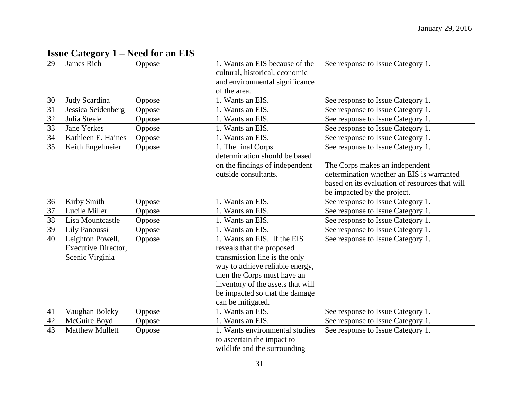|    | <b>Issue Category 1 – Need for an EIS</b>                         |        |                                                                                                                                                                                                                                                         |                                                                                                                                                                                                   |  |  |
|----|-------------------------------------------------------------------|--------|---------------------------------------------------------------------------------------------------------------------------------------------------------------------------------------------------------------------------------------------------------|---------------------------------------------------------------------------------------------------------------------------------------------------------------------------------------------------|--|--|
| 29 | <b>James Rich</b>                                                 | Oppose | 1. Wants an EIS because of the<br>cultural, historical, economic<br>and environmental significance<br>of the area.                                                                                                                                      | See response to Issue Category 1.                                                                                                                                                                 |  |  |
| 30 | Judy Scardina                                                     | Oppose | 1. Wants an EIS.                                                                                                                                                                                                                                        | See response to Issue Category 1.                                                                                                                                                                 |  |  |
| 31 | Jessica Seidenberg                                                | Oppose | 1. Wants an EIS.                                                                                                                                                                                                                                        | See response to Issue Category 1.                                                                                                                                                                 |  |  |
| 32 | Julia Steele                                                      | Oppose | 1. Wants an EIS.                                                                                                                                                                                                                                        | See response to Issue Category 1.                                                                                                                                                                 |  |  |
| 33 | <b>Jane Yerkes</b>                                                | Oppose | 1. Wants an EIS.                                                                                                                                                                                                                                        | See response to Issue Category 1.                                                                                                                                                                 |  |  |
| 34 | Kathleen E. Haines                                                | Oppose | 1. Wants an EIS.                                                                                                                                                                                                                                        | See response to Issue Category 1.                                                                                                                                                                 |  |  |
| 35 | Keith Engelmeier                                                  | Oppose | 1. The final Corps<br>determination should be based<br>on the findings of independent<br>outside consultants.                                                                                                                                           | See response to Issue Category 1.<br>The Corps makes an independent<br>determination whether an EIS is warranted<br>based on its evaluation of resources that will<br>be impacted by the project. |  |  |
| 36 | Kirby Smith                                                       | Oppose | 1. Wants an EIS.                                                                                                                                                                                                                                        | See response to Issue Category 1.                                                                                                                                                                 |  |  |
| 37 | Lucile Miller                                                     | Oppose | 1. Wants an EIS.                                                                                                                                                                                                                                        | See response to Issue Category 1.                                                                                                                                                                 |  |  |
| 38 | Lisa Mountcastle                                                  | Oppose | 1. Wants an EIS.                                                                                                                                                                                                                                        | See response to Issue Category 1.                                                                                                                                                                 |  |  |
| 39 | Lily Panoussi                                                     | Oppose | 1. Wants an EIS.                                                                                                                                                                                                                                        | See response to Issue Category 1.                                                                                                                                                                 |  |  |
| 40 | Leighton Powell,<br><b>Executive Director,</b><br>Scenic Virginia | Oppose | 1. Wants an EIS. If the EIS<br>reveals that the proposed<br>transmission line is the only<br>way to achieve reliable energy,<br>then the Corps must have an<br>inventory of the assets that will<br>be impacted so that the damage<br>can be mitigated. | See response to Issue Category 1.                                                                                                                                                                 |  |  |
| 41 | Vaughan Boleky                                                    | Oppose | 1. Wants an EIS.                                                                                                                                                                                                                                        | See response to Issue Category 1.                                                                                                                                                                 |  |  |
| 42 | McGuire Boyd                                                      | Oppose | 1. Wants an EIS.                                                                                                                                                                                                                                        | See response to Issue Category 1.                                                                                                                                                                 |  |  |
| 43 | <b>Matthew Mullett</b>                                            | Oppose | 1. Wants environmental studies<br>to ascertain the impact to<br>wildlife and the surrounding                                                                                                                                                            | See response to Issue Category 1.                                                                                                                                                                 |  |  |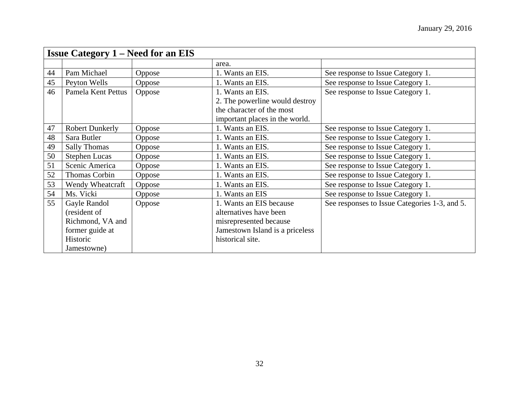| <b>Issue Category 1 – Need for an EIS</b> |                        |               |                                 |                                               |
|-------------------------------------------|------------------------|---------------|---------------------------------|-----------------------------------------------|
|                                           |                        |               | area.                           |                                               |
| 44                                        | Pam Michael            | Oppose        | 1. Wants an EIS.                | See response to Issue Category 1.             |
| 45                                        | Peyton Wells           | Oppose        | 1. Wants an EIS.                | See response to Issue Category 1.             |
| 46                                        | Pamela Kent Pettus     | Oppose        | 1. Wants an EIS.                | See response to Issue Category 1.             |
|                                           |                        |               | 2. The powerline would destroy  |                                               |
|                                           |                        |               | the character of the most       |                                               |
|                                           |                        |               | important places in the world.  |                                               |
| 47                                        | <b>Robert Dunkerly</b> | Oppose        | 1. Wants an EIS.                | See response to Issue Category 1.             |
| 48                                        | Sara Butler            | Oppose        | 1. Wants an EIS.                | See response to Issue Category 1.             |
| 49                                        | <b>Sally Thomas</b>    | Oppose        | 1. Wants an EIS.                | See response to Issue Category 1.             |
| 50                                        | <b>Stephen Lucas</b>   | Oppose        | 1. Wants an EIS.                | See response to Issue Category 1.             |
| 51                                        | Scenic America         | Oppose        | 1. Wants an EIS.                | See response to Issue Category 1.             |
| 52                                        | Thomas Corbin          | Oppose        | 1. Wants an EIS.                | See response to Issue Category 1.             |
| 53                                        | Wendy Wheatcraft       | <b>Oppose</b> | 1. Wants an EIS.                | See response to Issue Category 1.             |
| 54                                        | Ms. Vicki              | Oppose        | 1. Wants an EIS                 | See response to Issue Category 1.             |
| 55                                        | Gayle Randol           | Oppose        | 1. Wants an EIS because         | See responses to Issue Categories 1-3, and 5. |
|                                           | (resident of           |               | alternatives have been          |                                               |
|                                           | Richmond, VA and       |               | misrepresented because          |                                               |
|                                           | former guide at        |               | Jamestown Island is a priceless |                                               |
|                                           | Historic               |               | historical site.                |                                               |
|                                           | Jamestowne)            |               |                                 |                                               |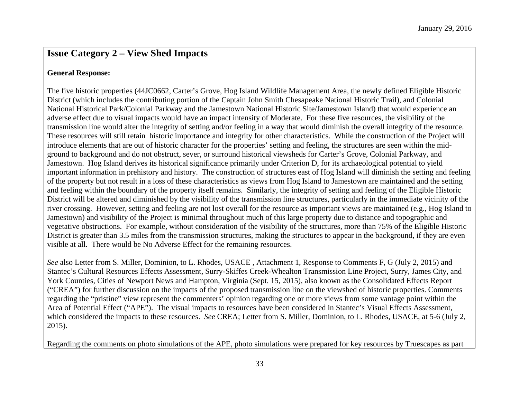#### **General Response:**

The five historic properties (44JC0662, Carter's Grove, Hog Island Wildlife Management Area, the newly defined Eligible Historic District (which includes the contributing portion of the Captain John Smith Chesapeake National Historic Trail), and Colonial National Historical Park/Colonial Parkway and the Jamestown National Historic Site/Jamestown Island) that would experience an adverse effect due to visual impacts would have an impact intensity of Moderate. For these five resources, the visibility of the transmission line would alter the integrity of setting and/or feeling in a way that would diminish the overall integrity of the resource. These resources will still retain historic importance and integrity for other characteristics. While the construction of the Project will introduce elements that are out of historic character for the properties' setting and feeling, the structures are seen within the midground to background and do not obstruct, sever, or surround historical viewsheds for Carter's Grove, Colonial Parkway, and Jamestown. Hog Island derives its historical significance primarily under Criterion D, for its archaeological potential to yield important information in prehistory and history. The construction of structures east of Hog Island will diminish the setting and feeling of the property but not result in a loss of these characteristics as views from Hog Island to Jamestown are maintained and the setting and feeling within the boundary of the property itself remains. Similarly, the integrity of setting and feeling of the Eligible Historic District will be altered and diminished by the visibility of the transmission line structures, particularly in the immediate vicinity of the river crossing. However, setting and feeling are not lost overall for the resource as important views are maintained (e.g., Hog Island to Jamestown) and visibility of the Project is minimal throughout much of this large property due to distance and topographic and vegetative obstructions. For example, without consideration of the visibility of the structures, more than 75% of the Eligible Historic District is greater than 3.5 miles from the transmission structures, making the structures to appear in the background, if they are even visible at all. There would be No Adverse Effect for the remaining resources.

*See* also Letter from S. Miller, Dominion, to L. Rhodes, USACE , Attachment 1, Response to Comments F, G (July 2, 2015) and Stantec's Cultural Resources Effects Assessment, Surry-Skiffes Creek-Whealton Transmission Line Project, Surry, James City, and York Counties, Cities of Newport News and Hampton, Virginia (Sept. 15, 2015), also known as the Consolidated Effects Report ("CREA") for further discussion on the impacts of the proposed transmission line on the viewshed of historic properties. Comments regarding the "pristine" view represent the commenters' opinion regarding one or more views from some vantage point within the Area of Potential Effect ("APE"). The visual impacts to resources have been considered in Stantec's Visual Effects Assessment, which considered the impacts to these resources. *See* CREA; Letter from S. Miller, Dominion, to L. Rhodes, USACE, at 5-6 (July 2, 2015).

Regarding the comments on photo simulations of the APE, photo simulations were prepared for key resources by Truescapes as part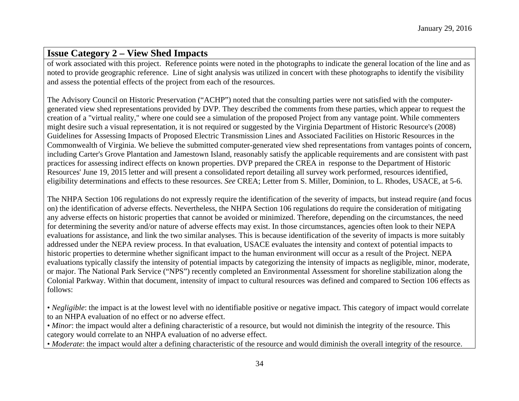of work associated with this project. Reference points were noted in the photographs to indicate the general location of the line and as noted to provide geographic reference. Line of sight analysis was utilized in concert with these photographs to identify the visibility and assess the potential effects of the project from each of the resources.

The Advisory Council on Historic Preservation ("ACHP") noted that the consulting parties were not satisfied with the computergenerated view shed representations provided by DVP. They described the comments from these parties, which appear to request the creation of a "virtual reality," where one could see a simulation of the proposed Project from any vantage point. While commenters might desire such a visual representation, it is not required or suggested by the Virginia Department of Historic Resource's (2008) Guidelines for Assessing Impacts of Proposed Electric Transmission Lines and Associated Facilities on Historic Resources in the Commonwealth of Virginia. We believe the submitted computer-generated view shed representations from vantages points of concern, including Carter's Grove Plantation and Jamestown Island, reasonably satisfy the applicable requirements and are consistent with past practices for assessing indirect effects on known properties. DVP prepared the CREA in response to the Department of Historic Resources' June 19, 2015 letter and will present a consolidated report detailing all survey work performed, resources identified, eligibility determinations and effects to these resources. *See* CREA; Letter from S. Miller, Dominion, to L. Rhodes, USACE, at 5-6.

The NHPA Section 106 regulations do not expressly require the identification of the severity of impacts, but instead require (and focus on) the identification of adverse effects. Nevertheless, the NHPA Section 106 regulations do require the consideration of mitigating any adverse effects on historic properties that cannot be avoided or minimized. Therefore, depending on the circumstances, the need for determining the severity and/or nature of adverse effects may exist. In those circumstances, agencies often look to their NEPA evaluations for assistance, and link the two similar analyses. This is because identification of the severity of impacts is more suitably addressed under the NEPA review process. In that evaluation, USACE evaluates the intensity and context of potential impacts to historic properties to determine whether significant impact to the human environment will occur as a result of the Project. NEPA evaluations typically classify the intensity of potential impacts by categorizing the intensity of impacts as negligible, minor, moderate, or major. The National Park Service ("NPS") recently completed an Environmental Assessment for shoreline stabilization along the Colonial Parkway. Within that document, intensity of impact to cultural resources was defined and compared to Section 106 effects as follows:

• *Negligible*: the impact is at the lowest level with no identifiable positive or negative impact. This category of impact would correlate to an NHPA evaluation of no effect or no adverse effect.

• *Minor*: the impact would alter a defining characteristic of a resource, but would not diminish the integrity of the resource. This category would correlate to an NHPA evaluation of no adverse effect.

• *Moderate*: the impact would alter a defining characteristic of the resource and would diminish the overall integrity of the resource.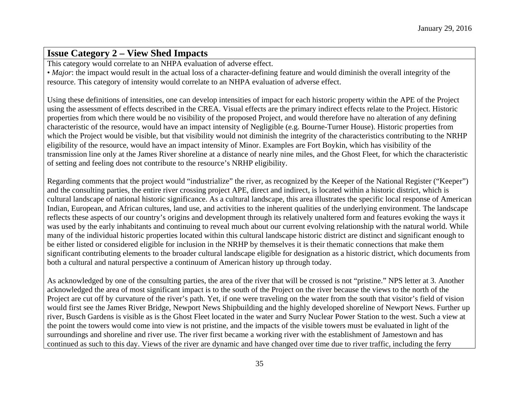This category would correlate to an NHPA evaluation of adverse effect.

• *Major*: the impact would result in the actual loss of a character-defining feature and would diminish the overall integrity of the resource. This category of intensity would correlate to an NHPA evaluation of adverse effect.

Using these definitions of intensities, one can develop intensities of impact for each historic property within the APE of the Project using the assessment of effects described in the CREA. Visual effects are the primary indirect effects relate to the Project. Historic properties from which there would be no visibility of the proposed Project, and would therefore have no alteration of any defining characteristic of the resource, would have an impact intensity of Negligible (e.g. Bourne-Turner House). Historic properties from which the Project would be visible, but that visibility would not diminish the integrity of the characteristics contributing to the NRHP eligibility of the resource, would have an impact intensity of Minor. Examples are Fort Boykin, which has visibility of the transmission line only at the James River shoreline at a distance of nearly nine miles, and the Ghost Fleet, for which the characteristic of setting and feeling does not contribute to the resource's NRHP eligibility.

Regarding comments that the project would "industrialize" the river, as recognized by the Keeper of the National Register ("Keeper") and the consulting parties, the entire river crossing project APE, direct and indirect, is located within a historic district, which is cultural landscape of national historic significance. As a cultural landscape, this area illustrates the specific local response of American Indian, European, and African cultures, land use, and activities to the inherent qualities of the underlying environment. The landscape reflects these aspects of our country's origins and development through its relatively unaltered form and features evoking the ways it was used by the early inhabitants and continuing to reveal much about our current evolving relationship with the natural world. While many of the individual historic properties located within this cultural landscape historic district are distinct and significant enough to be either listed or considered eligible for inclusion in the NRHP by themselves it is their thematic connections that make them significant contributing elements to the broader cultural landscape eligible for designation as a historic district, which documents from both a cultural and natural perspective a continuum of American history up through today.

As acknowledged by one of the consulting parties, the area of the river that will be crossed is not "pristine." NPS letter at 3. Another acknowledged the area of most significant impact is to the south of the Project on the river because the views to the north of the Project are cut off by curvature of the river's path. Yet, if one were traveling on the water from the south that visitor's field of vision would first see the James River Bridge, Newport News Shipbuilding and the highly developed shoreline of Newport News. Further up river, Busch Gardens is visible as is the Ghost Fleet located in the water and Surry Nuclear Power Station to the west. Such a view at the point the towers would come into view is not pristine, and the impacts of the visible towers must be evaluated in light of the surroundings and shoreline and river use. The river first became a working river with the establishment of Jamestown and has continued as such to this day. Views of the river are dynamic and have changed over time due to river traffic, including the ferry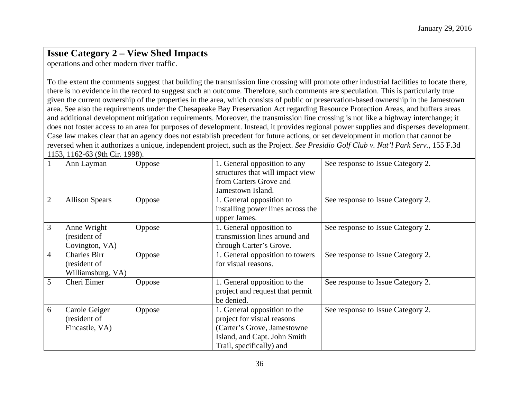operations and other modern river traffic.

To the extent the comments suggest that building the transmission line crossing will promote other industrial facilities to locate there, there is no evidence in the record to suggest such an outcome. Therefore, such comments are speculation. This is particularly true given the current ownership of the properties in the area, which consists of public or preservation-based ownership in the Jamestown area. See also the requirements under the Chesapeake Bay Preservation Act regarding Resource Protection Areas, and buffers areas and additional development mitigation requirements. Moreover, the transmission line crossing is not like a highway interchange; it does not foster access to an area for purposes of development. Instead, it provides regional power supplies and disperses development. Case law makes clear that an agency does not establish precedent for future actions, or set development in motion that cannot be reversed when it authorizes a unique, independent project, such as the Project. *See Presidio Golf Club v. Nat'l Park Serv.*, 155 F.3d 1153, 1162-63 (9th Cir. 1998).

|                | Ann Layman            | Oppose | 1. General opposition to any      | See response to Issue Category 2. |
|----------------|-----------------------|--------|-----------------------------------|-----------------------------------|
|                |                       |        | structures that will impact view  |                                   |
|                |                       |        | from Carters Grove and            |                                   |
|                |                       |        | Jamestown Island.                 |                                   |
| $\overline{2}$ | <b>Allison Spears</b> | Oppose | 1. General opposition to          | See response to Issue Category 2. |
|                |                       |        | installing power lines across the |                                   |
|                |                       |        | upper James.                      |                                   |
| 3              | Anne Wright           | Oppose | 1. General opposition to          | See response to Issue Category 2. |
|                | (resident of          |        | transmission lines around and     |                                   |
|                | Covington, VA)        |        | through Carter's Grove.           |                                   |
| $\overline{4}$ | <b>Charles Birr</b>   | Oppose | 1. General opposition to towers   | See response to Issue Category 2. |
|                | (resident of          |        | for visual reasons.               |                                   |
|                | Williamsburg, VA)     |        |                                   |                                   |
| 5              | Cheri Eimer           | Oppose | 1. General opposition to the      | See response to Issue Category 2. |
|                |                       |        | project and request that permit   |                                   |
|                |                       |        | be denied.                        |                                   |
| 6              | Carole Geiger         | Oppose | 1. General opposition to the      | See response to Issue Category 2. |
|                | (resident of          |        | project for visual reasons        |                                   |
|                | Fincastle, VA)        |        | (Carter's Grove, Jamestowne       |                                   |
|                |                       |        | Island, and Capt. John Smith      |                                   |
|                |                       |        | Trail, specifically) and          |                                   |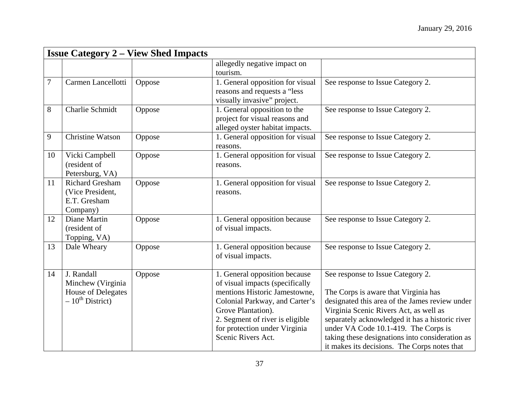|        | <b>Issue Category 2 – View Shed Impacts</b> |        |                                  |                                                 |
|--------|---------------------------------------------|--------|----------------------------------|-------------------------------------------------|
|        |                                             |        | allegedly negative impact on     |                                                 |
|        |                                             |        | tourism.                         |                                                 |
| $\tau$ | Carmen Lancellotti                          | Oppose | 1. General opposition for visual | See response to Issue Category 2.               |
|        |                                             |        | reasons and requests a "less     |                                                 |
|        |                                             |        | visually invasive" project.      |                                                 |
| $8\,$  | Charlie Schmidt                             | Oppose | 1. General opposition to the     | See response to Issue Category 2.               |
|        |                                             |        | project for visual reasons and   |                                                 |
|        |                                             |        | alleged oyster habitat impacts.  |                                                 |
| 9      | <b>Christine Watson</b>                     | Oppose | 1. General opposition for visual | See response to Issue Category 2.               |
|        |                                             |        | reasons.                         |                                                 |
| 10     | Vicki Campbell                              | Oppose | 1. General opposition for visual | See response to Issue Category 2.               |
|        | (resident of                                |        | reasons.                         |                                                 |
|        | Petersburg, VA)                             |        |                                  |                                                 |
| 11     | <b>Richard Gresham</b>                      | Oppose | 1. General opposition for visual | See response to Issue Category 2.               |
|        | (Vice President,                            |        | reasons.                         |                                                 |
|        | E.T. Gresham                                |        |                                  |                                                 |
|        | Company)                                    |        |                                  |                                                 |
| 12     | Diane Martin                                | Oppose | 1. General opposition because    | See response to Issue Category 2.               |
|        | (resident of                                |        | of visual impacts.               |                                                 |
|        | Topping, VA)                                |        |                                  |                                                 |
| 13     | Dale Wheary                                 | Oppose | 1. General opposition because    | See response to Issue Category 2.               |
|        |                                             |        | of visual impacts.               |                                                 |
|        |                                             |        |                                  |                                                 |
| 14     | J. Randall                                  | Oppose | 1. General opposition because    | See response to Issue Category 2.               |
|        | Minchew (Virginia                           |        | of visual impacts (specifically  |                                                 |
|        | House of Delegates                          |        | mentions Historic Jamestowne,    | The Corps is aware that Virginia has            |
|        | $-10^{th}$ District)                        |        | Colonial Parkway, and Carter's   | designated this area of the James review under  |
|        |                                             |        | Grove Plantation).               | Virginia Scenic Rivers Act, as well as          |
|        |                                             |        | 2. Segment of river is eligible  | separately acknowledged it has a historic river |
|        |                                             |        | for protection under Virginia    | under VA Code 10.1-419. The Corps is            |
|        |                                             |        | Scenic Rivers Act.               | taking these designations into consideration as |
|        |                                             |        |                                  | it makes its decisions. The Corps notes that    |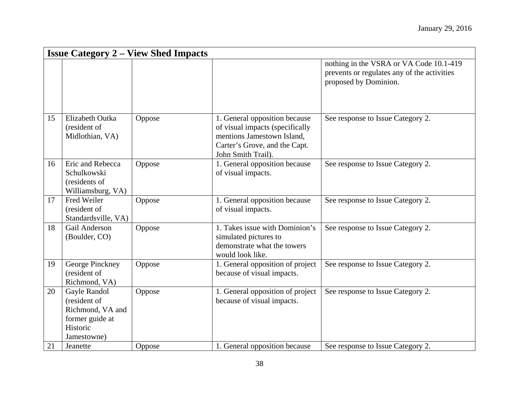|    | <b>Issue Category 2 – View Shed Impacts</b>                                                    |        |                                                                                                                                                       |                                                                                                                 |  |
|----|------------------------------------------------------------------------------------------------|--------|-------------------------------------------------------------------------------------------------------------------------------------------------------|-----------------------------------------------------------------------------------------------------------------|--|
|    |                                                                                                |        |                                                                                                                                                       | nothing in the VSRA or VA Code 10.1-419<br>prevents or regulates any of the activities<br>proposed by Dominion. |  |
| 15 | Elizabeth Outka<br>(resident of<br>Midlothian, VA)                                             | Oppose | 1. General opposition because<br>of visual impacts (specifically<br>mentions Jamestown Island,<br>Carter's Grove, and the Capt.<br>John Smith Trail). | See response to Issue Category 2.                                                                               |  |
| 16 | Eric and Rebecca<br>Schulkowski<br>(residents of<br>Williamsburg, VA)                          | Oppose | 1. General opposition because<br>of visual impacts.                                                                                                   | See response to Issue Category 2.                                                                               |  |
| 17 | Fred Weiler<br>(resident of<br>Standardsville, VA)                                             | Oppose | 1. General opposition because<br>of visual impacts.                                                                                                   | See response to Issue Category 2.                                                                               |  |
| 18 | Gail Anderson<br>(Boulder, CO)                                                                 | Oppose | 1. Takes issue with Dominion's<br>simulated pictures to<br>demonstrate what the towers<br>would look like.                                            | See response to Issue Category 2.                                                                               |  |
| 19 | George Pinckney<br>(resident of<br>Richmond, VA)                                               | Oppose | 1. General opposition of project<br>because of visual impacts.                                                                                        | See response to Issue Category 2.                                                                               |  |
| 20 | Gayle Randol<br>(resident of<br>Richmond, VA and<br>former guide at<br>Historic<br>Jamestowne) | Oppose | 1. General opposition of project<br>because of visual impacts.                                                                                        | See response to Issue Category 2.                                                                               |  |
| 21 | Jeanette                                                                                       | Oppose | 1. General opposition because                                                                                                                         | See response to Issue Category 2.                                                                               |  |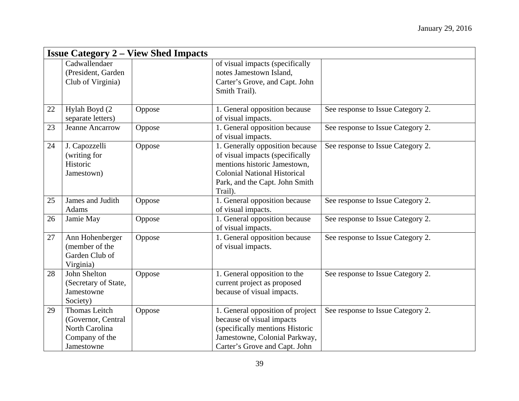|    | <b>Issue Category 2 – View Shed Impacts</b>                                                  |        |                                                                                                                                                                                        |                                   |  |
|----|----------------------------------------------------------------------------------------------|--------|----------------------------------------------------------------------------------------------------------------------------------------------------------------------------------------|-----------------------------------|--|
|    | Cadwallendaer<br>(President, Garden<br>Club of Virginia)                                     |        | of visual impacts (specifically<br>notes Jamestown Island,<br>Carter's Grove, and Capt. John<br>Smith Trail).                                                                          |                                   |  |
| 22 | Hylah Boyd (2<br>separate letters)                                                           | Oppose | 1. General opposition because<br>of visual impacts.                                                                                                                                    | See response to Issue Category 2. |  |
| 23 | <b>Jeanne Ancarrow</b>                                                                       | Oppose | 1. General opposition because<br>of visual impacts.                                                                                                                                    | See response to Issue Category 2. |  |
| 24 | J. Capozzelli<br>(writing for<br>Historic<br>Jamestown)                                      | Oppose | 1. Generally opposition because<br>of visual impacts (specifically<br>mentions historic Jamestown,<br><b>Colonial National Historical</b><br>Park, and the Capt. John Smith<br>Trail). | See response to Issue Category 2. |  |
| 25 | James and Judith<br>Adams                                                                    | Oppose | 1. General opposition because<br>of visual impacts.                                                                                                                                    | See response to Issue Category 2. |  |
| 26 | Jamie May                                                                                    | Oppose | 1. General opposition because<br>of visual impacts.                                                                                                                                    | See response to Issue Category 2. |  |
| 27 | Ann Hohenberger<br>(member of the<br>Garden Club of<br>Virginia)                             | Oppose | 1. General opposition because<br>of visual impacts.                                                                                                                                    | See response to Issue Category 2. |  |
| 28 | John Shelton<br>(Secretary of State,<br>Jamestowne<br>Society)                               | Oppose | 1. General opposition to the<br>current project as proposed<br>because of visual impacts.                                                                                              | See response to Issue Category 2. |  |
| 29 | <b>Thomas Leitch</b><br>(Governor, Central<br>North Carolina<br>Company of the<br>Jamestowne | Oppose | 1. General opposition of project<br>because of visual impacts<br>(specifically mentions Historic<br>Jamestowne, Colonial Parkway,<br>Carter's Grove and Capt. John                     | See response to Issue Category 2. |  |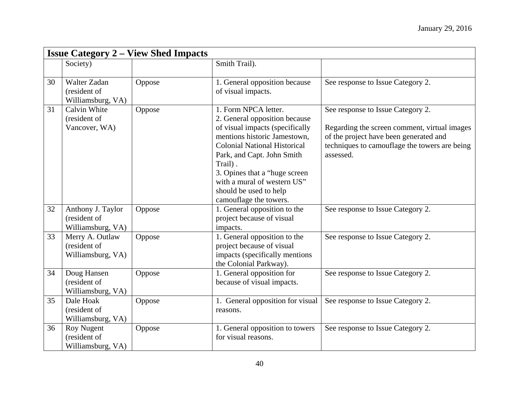|    | <b>Issue Category 2 – View Shed Impacts</b>              |        |                                                                                                                                                                                                                                                                                                                               |                                                                                                                                                                                           |  |
|----|----------------------------------------------------------|--------|-------------------------------------------------------------------------------------------------------------------------------------------------------------------------------------------------------------------------------------------------------------------------------------------------------------------------------|-------------------------------------------------------------------------------------------------------------------------------------------------------------------------------------------|--|
|    | Society)                                                 |        | Smith Trail).                                                                                                                                                                                                                                                                                                                 |                                                                                                                                                                                           |  |
| 30 | <b>Walter Zadan</b><br>(resident of<br>Williamsburg, VA) | Oppose | 1. General opposition because<br>of visual impacts.                                                                                                                                                                                                                                                                           | See response to Issue Category 2.                                                                                                                                                         |  |
| 31 | Calvin White<br>(resident of<br>Vancover, WA)            | Oppose | 1. Form NPCA letter.<br>2. General opposition because<br>of visual impacts (specifically<br>mentions historic Jamestown,<br><b>Colonial National Historical</b><br>Park, and Capt. John Smith<br>Trail).<br>3. Opines that a "huge screen"<br>with a mural of western US"<br>should be used to help<br>camouflage the towers. | See response to Issue Category 2.<br>Regarding the screen comment, virtual images<br>of the project have been generated and<br>techniques to camouflage the towers are being<br>assessed. |  |
| 32 | Anthony J. Taylor<br>(resident of<br>Williamsburg, VA)   | Oppose | 1. General opposition to the<br>project because of visual<br>impacts.                                                                                                                                                                                                                                                         | See response to Issue Category 2.                                                                                                                                                         |  |
| 33 | Merry A. Outlaw<br>(resident of<br>Williamsburg, VA)     | Oppose | 1. General opposition to the<br>project because of visual<br>impacts (specifically mentions<br>the Colonial Parkway).                                                                                                                                                                                                         | See response to Issue Category 2.                                                                                                                                                         |  |
| 34 | Doug Hansen<br>(resident of<br>Williamsburg, VA)         | Oppose | 1. General opposition for<br>because of visual impacts.                                                                                                                                                                                                                                                                       | See response to Issue Category 2.                                                                                                                                                         |  |
| 35 | Dale Hoak<br>(resident of<br>Williamsburg, VA)           | Oppose | 1. General opposition for visual<br>reasons.                                                                                                                                                                                                                                                                                  | See response to Issue Category 2.                                                                                                                                                         |  |
| 36 | <b>Roy Nugent</b><br>(resident of<br>Williamsburg, VA)   | Oppose | 1. General opposition to towers<br>for visual reasons.                                                                                                                                                                                                                                                                        | See response to Issue Category 2.                                                                                                                                                         |  |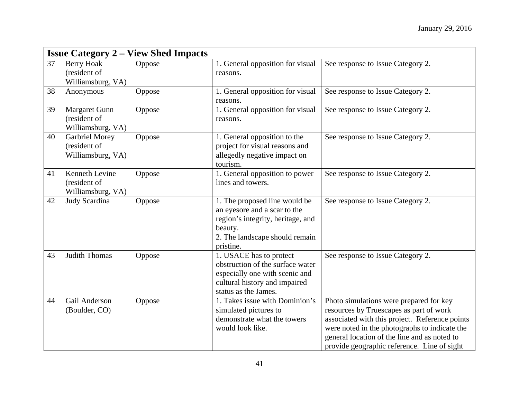|    | <b>Issue Category 2 – View Shed Impacts</b>                |        |                                                                                                                                                              |                                                                                                                                                                                                                                                                                      |  |
|----|------------------------------------------------------------|--------|--------------------------------------------------------------------------------------------------------------------------------------------------------------|--------------------------------------------------------------------------------------------------------------------------------------------------------------------------------------------------------------------------------------------------------------------------------------|--|
| 37 | <b>Berry Hoak</b><br>(resident of<br>Williamsburg, VA)     | Oppose | 1. General opposition for visual<br>reasons.                                                                                                                 | See response to Issue Category 2.                                                                                                                                                                                                                                                    |  |
| 38 | Anonymous                                                  | Oppose | 1. General opposition for visual<br>reasons.                                                                                                                 | See response to Issue Category 2.                                                                                                                                                                                                                                                    |  |
| 39 | <b>Margaret Gunn</b><br>(resident of<br>Williamsburg, VA)  | Oppose | 1. General opposition for visual<br>reasons.                                                                                                                 | See response to Issue Category 2.                                                                                                                                                                                                                                                    |  |
| 40 | <b>Garbriel Morey</b><br>(resident of<br>Williamsburg, VA) | Oppose | 1. General opposition to the<br>project for visual reasons and<br>allegedly negative impact on<br>tourism.                                                   | See response to Issue Category 2.                                                                                                                                                                                                                                                    |  |
| 41 | Kenneth Levine<br>(resident of<br>Williamsburg, VA)        | Oppose | 1. General opposition to power<br>lines and towers.                                                                                                          | See response to Issue Category 2.                                                                                                                                                                                                                                                    |  |
| 42 | Judy Scardina                                              | Oppose | 1. The proposed line would be<br>an eyesore and a scar to the<br>region's integrity, heritage, and<br>beauty.<br>2. The landscape should remain<br>pristine. | See response to Issue Category 2.                                                                                                                                                                                                                                                    |  |
| 43 | Judith Thomas                                              | Oppose | 1. USACE has to protect<br>obstruction of the surface water<br>especially one with scenic and<br>cultural history and impaired<br>status as the James.       | See response to Issue Category 2.                                                                                                                                                                                                                                                    |  |
| 44 | Gail Anderson<br>(Boulder, CO)                             | Oppose | 1. Takes issue with Dominion's<br>simulated pictures to<br>demonstrate what the towers<br>would look like.                                                   | Photo simulations were prepared for key<br>resources by Truescapes as part of work<br>associated with this project. Reference points<br>were noted in the photographs to indicate the<br>general location of the line and as noted to<br>provide geographic reference. Line of sight |  |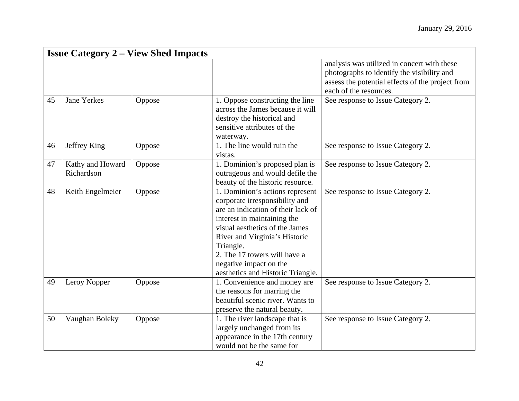|    | <b>Issue Category 2 – View Shed Impacts</b> |        |                                                                                                                                                                                                                                                                                                                       |                                                                                                                                                                         |  |
|----|---------------------------------------------|--------|-----------------------------------------------------------------------------------------------------------------------------------------------------------------------------------------------------------------------------------------------------------------------------------------------------------------------|-------------------------------------------------------------------------------------------------------------------------------------------------------------------------|--|
|    |                                             |        |                                                                                                                                                                                                                                                                                                                       | analysis was utilized in concert with these<br>photographs to identify the visibility and<br>assess the potential effects of the project from<br>each of the resources. |  |
| 45 | <b>Jane Yerkes</b>                          | Oppose | 1. Oppose constructing the line<br>across the James because it will<br>destroy the historical and<br>sensitive attributes of the<br>waterway.                                                                                                                                                                         | See response to Issue Category 2.                                                                                                                                       |  |
| 46 | Jeffrey King                                | Oppose | 1. The line would ruin the<br>vistas.                                                                                                                                                                                                                                                                                 | See response to Issue Category 2.                                                                                                                                       |  |
| 47 | Kathy and Howard<br>Richardson              | Oppose | 1. Dominion's proposed plan is<br>outrageous and would defile the<br>beauty of the historic resource.                                                                                                                                                                                                                 | See response to Issue Category 2.                                                                                                                                       |  |
| 48 | Keith Engelmeier                            | Oppose | 1. Dominion's actions represent<br>corporate irresponsibility and<br>are an indication of their lack of<br>interest in maintaining the<br>visual aesthetics of the James<br>River and Virginia's Historic<br>Triangle.<br>2. The 17 towers will have a<br>negative impact on the<br>aesthetics and Historic Triangle. | See response to Issue Category 2.                                                                                                                                       |  |
| 49 | Leroy Nopper                                | Oppose | 1. Convenience and money are<br>the reasons for marring the<br>beautiful scenic river. Wants to<br>preserve the natural beauty.                                                                                                                                                                                       | See response to Issue Category 2.                                                                                                                                       |  |
| 50 | Vaughan Boleky                              | Oppose | 1. The river landscape that is<br>largely unchanged from its<br>appearance in the 17th century<br>would not be the same for                                                                                                                                                                                           | See response to Issue Category 2.                                                                                                                                       |  |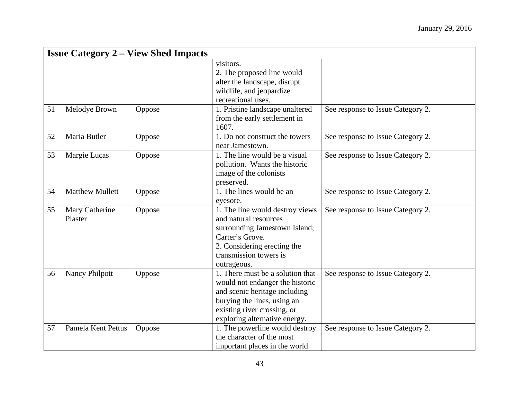|    | <b>Issue Category 2 – View Shed Impacts</b> |        |                                                                                                                                                                                                     |                                   |  |
|----|---------------------------------------------|--------|-----------------------------------------------------------------------------------------------------------------------------------------------------------------------------------------------------|-----------------------------------|--|
|    |                                             |        | visitors.<br>2. The proposed line would<br>alter the landscape, disrupt<br>wildlife, and jeopardize<br>recreational uses.                                                                           |                                   |  |
| 51 | Melodye Brown                               | Oppose | 1. Pristine landscape unaltered<br>from the early settlement in<br>1607.                                                                                                                            | See response to Issue Category 2. |  |
| 52 | Maria Butler                                | Oppose | 1. Do not construct the towers<br>near Jamestown.                                                                                                                                                   | See response to Issue Category 2. |  |
| 53 | Margie Lucas                                | Oppose | 1. The line would be a visual<br>pollution. Wants the historic<br>image of the colonists<br>preserved.                                                                                              | See response to Issue Category 2. |  |
| 54 | <b>Matthew Mullett</b>                      | Oppose | 1. The lines would be an<br>eyesore.                                                                                                                                                                | See response to Issue Category 2. |  |
| 55 | Mary Catherine<br>Plaster                   | Oppose | 1. The line would destroy views<br>and natural resources<br>surrounding Jamestown Island,<br>Carter's Grove.<br>2. Considering erecting the<br>transmission towers is<br>outrageous.                | See response to Issue Category 2. |  |
| 56 | <b>Nancy Philpott</b>                       | Oppose | 1. There must be a solution that<br>would not endanger the historic<br>and scenic heritage including<br>burying the lines, using an<br>existing river crossing, or<br>exploring alternative energy. | See response to Issue Category 2. |  |
| 57 | Pamela Kent Pettus                          | Oppose | 1. The powerline would destroy<br>the character of the most<br>important places in the world.                                                                                                       | See response to Issue Category 2. |  |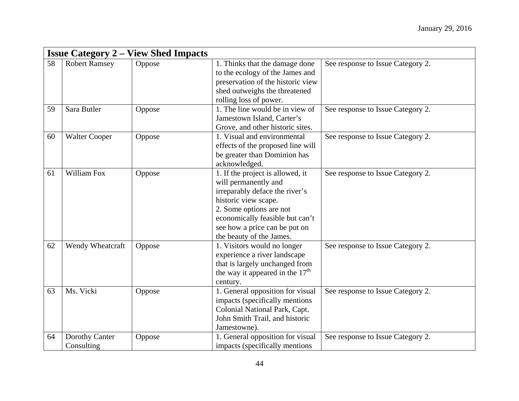|    | <b>Issue Category 2 – View Shed Impacts</b> |        |                                                                                                                                                                                                                                               |                                   |  |
|----|---------------------------------------------|--------|-----------------------------------------------------------------------------------------------------------------------------------------------------------------------------------------------------------------------------------------------|-----------------------------------|--|
| 58 | <b>Robert Ramsey</b>                        | Oppose | 1. Thinks that the damage done<br>to the ecology of the James and<br>preservation of the historic view<br>shed outweighs the threatened<br>rolling loss of power.                                                                             | See response to Issue Category 2. |  |
| 59 | Sara Butler                                 | Oppose | 1. The line would be in view of<br>Jamestown Island, Carter's<br>Grove, and other historic sites.                                                                                                                                             | See response to Issue Category 2. |  |
| 60 | <b>Walter Cooper</b>                        | Oppose | 1. Visual and environmental<br>effects of the proposed line will<br>be greater than Dominion has<br>acknowledged.                                                                                                                             | See response to Issue Category 2. |  |
| 61 | William Fox                                 | Oppose | 1. If the project is allowed, it<br>will permanently and<br>irreparably deface the river's<br>historic view scape.<br>2. Some options are not<br>economically feasible but can't<br>see how a price can be put on<br>the beauty of the James. | See response to Issue Category 2. |  |
| 62 | Wendy Wheatcraft                            | Oppose | 1. Visitors would no longer<br>experience a river landscape<br>that is largely unchanged from<br>the way it appeared in the $17th$<br>century.                                                                                                | See response to Issue Category 2. |  |
| 63 | Ms. Vicki                                   | Oppose | 1. General opposition for visual<br>impacts (specifically mentions)<br>Colonial National Park, Capt.<br>John Smith Trail, and historic<br>Jamestowne).                                                                                        | See response to Issue Category 2. |  |
| 64 | Dorothy Canter<br>Consulting                | Oppose | 1. General opposition for visual<br>impacts (specifically mentions)                                                                                                                                                                           | See response to Issue Category 2. |  |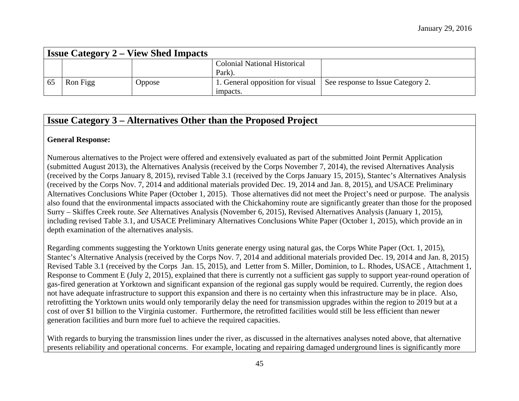|    |          | <b>Issue Category 2 – View Shed Impacts</b> |                                     |                                   |
|----|----------|---------------------------------------------|-------------------------------------|-----------------------------------|
|    |          |                                             | <b>Colonial National Historical</b> |                                   |
|    |          |                                             | Park).                              |                                   |
| 65 | Ron Figg | Oppose                                      | 1. General opposition for visual    | See response to Issue Category 2. |
|    |          |                                             | impacts.                            |                                   |

### **Issue Category 3 – Alternatives Other than the Proposed Project**

#### **General Response:**

Numerous alternatives to the Project were offered and extensively evaluated as part of the submitted Joint Permit Application (submitted August 2013), the Alternatives Analysis (received by the Corps November 7, 2014), the revised Alternatives Analysis (received by the Corps January 8, 2015), revised Table 3.1 (received by the Corps January 15, 2015), Stantec's Alternatives Analysis (received by the Corps Nov. 7, 2014 and additional materials provided Dec. 19, 2014 and Jan. 8, 2015), and USACE Preliminary Alternatives Conclusions White Paper (October 1, 2015). Those alternatives did not meet the Project's need or purpose. The analysis also found that the environmental impacts associated with the Chickahominy route are significantly greater than those for the proposed Surry – Skiffes Creek route. *See* Alternatives Analysis (November 6, 2015), Revised Alternatives Analysis (January 1, 2015), including revised Table 3.1, and USACE Preliminary Alternatives Conclusions White Paper (October 1, 2015), which provide an in depth examination of the alternatives analysis.

Regarding comments suggesting the Yorktown Units generate energy using natural gas, the Corps White Paper (Oct. 1, 2015), Stantec's Alternative Analysis (received by the Corps Nov. 7, 2014 and additional materials provided Dec. 19, 2014 and Jan. 8, 2015) Revised Table 3.1 (received by the Corps Jan. 15, 2015), and Letter from S. Miller, Dominion, to L. Rhodes, USACE , Attachment 1, Response to Comment E (July 2, 2015), explained that there is currently not a sufficient gas supply to support year-round operation of gas-fired generation at Yorktown and significant expansion of the regional gas supply would be required. Currently, the region does not have adequate infrastructure to support this expansion and there is no certainty when this infrastructure may be in place. Also, retrofitting the Yorktown units would only temporarily delay the need for transmission upgrades within the region to 2019 but at a cost of over \$1 billion to the Virginia customer. Furthermore, the retrofitted facilities would still be less efficient than newer generation facilities and burn more fuel to achieve the required capacities.

With regards to burying the transmission lines under the river, as discussed in the alternatives analyses noted above, that alternative presents reliability and operational concerns. For example, locating and repairing damaged underground lines is significantly more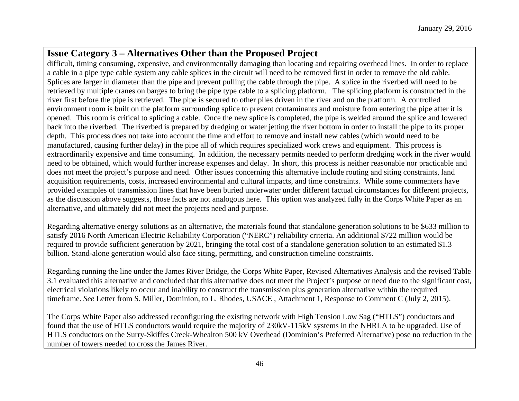# **Issue Category 3 – Alternatives Other than the Proposed Project**

difficult, timing consuming, expensive, and environmentally damaging than locating and repairing overhead lines. In order to replace a cable in a pipe type cable system any cable splices in the circuit will need to be removed first in order to remove the old cable. Splices are larger in diameter than the pipe and prevent pulling the cable through the pipe. A splice in the riverbed will need to be retrieved by multiple cranes on barges to bring the pipe type cable to a splicing platform. The splicing platform is constructed in the river first before the pipe is retrieved. The pipe is secured to other piles driven in the river and on the platform. A controlled environment room is built on the platform surrounding splice to prevent contaminants and moisture from entering the pipe after it is opened. This room is critical to splicing a cable. Once the new splice is completed, the pipe is welded around the splice and lowered back into the riverbed. The riverbed is prepared by dredging or water jetting the river bottom in order to install the pipe to its proper depth. This process does not take into account the time and effort to remove and install new cables (which would need to be manufactured, causing further delay) in the pipe all of which requires specialized work crews and equipment. This process is extraordinarily expensive and time consuming. In addition, the necessary permits needed to perform dredging work in the river would need to be obtained, which would further increase expenses and delay. In short, this process is neither reasonable nor practicable and does not meet the project's purpose and need. Other issues concerning this alternative include routing and siting constraints, land acquisition requirements, costs, increased environmental and cultural impacts, and time constraints. While some commenters have provided examples of transmission lines that have been buried underwater under different factual circumstances for different projects, as the discussion above suggests, those facts are not analogous here. This option was analyzed fully in the Corps White Paper as an alternative, and ultimately did not meet the projects need and purpose.

Regarding alternative energy solutions as an alternative, the materials found that standalone generation solutions to be \$633 million to satisfy 2016 North American Electric Reliability Corporation ("NERC") reliability criteria. An additional \$722 million would be required to provide sufficient generation by 2021, bringing the total cost of a standalone generation solution to an estimated \$1.3 billion. Stand-alone generation would also face siting, permitting, and construction timeline constraints.

Regarding running the line under the James River Bridge, the Corps White Paper, Revised Alternatives Analysis and the revised Table 3.1 evaluated this alternative and concluded that this alternative does not meet the Project's purpose or need due to the significant cost, electrical violations likely to occur and inability to construct the transmission plus generation alternative within the required timeframe. *See* Letter from S. Miller, Dominion, to L. Rhodes, USACE , Attachment 1, Response to Comment C (July 2, 2015).

The Corps White Paper also addressed reconfiguring the existing network with High Tension Low Sag ("HTLS") conductors and found that the use of HTLS conductors would require the majority of 230kV-115kV systems in the NHRLA to be upgraded. Use of HTLS conductors on the Surry-Skiffes Creek-Whealton 500 kV Overhead (Dominion's Preferred Alternative) pose no reduction in the number of towers needed to cross the James River.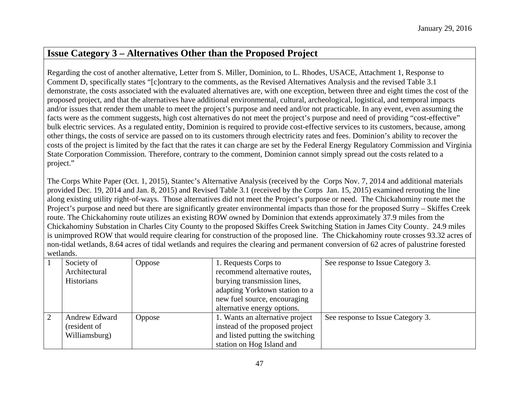## **Issue Category 3 – Alternatives Other than the Proposed Project**

Regarding the cost of another alternative, Letter from S. Miller, Dominion, to L. Rhodes, USACE, Attachment 1, Response to Comment D, specifically states "[c]ontrary to the comments, as the Revised Alternatives Analysis and the revised Table 3.1 demonstrate, the costs associated with the evaluated alternatives are, with one exception, between three and eight times the cost of the proposed project, and that the alternatives have additional environmental, cultural, archeological, logistical, and temporal impacts and/or issues that render them unable to meet the project's purpose and need and/or not practicable. In any event, even assuming the facts were as the comment suggests, high cost alternatives do not meet the project's purpose and need of providing "cost-effective" bulk electric services. As a regulated entity, Dominion is required to provide cost-effective services to its customers, because, among other things, the costs of service are passed on to its customers through electricity rates and fees. Dominion's ability to recover the costs of the project is limited by the fact that the rates it can charge are set by the Federal Energy Regulatory Commission and Virginia State Corporation Commission. Therefore, contrary to the comment, Dominion cannot simply spread out the costs related to a project."

The Corps White Paper (Oct. 1, 2015), Stantec's Alternative Analysis (received by the Corps Nov. 7, 2014 and additional materials provided Dec. 19, 2014 and Jan. 8, 2015) and Revised Table 3.1 (received by the Corps Jan. 15, 2015) examined rerouting the line along existing utility right-of-ways. Those alternatives did not meet the Project's purpose or need. The Chickahominy route met the Project's purpose and need but there are significantly greater environmental impacts than those for the proposed Surry – Skiffes Creek route. The Chickahominy route utilizes an existing ROW owned by Dominion that extends approximately 37.9 miles from the Chickahominy Substation in Charles City County to the proposed Skiffes Creek Switching Station in James City County. 24.9 miles is unimproved ROW that would require clearing for construction of the proposed line. The Chickahominy route crosses 93.32 acres of non-tidal wetlands, 8.64 acres of tidal wetlands and requires the clearing and permanent conversion of 62 acres of palustrine forested wetlands.

|   | Society of    | Oppose | 1. Requests Corps to             | See response to Issue Category 3. |
|---|---------------|--------|----------------------------------|-----------------------------------|
|   | Architectural |        | recommend alternative routes,    |                                   |
|   | Historians    |        | burying transmission lines,      |                                   |
|   |               |        | adapting Yorktown station to a   |                                   |
|   |               |        | new fuel source, encouraging     |                                   |
|   |               |        | alternative energy options.      |                                   |
| 2 | Andrew Edward | Oppose | 1. Wants an alternative project  | See response to Issue Category 3. |
|   | (resident of  |        | instead of the proposed project  |                                   |
|   | Williamsburg) |        | and listed putting the switching |                                   |
|   |               |        | station on Hog Island and        |                                   |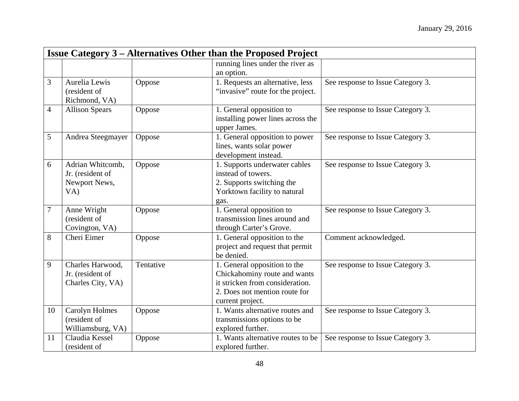|                | <b>Issue Category 3 – Alternatives Other than the Proposed Project</b> |           |                                                           |                                   |  |
|----------------|------------------------------------------------------------------------|-----------|-----------------------------------------------------------|-----------------------------------|--|
|                |                                                                        |           | running lines under the river as                          |                                   |  |
|                |                                                                        |           | an option.                                                |                                   |  |
| $\overline{3}$ | Aurelia Lewis                                                          | Oppose    | 1. Requests an alternative, less                          | See response to Issue Category 3. |  |
|                | (resident of                                                           |           | "invasive" route for the project.                         |                                   |  |
|                | Richmond, VA)                                                          |           |                                                           |                                   |  |
| $\overline{4}$ | <b>Allison Spears</b>                                                  | Oppose    | 1. General opposition to                                  | See response to Issue Category 3. |  |
|                |                                                                        |           | installing power lines across the                         |                                   |  |
|                |                                                                        |           | upper James.                                              |                                   |  |
| $\overline{5}$ | Andrea Steegmayer                                                      | Oppose    | 1. General opposition to power                            | See response to Issue Category 3. |  |
|                |                                                                        |           | lines, wants solar power                                  |                                   |  |
|                |                                                                        |           | development instead.                                      |                                   |  |
| 6              | Adrian Whitcomb,                                                       | Oppose    | 1. Supports underwater cables                             | See response to Issue Category 3. |  |
|                | Jr. (resident of                                                       |           | instead of towers.                                        |                                   |  |
|                | Newport News,                                                          |           | 2. Supports switching the                                 |                                   |  |
|                | VA)                                                                    |           | Yorktown facility to natural                              |                                   |  |
| $\overline{7}$ | Anne Wright                                                            | Oppose    | gas.                                                      | See response to Issue Category 3. |  |
|                | (resident of                                                           |           | 1. General opposition to<br>transmission lines around and |                                   |  |
|                | Covington, VA)                                                         |           | through Carter's Grove.                                   |                                   |  |
| 8              | Cheri Eimer                                                            | Oppose    | 1. General opposition to the                              | Comment acknowledged.             |  |
|                |                                                                        |           | project and request that permit                           |                                   |  |
|                |                                                                        |           | be denied.                                                |                                   |  |
| 9              | Charles Harwood,                                                       | Tentative | 1. General opposition to the                              | See response to Issue Category 3. |  |
|                | Jr. (resident of                                                       |           | Chickahominy route and wants                              |                                   |  |
|                | Charles City, VA)                                                      |           | it stricken from consideration.                           |                                   |  |
|                |                                                                        |           | 2. Does not mention route for                             |                                   |  |
|                |                                                                        |           | current project.                                          |                                   |  |
| 10             | Carolyn Holmes                                                         | Oppose    | 1. Wants alternative routes and                           | See response to Issue Category 3. |  |
|                | (resident of                                                           |           | transmissions options to be                               |                                   |  |
|                | Williamsburg, VA)                                                      |           | explored further.                                         |                                   |  |
| 11             | Claudia Kessel                                                         | Oppose    | 1. Wants alternative routes to be                         | See response to Issue Category 3. |  |
|                | (resident of                                                           |           | explored further.                                         |                                   |  |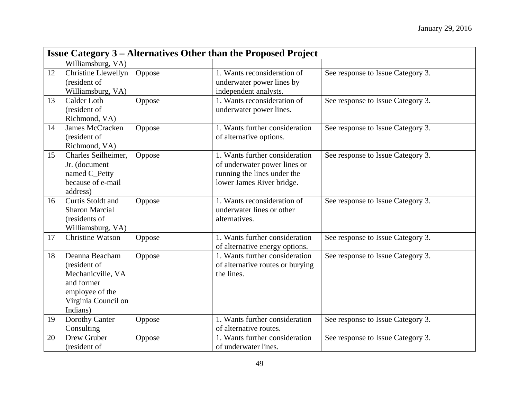|    | <b>Issue Category 3 – Alternatives Other than the Proposed Project</b>                                                  |        |                                                                                                                            |                                   |  |
|----|-------------------------------------------------------------------------------------------------------------------------|--------|----------------------------------------------------------------------------------------------------------------------------|-----------------------------------|--|
|    | Williamsburg, VA)                                                                                                       |        |                                                                                                                            |                                   |  |
| 12 | Christine Llewellyn<br>(resident of<br>Williamsburg, VA)                                                                | Oppose | 1. Wants reconsideration of<br>underwater power lines by<br>independent analysts.                                          | See response to Issue Category 3. |  |
| 13 | Calder Loth<br>(resident of<br>Richmond, VA)                                                                            | Oppose | 1. Wants reconsideration of<br>underwater power lines.                                                                     | See response to Issue Category 3. |  |
| 14 | <b>James McCracken</b><br>(resident of<br>Richmond, VA)                                                                 | Oppose | 1. Wants further consideration<br>of alternative options.                                                                  | See response to Issue Category 3. |  |
| 15 | Charles Seilheimer,<br>Jr. (document<br>named C_Petty<br>because of e-mail<br>address)                                  | Oppose | 1. Wants further consideration<br>of underwater power lines or<br>running the lines under the<br>lower James River bridge. | See response to Issue Category 3. |  |
| 16 | Curtis Stoldt and<br><b>Sharon Marcial</b><br>(residents of<br>Williamsburg, VA)                                        | Oppose | 1. Wants reconsideration of<br>underwater lines or other<br>alternatives.                                                  | See response to Issue Category 3. |  |
| 17 | <b>Christine Watson</b>                                                                                                 | Oppose | 1. Wants further consideration<br>of alternative energy options.                                                           | See response to Issue Category 3. |  |
| 18 | Deanna Beacham<br>(resident of<br>Mechanicville, VA<br>and former<br>employee of the<br>Virginia Council on<br>Indians) | Oppose | 1. Wants further consideration<br>of alternative routes or burying<br>the lines.                                           | See response to Issue Category 3. |  |
| 19 | Dorothy Canter<br>Consulting                                                                                            | Oppose | 1. Wants further consideration<br>of alternative routes.                                                                   | See response to Issue Category 3. |  |
| 20 | Drew Gruber<br>(resident of                                                                                             | Oppose | 1. Wants further consideration<br>of underwater lines.                                                                     | See response to Issue Category 3. |  |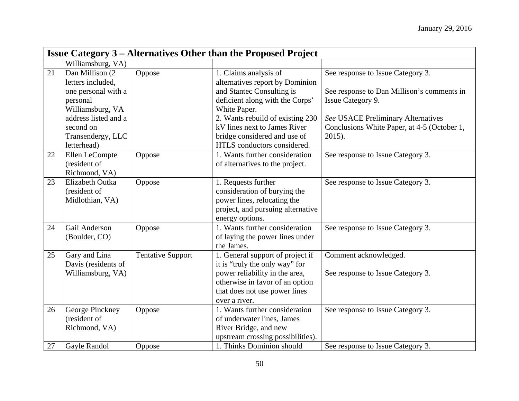|    | <b>Issue Category 3 – Alternatives Other than the Proposed Project</b> |                          |                                                          |                                             |  |
|----|------------------------------------------------------------------------|--------------------------|----------------------------------------------------------|---------------------------------------------|--|
|    | Williamsburg, VA)                                                      |                          |                                                          |                                             |  |
| 21 | Dan Millison (2)<br>letters included,                                  | Oppose                   | 1. Claims analysis of<br>alternatives report by Dominion | See response to Issue Category 3.           |  |
|    | one personal with a                                                    |                          | and Stantec Consulting is                                | See response to Dan Millison's comments in  |  |
|    | personal                                                               |                          | deficient along with the Corps'                          | Issue Category 9.                           |  |
|    | Williamsburg, VA<br>address listed and a                               |                          | White Paper.<br>2. Wants rebuild of existing 230         | See USACE Preliminary Alternatives          |  |
|    | second on                                                              |                          | kV lines next to James River                             | Conclusions White Paper, at 4-5 (October 1, |  |
|    | Transendergy, LLC                                                      |                          | bridge considered and use of                             | 2015).                                      |  |
|    | letterhead)                                                            |                          | HTLS conductors considered.                              |                                             |  |
| 22 | Ellen LeCompte                                                         | Oppose                   | 1. Wants further consideration                           | See response to Issue Category 3.           |  |
|    | (resident of                                                           |                          | of alternatives to the project.                          |                                             |  |
|    | Richmond, VA)                                                          |                          |                                                          |                                             |  |
| 23 | Elizabeth Outka                                                        | Oppose                   | 1. Requests further                                      | See response to Issue Category 3.           |  |
|    | (resident of                                                           |                          | consideration of burying the                             |                                             |  |
|    | Midlothian, VA)                                                        |                          | power lines, relocating the                              |                                             |  |
|    |                                                                        |                          | project, and pursuing alternative                        |                                             |  |
|    |                                                                        |                          | energy options.                                          |                                             |  |
| 24 | Gail Anderson                                                          | Oppose                   | 1. Wants further consideration                           | See response to Issue Category 3.           |  |
|    | (Boulder, CO)                                                          |                          | of laying the power lines under                          |                                             |  |
|    |                                                                        |                          | the James.                                               |                                             |  |
| 25 | Gary and Lina                                                          | <b>Tentative Support</b> | 1. General support of project if                         | Comment acknowledged.                       |  |
|    | Davis (residents of                                                    |                          | it is "truly the only way" for                           |                                             |  |
|    | Williamsburg, VA)                                                      |                          | power reliability in the area,                           | See response to Issue Category 3.           |  |
|    |                                                                        |                          | otherwise in favor of an option                          |                                             |  |
|    |                                                                        |                          | that does not use power lines                            |                                             |  |
|    |                                                                        |                          | over a river.                                            |                                             |  |
| 26 | George Pinckney                                                        | Oppose                   | 1. Wants further consideration                           | See response to Issue Category 3.           |  |
|    | (resident of                                                           |                          | of underwater lines, James                               |                                             |  |
|    | Richmond, VA)                                                          |                          | River Bridge, and new                                    |                                             |  |
|    |                                                                        |                          | upstream crossing possibilities).                        |                                             |  |
| 27 | Gayle Randol                                                           | Oppose                   | 1. Thinks Dominion should                                | See response to Issue Category 3.           |  |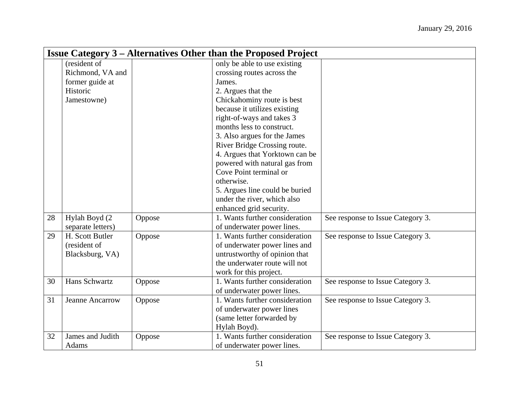|    | <b>Issue Category 3 – Alternatives Other than the Proposed Project</b> |        |                                |                                   |  |
|----|------------------------------------------------------------------------|--------|--------------------------------|-----------------------------------|--|
|    | (resident of                                                           |        | only be able to use existing   |                                   |  |
|    | Richmond, VA and                                                       |        | crossing routes across the     |                                   |  |
|    | former guide at                                                        |        | James.                         |                                   |  |
|    | Historic                                                               |        | 2. Argues that the             |                                   |  |
|    | Jamestowne)                                                            |        | Chickahominy route is best     |                                   |  |
|    |                                                                        |        | because it utilizes existing   |                                   |  |
|    |                                                                        |        | right-of-ways and takes 3      |                                   |  |
|    |                                                                        |        | months less to construct.      |                                   |  |
|    |                                                                        |        | 3. Also argues for the James   |                                   |  |
|    |                                                                        |        | River Bridge Crossing route.   |                                   |  |
|    |                                                                        |        | 4. Argues that Yorktown can be |                                   |  |
|    |                                                                        |        | powered with natural gas from  |                                   |  |
|    |                                                                        |        | Cove Point terminal or         |                                   |  |
|    |                                                                        |        | otherwise.                     |                                   |  |
|    |                                                                        |        | 5. Argues line could be buried |                                   |  |
|    |                                                                        |        | under the river, which also    |                                   |  |
|    |                                                                        |        | enhanced grid security.        |                                   |  |
| 28 | Hylah Boyd (2                                                          | Oppose | 1. Wants further consideration | See response to Issue Category 3. |  |
|    | separate letters)                                                      |        | of underwater power lines.     |                                   |  |
| 29 | H. Scott Butler                                                        | Oppose | 1. Wants further consideration | See response to Issue Category 3. |  |
|    | (resident of                                                           |        | of underwater power lines and  |                                   |  |
|    | Blacksburg, VA)                                                        |        | untrustworthy of opinion that  |                                   |  |
|    |                                                                        |        | the underwater route will not  |                                   |  |
|    |                                                                        |        | work for this project.         |                                   |  |
| 30 | Hans Schwartz                                                          | Oppose | 1. Wants further consideration | See response to Issue Category 3. |  |
|    |                                                                        |        | of underwater power lines.     |                                   |  |
| 31 | Jeanne Ancarrow                                                        | Oppose | 1. Wants further consideration | See response to Issue Category 3. |  |
|    |                                                                        |        | of underwater power lines      |                                   |  |
|    |                                                                        |        | (same letter forwarded by      |                                   |  |
|    |                                                                        |        | Hylah Boyd).                   |                                   |  |
| 32 | James and Judith                                                       | Oppose | 1. Wants further consideration | See response to Issue Category 3. |  |
|    | Adams                                                                  |        | of underwater power lines.     |                                   |  |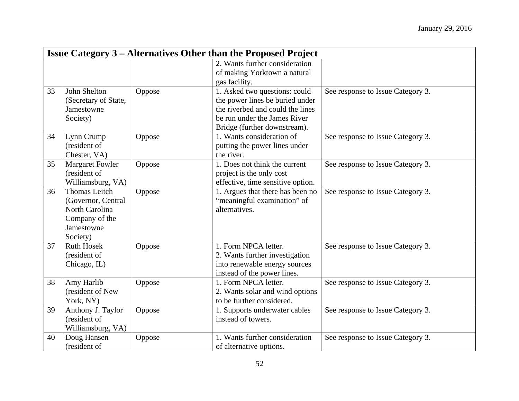|    | <b>Issue Category 3 – Alternatives Other than the Proposed Project</b> |        |                                   |                                   |  |
|----|------------------------------------------------------------------------|--------|-----------------------------------|-----------------------------------|--|
|    |                                                                        |        | 2. Wants further consideration    |                                   |  |
|    |                                                                        |        | of making Yorktown a natural      |                                   |  |
|    |                                                                        |        | gas facility.                     |                                   |  |
| 33 | John Shelton                                                           | Oppose | 1. Asked two questions: could     | See response to Issue Category 3. |  |
|    | (Secretary of State,                                                   |        | the power lines be buried under   |                                   |  |
|    | Jamestowne                                                             |        | the riverbed and could the lines  |                                   |  |
|    | Society)                                                               |        | be run under the James River      |                                   |  |
|    |                                                                        |        | Bridge (further downstream).      |                                   |  |
| 34 | Lynn Crump                                                             | Oppose | 1. Wants consideration of         | See response to Issue Category 3. |  |
|    | (resident of                                                           |        | putting the power lines under     |                                   |  |
|    | Chester, VA)                                                           |        | the river.                        |                                   |  |
| 35 | <b>Margaret Fowler</b>                                                 | Oppose | 1. Does not think the current     | See response to Issue Category 3. |  |
|    | (resident of                                                           |        | project is the only cost          |                                   |  |
|    | Williamsburg, VA)                                                      |        | effective, time sensitive option. |                                   |  |
| 36 | <b>Thomas Leitch</b>                                                   | Oppose | 1. Argues that there has been no  | See response to Issue Category 3. |  |
|    | (Governor, Central                                                     |        | "meaningful examination" of       |                                   |  |
|    | North Carolina                                                         |        | alternatives.                     |                                   |  |
|    | Company of the                                                         |        |                                   |                                   |  |
|    | Jamestowne                                                             |        |                                   |                                   |  |
|    | Society)                                                               |        |                                   |                                   |  |
| 37 | <b>Ruth Hosek</b>                                                      | Oppose | 1. Form NPCA letter.              | See response to Issue Category 3. |  |
|    | (resident of                                                           |        | 2. Wants further investigation    |                                   |  |
|    | Chicago, IL)                                                           |        | into renewable energy sources     |                                   |  |
|    |                                                                        |        | instead of the power lines.       |                                   |  |
| 38 | Amy Harlib                                                             | Oppose | 1. Form NPCA letter.              | See response to Issue Category 3. |  |
|    | (resident of New                                                       |        | 2. Wants solar and wind options   |                                   |  |
|    | York, NY)                                                              |        | to be further considered.         |                                   |  |
| 39 | Anthony J. Taylor                                                      | Oppose | 1. Supports underwater cables     | See response to Issue Category 3. |  |
|    | (resident of                                                           |        | instead of towers.                |                                   |  |
|    | Williamsburg, VA)                                                      |        |                                   |                                   |  |
| 40 | Doug Hansen                                                            | Oppose | 1. Wants further consideration    | See response to Issue Category 3. |  |
|    | (resident of                                                           |        | of alternative options.           |                                   |  |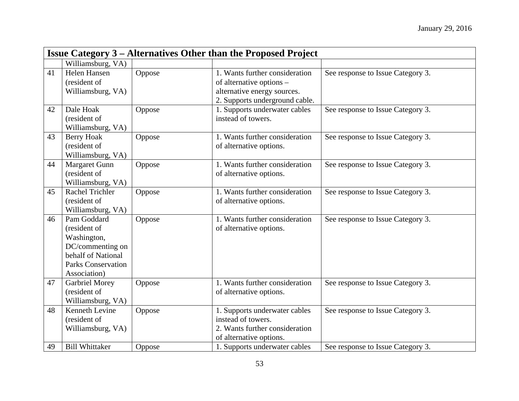|    | <b>Issue Category 3 – Alternatives Other than the Proposed Project</b>                                                            |        |                                                                                                                             |                                   |  |
|----|-----------------------------------------------------------------------------------------------------------------------------------|--------|-----------------------------------------------------------------------------------------------------------------------------|-----------------------------------|--|
|    | Williamsburg, VA)                                                                                                                 |        |                                                                                                                             |                                   |  |
| 41 | Helen Hansen<br>(resident of<br>Williamsburg, VA)                                                                                 | Oppose | 1. Wants further consideration<br>of alternative options -<br>alternative energy sources.<br>2. Supports underground cable. | See response to Issue Category 3. |  |
| 42 | Dale Hoak<br>(resident of<br>Williamsburg, VA)                                                                                    | Oppose | 1. Supports underwater cables<br>instead of towers.                                                                         | See response to Issue Category 3. |  |
| 43 | <b>Berry Hoak</b><br>(resident of<br>Williamsburg, VA)                                                                            | Oppose | 1. Wants further consideration<br>of alternative options.                                                                   | See response to Issue Category 3. |  |
| 44 | <b>Margaret Gunn</b><br>(resident of<br>Williamsburg, VA)                                                                         | Oppose | 1. Wants further consideration<br>of alternative options.                                                                   | See response to Issue Category 3. |  |
| 45 | <b>Rachel Trichler</b><br>(resident of<br>Williamsburg, VA)                                                                       | Oppose | 1. Wants further consideration<br>of alternative options.                                                                   | See response to Issue Category 3. |  |
| 46 | Pam Goddard<br>(resident of<br>Washington,<br>DC/commenting on<br>behalf of National<br><b>Parks Conservation</b><br>Association) | Oppose | 1. Wants further consideration<br>of alternative options.                                                                   | See response to Issue Category 3. |  |
| 47 | <b>Garbriel Morey</b><br>(resident of<br>Williamsburg, VA)                                                                        | Oppose | 1. Wants further consideration<br>of alternative options.                                                                   | See response to Issue Category 3. |  |
| 48 | Kenneth Levine<br>(resident of<br>Williamsburg, VA)                                                                               | Oppose | 1. Supports underwater cables<br>instead of towers.<br>2. Wants further consideration<br>of alternative options.            | See response to Issue Category 3. |  |
| 49 | <b>Bill Whittaker</b>                                                                                                             | Oppose | 1. Supports underwater cables                                                                                               | See response to Issue Category 3. |  |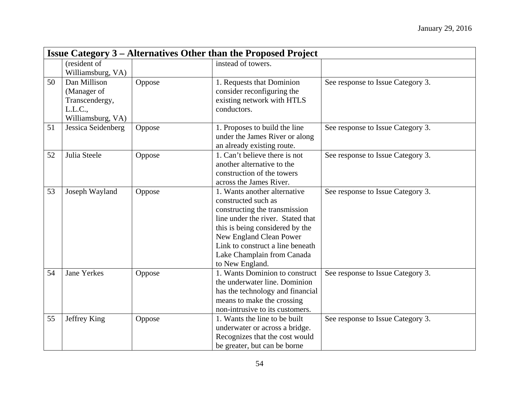|    | <b>Issue Category 3 – Alternatives Other than the Proposed Project</b> |        |                                   |                                   |  |  |
|----|------------------------------------------------------------------------|--------|-----------------------------------|-----------------------------------|--|--|
|    | (resident of                                                           |        | instead of towers.                |                                   |  |  |
|    | Williamsburg, VA)                                                      |        |                                   |                                   |  |  |
| 50 | Dan Millison                                                           | Oppose | 1. Requests that Dominion         | See response to Issue Category 3. |  |  |
|    | (Manager of                                                            |        | consider reconfiguring the        |                                   |  |  |
|    | Transcendergy,                                                         |        | existing network with HTLS        |                                   |  |  |
|    | L.L.C.,                                                                |        | conductors.                       |                                   |  |  |
|    | Williamsburg, VA)                                                      |        |                                   |                                   |  |  |
| 51 | Jessica Seidenberg                                                     | Oppose | 1. Proposes to build the line     | See response to Issue Category 3. |  |  |
|    |                                                                        |        | under the James River or along    |                                   |  |  |
|    |                                                                        |        | an already existing route.        |                                   |  |  |
| 52 | Julia Steele                                                           | Oppose | 1. Can't believe there is not     | See response to Issue Category 3. |  |  |
|    |                                                                        |        | another alternative to the        |                                   |  |  |
|    |                                                                        |        | construction of the towers        |                                   |  |  |
|    |                                                                        |        | across the James River.           |                                   |  |  |
| 53 | Joseph Wayland                                                         | Oppose | 1. Wants another alternative      | See response to Issue Category 3. |  |  |
|    |                                                                        |        | constructed such as               |                                   |  |  |
|    |                                                                        |        | constructing the transmission     |                                   |  |  |
|    |                                                                        |        | line under the river. Stated that |                                   |  |  |
|    |                                                                        |        | this is being considered by the   |                                   |  |  |
|    |                                                                        |        | New England Clean Power           |                                   |  |  |
|    |                                                                        |        | Link to construct a line beneath  |                                   |  |  |
|    |                                                                        |        | Lake Champlain from Canada        |                                   |  |  |
|    |                                                                        |        | to New England.                   |                                   |  |  |
| 54 | <b>Jane Yerkes</b>                                                     | Oppose | 1. Wants Dominion to construct    | See response to Issue Category 3. |  |  |
|    |                                                                        |        | the underwater line. Dominion     |                                   |  |  |
|    |                                                                        |        | has the technology and financial  |                                   |  |  |
|    |                                                                        |        | means to make the crossing        |                                   |  |  |
|    |                                                                        |        | non-intrusive to its customers.   |                                   |  |  |
| 55 | Jeffrey King                                                           | Oppose | 1. Wants the line to be built     | See response to Issue Category 3. |  |  |
|    |                                                                        |        | underwater or across a bridge.    |                                   |  |  |
|    |                                                                        |        | Recognizes that the cost would    |                                   |  |  |
|    |                                                                        |        | be greater, but can be borne      |                                   |  |  |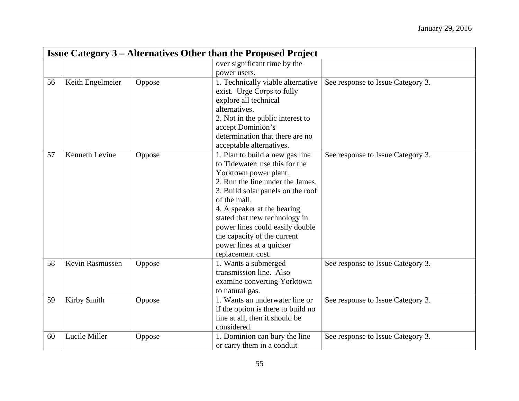|    | <b>Issue Category 3 – Alternatives Other than the Proposed Project</b> |        |                                                 |                                   |  |
|----|------------------------------------------------------------------------|--------|-------------------------------------------------|-----------------------------------|--|
|    |                                                                        |        | over significant time by the                    |                                   |  |
|    |                                                                        |        | power users.                                    |                                   |  |
| 56 | Keith Engelmeier                                                       | Oppose | 1. Technically viable alternative               | See response to Issue Category 3. |  |
|    |                                                                        |        | exist. Urge Corps to fully                      |                                   |  |
|    |                                                                        |        | explore all technical                           |                                   |  |
|    |                                                                        |        | alternatives.                                   |                                   |  |
|    |                                                                        |        | 2. Not in the public interest to                |                                   |  |
|    |                                                                        |        | accept Dominion's                               |                                   |  |
|    |                                                                        |        | determination that there are no                 |                                   |  |
|    |                                                                        |        | acceptable alternatives.                        |                                   |  |
| 57 | Kenneth Levine                                                         | Oppose | 1. Plan to build a new gas line                 | See response to Issue Category 3. |  |
|    |                                                                        |        | to Tidewater; use this for the                  |                                   |  |
|    |                                                                        |        | Yorktown power plant.                           |                                   |  |
|    |                                                                        |        | 2. Run the line under the James.                |                                   |  |
|    |                                                                        |        | 3. Build solar panels on the roof               |                                   |  |
|    |                                                                        |        | of the mall.                                    |                                   |  |
|    |                                                                        |        | 4. A speaker at the hearing                     |                                   |  |
|    |                                                                        |        | stated that new technology in                   |                                   |  |
|    |                                                                        |        | power lines could easily double                 |                                   |  |
|    |                                                                        |        | the capacity of the current                     |                                   |  |
|    |                                                                        |        | power lines at a quicker                        |                                   |  |
| 58 | Kevin Rasmussen                                                        |        | replacement cost.                               |                                   |  |
|    |                                                                        | Oppose | 1. Wants a submerged<br>transmission line. Also | See response to Issue Category 3. |  |
|    |                                                                        |        | examine converting Yorktown                     |                                   |  |
|    |                                                                        |        | to natural gas.                                 |                                   |  |
| 59 | Kirby Smith                                                            | Oppose | 1. Wants an underwater line or                  | See response to Issue Category 3. |  |
|    |                                                                        |        | if the option is there to build no              |                                   |  |
|    |                                                                        |        | line at all, then it should be                  |                                   |  |
|    |                                                                        |        | considered.                                     |                                   |  |
| 60 | Lucile Miller                                                          | Oppose | 1. Dominion can bury the line                   | See response to Issue Category 3. |  |
|    |                                                                        |        | or carry them in a conduit                      |                                   |  |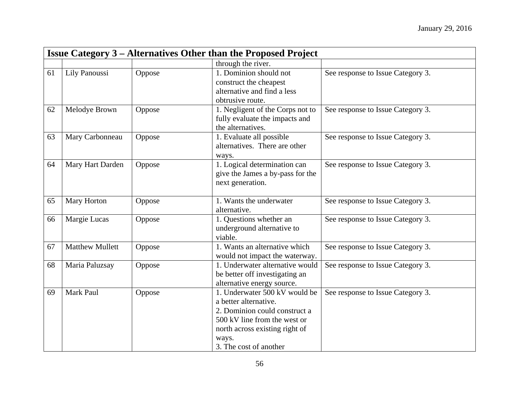|    | <b>Issue Category 3 – Alternatives Other than the Proposed Project</b> |        |                                                                                                                                                                                              |                                   |  |
|----|------------------------------------------------------------------------|--------|----------------------------------------------------------------------------------------------------------------------------------------------------------------------------------------------|-----------------------------------|--|
|    |                                                                        |        | through the river.                                                                                                                                                                           |                                   |  |
| 61 | Lily Panoussi                                                          | Oppose | 1. Dominion should not<br>construct the cheapest<br>alternative and find a less<br>obtrusive route.                                                                                          | See response to Issue Category 3. |  |
| 62 | Melodye Brown                                                          | Oppose | 1. Negligent of the Corps not to<br>fully evaluate the impacts and<br>the alternatives.                                                                                                      | See response to Issue Category 3. |  |
| 63 | Mary Carbonneau                                                        | Oppose | 1. Evaluate all possible<br>alternatives. There are other<br>ways.                                                                                                                           | See response to Issue Category 3. |  |
| 64 | Mary Hart Darden                                                       | Oppose | 1. Logical determination can<br>give the James a by-pass for the<br>next generation.                                                                                                         | See response to Issue Category 3. |  |
| 65 | Mary Horton                                                            | Oppose | 1. Wants the underwater<br>alternative.                                                                                                                                                      | See response to Issue Category 3. |  |
| 66 | Margie Lucas                                                           | Oppose | 1. Questions whether an<br>underground alternative to<br>viable.                                                                                                                             | See response to Issue Category 3. |  |
| 67 | <b>Matthew Mullett</b>                                                 | Oppose | 1. Wants an alternative which<br>would not impact the waterway.                                                                                                                              | See response to Issue Category 3. |  |
| 68 | Maria Paluzsay                                                         | Oppose | 1. Underwater alternative would<br>be better off investigating an<br>alternative energy source.                                                                                              | See response to Issue Category 3. |  |
| 69 | Mark Paul                                                              | Oppose | 1. Underwater 500 kV would be<br>a better alternative.<br>2. Dominion could construct a<br>500 kV line from the west or<br>north across existing right of<br>ways.<br>3. The cost of another | See response to Issue Category 3. |  |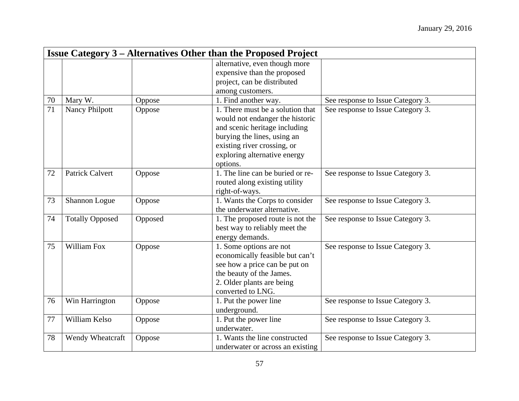|    | <b>Issue Category 3 – Alternatives Other than the Proposed Project</b> |         |                                  |                                   |  |
|----|------------------------------------------------------------------------|---------|----------------------------------|-----------------------------------|--|
|    |                                                                        |         | alternative, even though more    |                                   |  |
|    |                                                                        |         | expensive than the proposed      |                                   |  |
|    |                                                                        |         | project, can be distributed      |                                   |  |
|    |                                                                        |         | among customers.                 |                                   |  |
| 70 | Mary W.                                                                | Oppose  | 1. Find another way.             | See response to Issue Category 3. |  |
| 71 | <b>Nancy Philpott</b>                                                  | Oppose  | 1. There must be a solution that | See response to Issue Category 3. |  |
|    |                                                                        |         | would not endanger the historic  |                                   |  |
|    |                                                                        |         | and scenic heritage including    |                                   |  |
|    |                                                                        |         | burying the lines, using an      |                                   |  |
|    |                                                                        |         | existing river crossing, or      |                                   |  |
|    |                                                                        |         | exploring alternative energy     |                                   |  |
|    |                                                                        |         | options.                         |                                   |  |
| 72 | <b>Patrick Calvert</b>                                                 | Oppose  | 1. The line can be buried or re- | See response to Issue Category 3. |  |
|    |                                                                        |         | routed along existing utility    |                                   |  |
|    |                                                                        |         | right-of-ways.                   |                                   |  |
| 73 | Shannon Logue                                                          | Oppose  | 1. Wants the Corps to consider   | See response to Issue Category 3. |  |
|    |                                                                        |         | the underwater alternative.      |                                   |  |
| 74 | <b>Totally Opposed</b>                                                 | Opposed | 1. The proposed route is not the | See response to Issue Category 3. |  |
|    |                                                                        |         | best way to reliably meet the    |                                   |  |
|    |                                                                        |         | energy demands.                  |                                   |  |
| 75 | William Fox                                                            | Oppose  | 1. Some options are not          | See response to Issue Category 3. |  |
|    |                                                                        |         | economically feasible but can't  |                                   |  |
|    |                                                                        |         | see how a price can be put on    |                                   |  |
|    |                                                                        |         | the beauty of the James.         |                                   |  |
|    |                                                                        |         | 2. Older plants are being        |                                   |  |
|    |                                                                        |         | converted to LNG.                |                                   |  |
| 76 | Win Harrington                                                         | Oppose  | 1. Put the power line            | See response to Issue Category 3. |  |
|    |                                                                        |         | underground.                     |                                   |  |
| 77 | William Kelso                                                          | Oppose  | 1. Put the power line            | See response to Issue Category 3. |  |
|    |                                                                        |         | underwater.                      |                                   |  |
| 78 | Wendy Wheatcraft                                                       | Oppose  | 1. Wants the line constructed    | See response to Issue Category 3. |  |
|    |                                                                        |         | underwater or across an existing |                                   |  |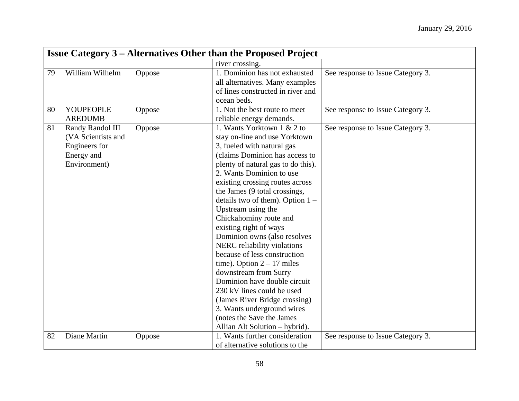|    | <b>Issue Category 3 – Alternatives Other than the Proposed Project</b>                |        |                                                                                                                                                                                                                                                                                                                                                                                                                                                                                                                                                                                                                                                                                                                                       |                                   |  |
|----|---------------------------------------------------------------------------------------|--------|---------------------------------------------------------------------------------------------------------------------------------------------------------------------------------------------------------------------------------------------------------------------------------------------------------------------------------------------------------------------------------------------------------------------------------------------------------------------------------------------------------------------------------------------------------------------------------------------------------------------------------------------------------------------------------------------------------------------------------------|-----------------------------------|--|
|    |                                                                                       |        | river crossing.                                                                                                                                                                                                                                                                                                                                                                                                                                                                                                                                                                                                                                                                                                                       |                                   |  |
| 79 | William Wilhelm                                                                       | Oppose | 1. Dominion has not exhausted<br>all alternatives. Many examples<br>of lines constructed in river and<br>ocean beds.                                                                                                                                                                                                                                                                                                                                                                                                                                                                                                                                                                                                                  | See response to Issue Category 3. |  |
| 80 | YOUPEOPLE<br><b>AREDUMB</b>                                                           | Oppose | 1. Not the best route to meet<br>reliable energy demands.                                                                                                                                                                                                                                                                                                                                                                                                                                                                                                                                                                                                                                                                             | See response to Issue Category 3. |  |
| 81 | Randy Randol III<br>(VA Scientists and<br>Engineers for<br>Energy and<br>Environment) | Oppose | 1. Wants Yorktown 1 & 2 to<br>stay on-line and use Yorktown<br>3, fueled with natural gas<br>(claims Dominion has access to<br>plenty of natural gas to do this).<br>2. Wants Dominion to use<br>existing crossing routes across<br>the James (9 total crossings,<br>details two of them). Option $1 -$<br>Upstream using the<br>Chickahominy route and<br>existing right of ways<br>Dominion owns (also resolves<br>NERC reliability violations<br>because of less construction<br>time). Option $2 - 17$ miles<br>downstream from Surry<br>Dominion have double circuit<br>230 kV lines could be used<br>(James River Bridge crossing)<br>3. Wants underground wires<br>(notes the Save the James<br>Allian Alt Solution - hybrid). | See response to Issue Category 3. |  |
| 82 | Diane Martin                                                                          | Oppose | 1. Wants further consideration<br>of alternative solutions to the                                                                                                                                                                                                                                                                                                                                                                                                                                                                                                                                                                                                                                                                     | See response to Issue Category 3. |  |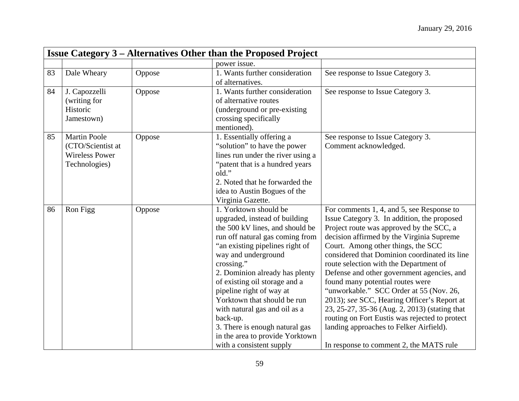|    | <b>Issue Category 3 – Alternatives Other than the Proposed Project</b>             |        |                                                                                                                                                                                                                                                                                                                                                                                                                                                                                  |                                                                                                                                                                                                                                                                                                                                                                                                                                                                                                                                                                                                                                                                                         |
|----|------------------------------------------------------------------------------------|--------|----------------------------------------------------------------------------------------------------------------------------------------------------------------------------------------------------------------------------------------------------------------------------------------------------------------------------------------------------------------------------------------------------------------------------------------------------------------------------------|-----------------------------------------------------------------------------------------------------------------------------------------------------------------------------------------------------------------------------------------------------------------------------------------------------------------------------------------------------------------------------------------------------------------------------------------------------------------------------------------------------------------------------------------------------------------------------------------------------------------------------------------------------------------------------------------|
|    |                                                                                    |        | power issue.                                                                                                                                                                                                                                                                                                                                                                                                                                                                     |                                                                                                                                                                                                                                                                                                                                                                                                                                                                                                                                                                                                                                                                                         |
| 83 | Dale Wheary                                                                        | Oppose | 1. Wants further consideration<br>of alternatives.                                                                                                                                                                                                                                                                                                                                                                                                                               | See response to Issue Category 3.                                                                                                                                                                                                                                                                                                                                                                                                                                                                                                                                                                                                                                                       |
| 84 | J. Capozzelli<br>(writing for<br>Historic<br>Jamestown)                            | Oppose | 1. Wants further consideration<br>of alternative routes<br>(underground or pre-existing)<br>crossing specifically<br>mentioned).                                                                                                                                                                                                                                                                                                                                                 | See response to Issue Category 3.                                                                                                                                                                                                                                                                                                                                                                                                                                                                                                                                                                                                                                                       |
| 85 | <b>Martin Poole</b><br>(CTO/Scientist at<br><b>Wireless Power</b><br>Technologies) | Oppose | 1. Essentially offering a<br>"solution" to have the power<br>lines run under the river using a<br>"patent that is a hundred years"<br>old."<br>2. Noted that he forwarded the<br>idea to Austin Bogues of the<br>Virginia Gazette.                                                                                                                                                                                                                                               | See response to Issue Category 3.<br>Comment acknowledged.                                                                                                                                                                                                                                                                                                                                                                                                                                                                                                                                                                                                                              |
| 86 | Ron Figg                                                                           | Oppose | 1. Yorktown should be<br>upgraded, instead of building<br>the 500 kV lines, and should be<br>run off natural gas coming from<br>"an existing pipelines right of<br>way and underground<br>crossing."<br>2. Dominion already has plenty<br>of existing oil storage and a<br>pipeline right of way at<br>Yorktown that should be run<br>with natural gas and oil as a<br>back-up.<br>3. There is enough natural gas<br>in the area to provide Yorktown<br>with a consistent supply | For comments 1, 4, and 5, see Response to<br>Issue Category 3. In addition, the proposed<br>Project route was approved by the SCC, a<br>decision affirmed by the Virginia Supreme<br>Court. Among other things, the SCC<br>considered that Dominion coordinated its line<br>route selection with the Department of<br>Defense and other government agencies, and<br>found many potential routes were<br>"unworkable." SCC Order at 55 (Nov. 26,<br>2013); see SCC, Hearing Officer's Report at<br>23, 25-27, 35-36 (Aug. 2, 2013) (stating that<br>routing on Fort Eustis was rejected to protect<br>landing approaches to Felker Airfield).<br>In response to comment 2, the MATS rule |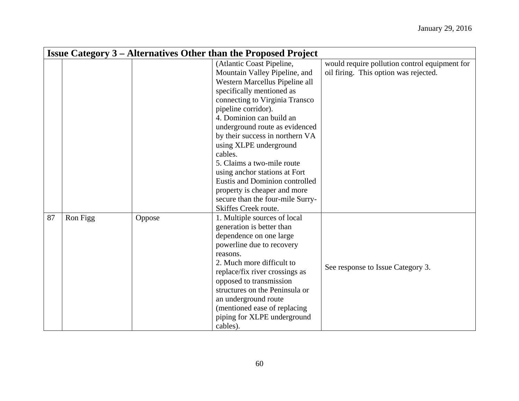|    | <b>Issue Category 3 – Alternatives Other than the Proposed Project</b> |        |                                  |                                               |  |
|----|------------------------------------------------------------------------|--------|----------------------------------|-----------------------------------------------|--|
|    |                                                                        |        | (Atlantic Coast Pipeline,        | would require pollution control equipment for |  |
|    |                                                                        |        | Mountain Valley Pipeline, and    | oil firing. This option was rejected.         |  |
|    |                                                                        |        | Western Marcellus Pipeline all   |                                               |  |
|    |                                                                        |        | specifically mentioned as        |                                               |  |
|    |                                                                        |        | connecting to Virginia Transco   |                                               |  |
|    |                                                                        |        | pipeline corridor).              |                                               |  |
|    |                                                                        |        | 4. Dominion can build an         |                                               |  |
|    |                                                                        |        | underground route as evidenced   |                                               |  |
|    |                                                                        |        | by their success in northern VA  |                                               |  |
|    |                                                                        |        | using XLPE underground           |                                               |  |
|    |                                                                        |        | cables.                          |                                               |  |
|    |                                                                        |        | 5. Claims a two-mile route       |                                               |  |
|    |                                                                        |        | using anchor stations at Fort    |                                               |  |
|    |                                                                        |        | Eustis and Dominion controlled   |                                               |  |
|    |                                                                        |        | property is cheaper and more     |                                               |  |
|    |                                                                        |        | secure than the four-mile Surry- |                                               |  |
|    |                                                                        |        | Skiffes Creek route.             |                                               |  |
| 87 | Ron Figg                                                               | Oppose | 1. Multiple sources of local     |                                               |  |
|    |                                                                        |        | generation is better than        |                                               |  |
|    |                                                                        |        | dependence on one large          |                                               |  |
|    |                                                                        |        | powerline due to recovery        |                                               |  |
|    |                                                                        |        | reasons.                         |                                               |  |
|    |                                                                        |        | 2. Much more difficult to        | See response to Issue Category 3.             |  |
|    |                                                                        |        | replace/fix river crossings as   |                                               |  |
|    |                                                                        |        | opposed to transmission          |                                               |  |
|    |                                                                        |        | structures on the Peninsula or   |                                               |  |
|    |                                                                        |        | an underground route             |                                               |  |
|    |                                                                        |        | (mentioned ease of replacing     |                                               |  |
|    |                                                                        |        | piping for XLPE underground      |                                               |  |
|    |                                                                        |        | cables).                         |                                               |  |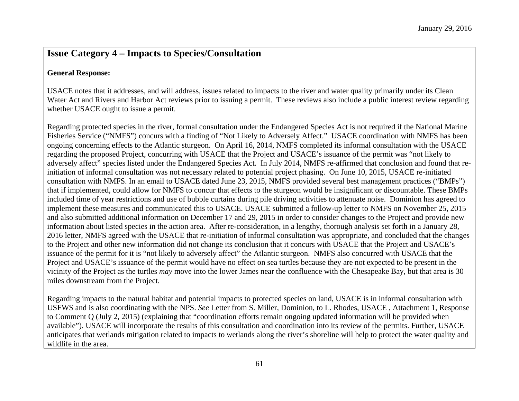### **Issue Category 4 – Impacts to Species/Consultation**

#### **General Response:**

USACE notes that it addresses, and will address, issues related to impacts to the river and water quality primarily under its Clean Water Act and Rivers and Harbor Act reviews prior to issuing a permit. These reviews also include a public interest review regarding whether USACE ought to issue a permit.

Regarding protected species in the river, formal consultation under the Endangered Species Act is not required if the National Marine Fisheries Service ("NMFS") concurs with a finding of "Not Likely to Adversely Affect." USACE coordination with NMFS has been ongoing concerning effects to the Atlantic sturgeon. On April 16, 2014, NMFS completed its informal consultation with the USACE regarding the proposed Project, concurring with USACE that the Project and USACE's issuance of the permit was "not likely to adversely affect" species listed under the Endangered Species Act. In July 2014, NMFS re-affirmed that conclusion and found that reinitiation of informal consultation was not necessary related to potential project phasing. On June 10, 2015, USACE re-initiated consultation with NMFS. In an email to USACE dated June 23, 2015, NMFS provided several best management practices ("BMPs") that if implemented, could allow for NMFS to concur that effects to the sturgeon would be insignificant or discountable. These BMPs included time of year restrictions and use of bubble curtains during pile driving activities to attenuate noise. Dominion has agreed to implement these measures and communicated this to USACE. USACE submitted a follow-up letter to NMFS on November 25, 2015 and also submitted additional information on December 17 and 29, 2015 in order to consider changes to the Project and provide new information about listed species in the action area. After re-consideration, in a lengthy, thorough analysis set forth in a January 28, 2016 letter, NMFS agreed with the USACE that re-initiation of informal consultation was appropriate, and concluded that the changes to the Project and other new information did not change its conclusion that it concurs with USACE that the Project and USACE's issuance of the permit for it is "not likely to adversely affect" the Atlantic sturgeon. NMFS also concurred with USACE that the Project and USACE's issuance of the permit would have no effect on sea turtles because they are not expected to be present in the vicinity of the Project as the turtles *may* move into the lower James near the confluence with the Chesapeake Bay, but that area is 30 miles downstream from the Project.

Regarding impacts to the natural habitat and potential impacts to protected species on land, USACE is in informal consultation with USFWS and is also coordinating with the NPS. *See* Letter from S. Miller, Dominion, to L. Rhodes, USACE , Attachment 1, Response to Comment Q (July 2, 2015) (explaining that "coordination efforts remain ongoing updated information will be provided when available"). USACE will incorporate the results of this consultation and coordination into its review of the permits. Further, USACE anticipates that wetlands mitigation related to impacts to wetlands along the river's shoreline will help to protect the water quality and wildlife in the area.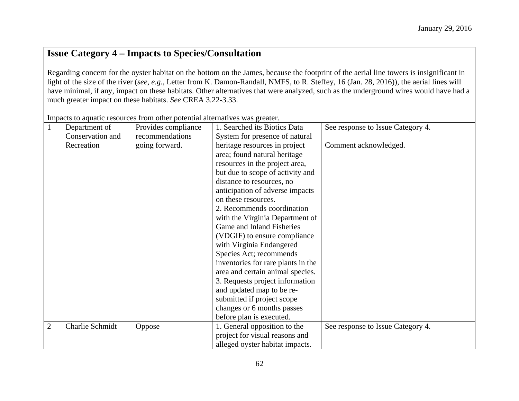### **Issue Category 4 – Impacts to Species/Consultation**

Regarding concern for the oyster habitat on the bottom on the James, because the footprint of the aerial line towers is insignificant in light of the size of the river (*see*, *e.g.*, Letter from K. Damon-Randall, NMFS, to R. Steffey, 16 (Jan. 28, 2016)), the aerial lines will have minimal, if any, impact on these habitats. Other alternatives that were analyzed, such as the underground wires would have had a much greater impact on these habitats. *See* CREA 3.22-3.33.

Department of Conservation and Recreation Provides compliance recommendations going forward. 1. Searched its Biotics Data System for presence of natural heritage resources in project area; found natural heritage resources in the project area, but due to scope of activity and distance to resources, no anticipation of adverse impacts on these resources. 2. Recommends coordination with the Virginia Department of Game and Inland Fisheries (VDGIF) to ensure compliance with Virginia Endangered Species Act; recommends inventories for rare plants in the area and certain animal species. 3. Requests project information and updated map to be resubmitted if project scope changes or 6 months passes before plan is executed. See response to Issue Category 4. Comment acknowledged. 2 Charlie Schmidt Oppose 1. General opposition to the project for visual reasons and alleged oyster habitat impacts. See response to Issue Category 4.

Impacts to aquatic resources from other potential alternatives was greater.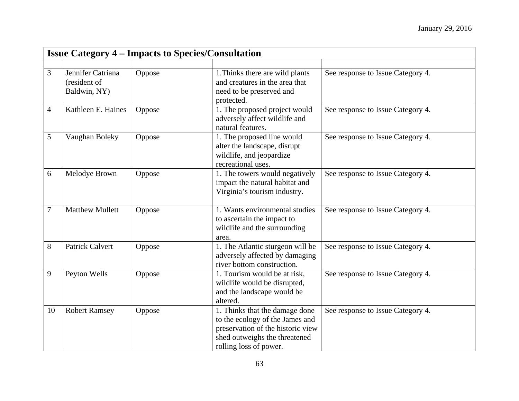|                | <b>Issue Category 4 – Impacts to Species/Consultation</b> |        |                                                                                                                                                                   |                                   |  |
|----------------|-----------------------------------------------------------|--------|-------------------------------------------------------------------------------------------------------------------------------------------------------------------|-----------------------------------|--|
|                |                                                           |        |                                                                                                                                                                   |                                   |  |
| 3              | Jennifer Catriana<br>(resident of<br>Baldwin, NY)         | Oppose | 1. Thinks there are wild plants<br>and creatures in the area that<br>need to be preserved and<br>protected.                                                       | See response to Issue Category 4. |  |
| $\overline{4}$ | Kathleen E. Haines                                        | Oppose | 1. The proposed project would<br>adversely affect wildlife and<br>natural features.                                                                               | See response to Issue Category 4. |  |
| 5              | Vaughan Boleky                                            | Oppose | 1. The proposed line would<br>alter the landscape, disrupt<br>wildlife, and jeopardize<br>recreational uses.                                                      | See response to Issue Category 4. |  |
| 6              | Melodye Brown                                             | Oppose | 1. The towers would negatively<br>impact the natural habitat and<br>Virginia's tourism industry.                                                                  | See response to Issue Category 4. |  |
| $\overline{7}$ | <b>Matthew Mullett</b>                                    | Oppose | 1. Wants environmental studies<br>to ascertain the impact to<br>wildlife and the surrounding<br>area.                                                             | See response to Issue Category 4. |  |
| 8              | <b>Patrick Calvert</b>                                    | Oppose | 1. The Atlantic sturgeon will be<br>adversely affected by damaging<br>river bottom construction.                                                                  | See response to Issue Category 4. |  |
| 9              | Peyton Wells                                              | Oppose | 1. Tourism would be at risk,<br>wildlife would be disrupted,<br>and the landscape would be<br>altered.                                                            | See response to Issue Category 4. |  |
| 10             | <b>Robert Ramsey</b>                                      | Oppose | 1. Thinks that the damage done<br>to the ecology of the James and<br>preservation of the historic view<br>shed outweighs the threatened<br>rolling loss of power. | See response to Issue Category 4. |  |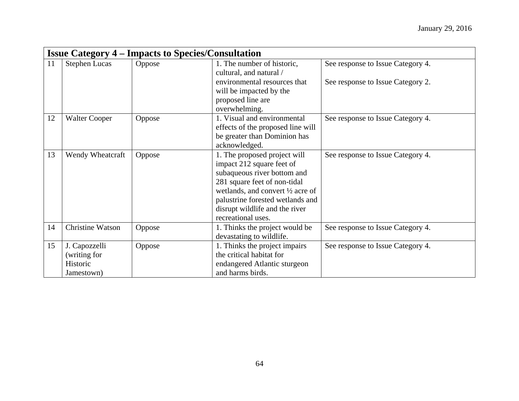|    |                      | <b>Issue Category 4 – Impacts to Species/Consultation</b> |                                                         |                                   |
|----|----------------------|-----------------------------------------------------------|---------------------------------------------------------|-----------------------------------|
| 11 | <b>Stephen Lucas</b> | Oppose                                                    | 1. The number of historic,<br>cultural, and natural /   | See response to Issue Category 4. |
|    |                      |                                                           | environmental resources that<br>will be impacted by the | See response to Issue Category 2. |
|    |                      |                                                           | proposed line are                                       |                                   |
|    |                      |                                                           | overwhelming.                                           |                                   |
| 12 | <b>Walter Cooper</b> | Oppose                                                    | 1. Visual and environmental                             | See response to Issue Category 4. |
|    |                      |                                                           | effects of the proposed line will                       |                                   |
|    |                      |                                                           | be greater than Dominion has                            |                                   |
|    |                      |                                                           | acknowledged.                                           |                                   |
| 13 | Wendy Wheatcraft     | Oppose                                                    | 1. The proposed project will                            | See response to Issue Category 4. |
|    |                      |                                                           | impact 212 square feet of                               |                                   |
|    |                      |                                                           | subaqueous river bottom and                             |                                   |
|    |                      |                                                           | 281 square feet of non-tidal                            |                                   |
|    |                      |                                                           | wetlands, and convert $\frac{1}{2}$ acre of             |                                   |
|    |                      |                                                           | palustrine forested wetlands and                        |                                   |
|    |                      |                                                           | disrupt wildlife and the river                          |                                   |
|    |                      |                                                           | recreational uses.                                      |                                   |
| 14 | Christine Watson     | Oppose                                                    | 1. Thinks the project would be                          | See response to Issue Category 4. |
|    |                      |                                                           | devastating to wildlife.                                |                                   |
| 15 | J. Capozzelli        | Oppose                                                    | 1. Thinks the project impairs                           | See response to Issue Category 4. |
|    | (writing for         |                                                           | the critical habitat for                                |                                   |
|    | Historic             |                                                           | endangered Atlantic sturgeon                            |                                   |
|    | Jamestown)           |                                                           | and harms birds.                                        |                                   |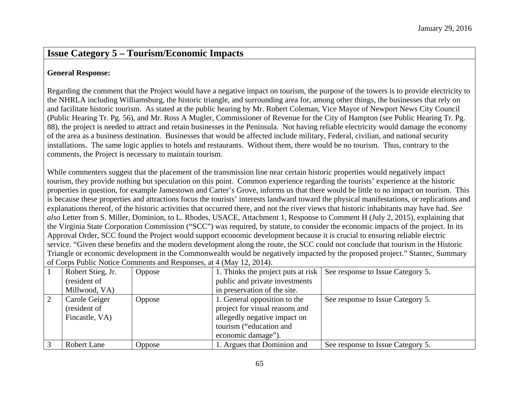### **Issue Category 5 – Tourism/Economic Impacts**

#### **General Response:**

Regarding the comment that the Project would have a negative impact on tourism, the purpose of the towers is to provide electricity to the NHRLA including Williamsburg, the historic triangle, and surrounding area for, among other things, the businesses that rely on and facilitate historic tourism. As stated at the public hearing by Mr. Robert Coleman, Vice Mayor of Newport News City Council (Public Hearing Tr. Pg. 56), and Mr. Ross A Mugler, Commissioner of Revenue for the City of Hampton (see Public Hearing Tr. Pg. 88), the project is needed to attract and retain businesses in the Peninsula. Not having reliable electricity would damage the economy of the area as a business destination. Businesses that would be affected include military, Federal, civilian, and national security installations. The same logic applies to hotels and restaurants. Without them, there would be no tourism. Thus, contrary to the comments, the Project is necessary to maintain tourism.

While commenters suggest that the placement of the transmission line near certain historic properties would negatively impact tourism, they provide nothing but speculation on this point. Common experience regarding the tourists' experience at the historic properties in question, for example Jamestown and Carter's Grove, informs us that there would be little to no impact on tourism. This is because these properties and attractions focus the tourists' interests landward toward the physical manifestations, or replications and explanations thereof, of the historic activities that occurred there, and not the river views that historic inhabitants may have had. *See also* Letter from S. Miller, Dominion, to L. Rhodes, USACE, Attachment 1, Response to Comment H (July 2, 2015), explaining that the Virginia State Corporation Commission ("SCC") was required, by statute, to consider the economic impacts of the project. In its Approval Order, SCC found the Project would support economic development because it is crucial to ensuring reliable electric service. "Given these benefits and the modern development along the route, the SCC could not conclude that tourism in the Historic Triangle or economic development in the Commonwealth would be negatively impacted by the proposed project." Stantec, Summary of Corps Public Notice Comments and Responses, at 4 (May 12, 2014).

| Robert Stieg, Jr. | <b>Oppose</b> | 1. Thinks the project puts at risk | See response to Issue Category 5. |
|-------------------|---------------|------------------------------------|-----------------------------------|
| (resident of      |               | public and private investments     |                                   |
| Millwood, VA)     |               | in preservation of the site.       |                                   |
| Carole Geiger     | Oppose        | 1. General opposition to the       | See response to Issue Category 5. |
| (resident of      |               | project for visual reasons and     |                                   |
| Fincastle, VA)    |               | allegedly negative impact on       |                                   |
|                   |               | tourism ("education and            |                                   |
|                   |               | economic damage").                 |                                   |
| Robert Lane       | Oppose        | 1. Argues that Dominion and        | See response to Issue Category 5. |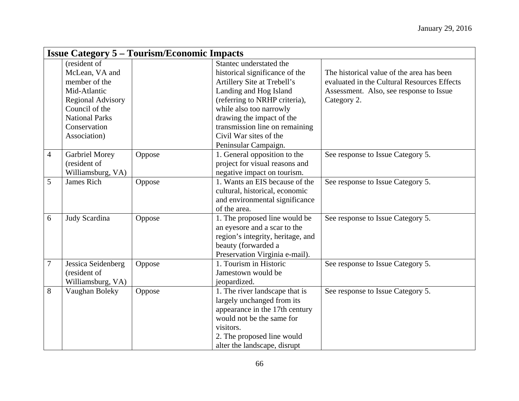|                  | <b>Issue Category 5 – Tourism/Economic Impacts</b> |        |                                   |                                             |  |  |
|------------------|----------------------------------------------------|--------|-----------------------------------|---------------------------------------------|--|--|
|                  | (resident of                                       |        | Stantec understated the           |                                             |  |  |
|                  | McLean, VA and                                     |        | historical significance of the    | The historical value of the area has been   |  |  |
|                  | member of the                                      |        | Artillery Site at Trebell's       | evaluated in the Cultural Resources Effects |  |  |
|                  | Mid-Atlantic                                       |        | Landing and Hog Island            | Assessment. Also, see response to Issue     |  |  |
|                  | <b>Regional Advisory</b>                           |        | (referring to NRHP criteria),     | Category 2.                                 |  |  |
|                  | Council of the                                     |        | while also too narrowly           |                                             |  |  |
|                  | <b>National Parks</b>                              |        | drawing the impact of the         |                                             |  |  |
|                  | Conservation                                       |        | transmission line on remaining    |                                             |  |  |
|                  | Association)                                       |        | Civil War sites of the            |                                             |  |  |
|                  |                                                    |        | Peninsular Campaign.              |                                             |  |  |
| $\overline{4}$   | <b>Garbriel Morey</b>                              | Oppose | 1. General opposition to the      | See response to Issue Category 5.           |  |  |
|                  | (resident of                                       |        | project for visual reasons and    |                                             |  |  |
|                  | Williamsburg, VA)                                  |        | negative impact on tourism.       |                                             |  |  |
| 5                | James Rich                                         | Oppose | 1. Wants an EIS because of the    | See response to Issue Category 5.           |  |  |
|                  |                                                    |        | cultural, historical, economic    |                                             |  |  |
|                  |                                                    |        | and environmental significance    |                                             |  |  |
|                  |                                                    |        | of the area.                      |                                             |  |  |
| 6                | Judy Scardina                                      | Oppose | 1. The proposed line would be     | See response to Issue Category 5.           |  |  |
|                  |                                                    |        | an eyesore and a scar to the      |                                             |  |  |
|                  |                                                    |        | region's integrity, heritage, and |                                             |  |  |
|                  |                                                    |        | beauty (forwarded a               |                                             |  |  |
|                  |                                                    |        | Preservation Virginia e-mail).    |                                             |  |  |
| $\boldsymbol{7}$ | Jessica Seidenberg                                 | Oppose | 1. Tourism in Historic            | See response to Issue Category 5.           |  |  |
|                  | (resident of                                       |        | Jamestown would be                |                                             |  |  |
|                  | Williamsburg, VA)                                  |        | jeopardized.                      |                                             |  |  |
| 8                | Vaughan Boleky                                     | Oppose | 1. The river landscape that is    | See response to Issue Category 5.           |  |  |
|                  |                                                    |        | largely unchanged from its        |                                             |  |  |
|                  |                                                    |        | appearance in the 17th century    |                                             |  |  |
|                  |                                                    |        | would not be the same for         |                                             |  |  |
|                  |                                                    |        | visitors.                         |                                             |  |  |
|                  |                                                    |        | 2. The proposed line would        |                                             |  |  |
|                  |                                                    |        | alter the landscape, disrupt      |                                             |  |  |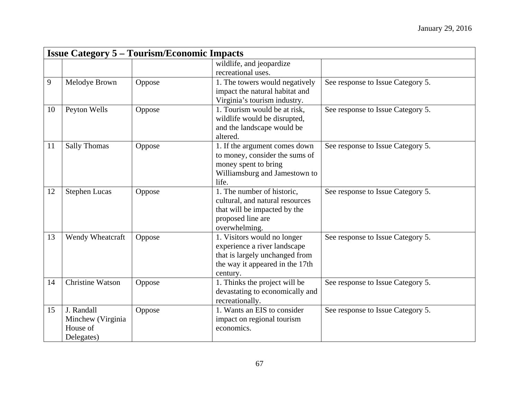|    | <b>Issue Category 5 – Tourism/Economic Impacts</b> |        |                                 |                                   |  |  |
|----|----------------------------------------------------|--------|---------------------------------|-----------------------------------|--|--|
|    |                                                    |        | wildlife, and jeopardize        |                                   |  |  |
|    |                                                    |        | recreational uses.              |                                   |  |  |
| 9  | Melodye Brown                                      | Oppose | 1. The towers would negatively  | See response to Issue Category 5. |  |  |
|    |                                                    |        | impact the natural habitat and  |                                   |  |  |
|    |                                                    |        | Virginia's tourism industry.    |                                   |  |  |
| 10 | Peyton Wells                                       | Oppose | 1. Tourism would be at risk,    | See response to Issue Category 5. |  |  |
|    |                                                    |        | wildlife would be disrupted,    |                                   |  |  |
|    |                                                    |        | and the landscape would be      |                                   |  |  |
|    |                                                    |        | altered.                        |                                   |  |  |
| 11 | <b>Sally Thomas</b>                                | Oppose | 1. If the argument comes down   | See response to Issue Category 5. |  |  |
|    |                                                    |        | to money, consider the sums of  |                                   |  |  |
|    |                                                    |        | money spent to bring            |                                   |  |  |
|    |                                                    |        | Williamsburg and Jamestown to   |                                   |  |  |
|    |                                                    |        | life.                           |                                   |  |  |
| 12 | <b>Stephen Lucas</b>                               | Oppose | 1. The number of historic,      | See response to Issue Category 5. |  |  |
|    |                                                    |        | cultural, and natural resources |                                   |  |  |
|    |                                                    |        | that will be impacted by the    |                                   |  |  |
|    |                                                    |        | proposed line are               |                                   |  |  |
|    |                                                    |        | overwhelming.                   |                                   |  |  |
| 13 | Wendy Wheatcraft                                   | Oppose | 1. Visitors would no longer     | See response to Issue Category 5. |  |  |
|    |                                                    |        | experience a river landscape    |                                   |  |  |
|    |                                                    |        | that is largely unchanged from  |                                   |  |  |
|    |                                                    |        | the way it appeared in the 17th |                                   |  |  |
|    |                                                    |        | century.                        |                                   |  |  |
| 14 | <b>Christine Watson</b>                            | Oppose | 1. Thinks the project will be   | See response to Issue Category 5. |  |  |
|    |                                                    |        | devastating to economically and |                                   |  |  |
|    |                                                    |        | recreationally.                 |                                   |  |  |
| 15 | J. Randall                                         | Oppose | 1. Wants an EIS to consider     | See response to Issue Category 5. |  |  |
|    | Minchew (Virginia                                  |        | impact on regional tourism      |                                   |  |  |
|    | House of                                           |        | economics.                      |                                   |  |  |
|    | Delegates)                                         |        |                                 |                                   |  |  |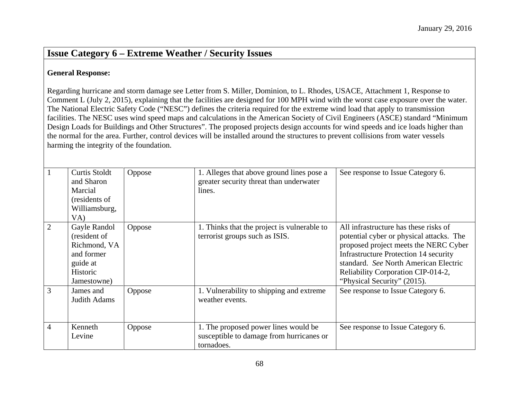### **Issue Category 6 – Extreme Weather / Security Issues**

#### **General Response:**

Regarding hurricane and storm damage see Letter from S. Miller, Dominion, to L. Rhodes, USACE, Attachment 1, Response to Comment L (July 2, 2015), explaining that the facilities are designed for 100 MPH wind with the worst case exposure over the water. The National Electric Safety Code ("NESC") defines the criteria required for the extreme wind load that apply to transmission facilities. The NESC uses wind speed maps and calculations in the American Society of Civil Engineers (ASCE) standard "Minimum Design Loads for Buildings and Other Structures". The proposed projects design accounts for wind speeds and ice loads higher than the normal for the area. Further, control devices will be installed around the structures to prevent collisions from water vessels harming the integrity of the foundation.

|                | Curtis Stoldt<br>and Sharon<br>Marcial<br>(residents of<br>Williamsburg,<br>VA)                   | Oppose | 1. Alleges that above ground lines pose a<br>greater security threat than underwater<br>lines. | See response to Issue Category 6.                                                                                                                                                                                                                                                        |
|----------------|---------------------------------------------------------------------------------------------------|--------|------------------------------------------------------------------------------------------------|------------------------------------------------------------------------------------------------------------------------------------------------------------------------------------------------------------------------------------------------------------------------------------------|
| 2              | Gayle Randol<br>(resident of<br>Richmond, VA<br>and former<br>guide at<br>Historic<br>Jamestowne) | Oppose | 1. Thinks that the project is vulnerable to<br>terrorist groups such as ISIS.                  | All infrastructure has these risks of<br>potential cyber or physical attacks. The<br>proposed project meets the NERC Cyber<br><b>Infrastructure Protection 14 security</b><br>standard. See North American Electric<br>Reliability Corporation CIP-014-2,<br>"Physical Security" (2015). |
| $\overline{3}$ | James and<br>Judith Adams                                                                         | Oppose | 1. Vulnerability to shipping and extreme<br>weather events.                                    | See response to Issue Category 6.                                                                                                                                                                                                                                                        |
| $\overline{4}$ | Kenneth<br>Levine                                                                                 | Oppose | 1. The proposed power lines would be<br>susceptible to damage from hurricanes or<br>tornadoes. | See response to Issue Category 6.                                                                                                                                                                                                                                                        |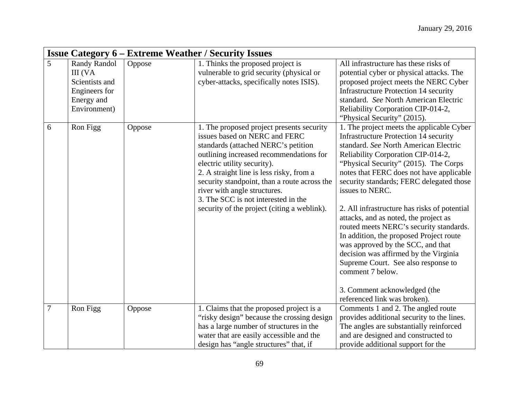|                | <b>Issue Category 6 – Extreme Weather / Security Issues</b>                                     |        |                                                                                                                                                                                                                                                                                                                                                                                                               |                                                                                                                                                                                                                                                                                                                                                                                                                                                                                                                                                                                                                                                                                                                      |  |  |
|----------------|-------------------------------------------------------------------------------------------------|--------|---------------------------------------------------------------------------------------------------------------------------------------------------------------------------------------------------------------------------------------------------------------------------------------------------------------------------------------------------------------------------------------------------------------|----------------------------------------------------------------------------------------------------------------------------------------------------------------------------------------------------------------------------------------------------------------------------------------------------------------------------------------------------------------------------------------------------------------------------------------------------------------------------------------------------------------------------------------------------------------------------------------------------------------------------------------------------------------------------------------------------------------------|--|--|
| 5              | <b>Randy Randol</b><br>III (VA<br>Scientists and<br>Engineers for<br>Energy and<br>Environment) | Oppose | 1. Thinks the proposed project is<br>vulnerable to grid security (physical or<br>cyber-attacks, specifically notes ISIS).                                                                                                                                                                                                                                                                                     | All infrastructure has these risks of<br>potential cyber or physical attacks. The<br>proposed project meets the NERC Cyber<br><b>Infrastructure Protection 14 security</b><br>standard. See North American Electric<br>Reliability Corporation CIP-014-2,<br>"Physical Security" (2015).                                                                                                                                                                                                                                                                                                                                                                                                                             |  |  |
| 6              | Ron Figg                                                                                        | Oppose | 1. The proposed project presents security<br>issues based on NERC and FERC<br>standards (attached NERC's petition<br>outlining increased recommendations for<br>electric utility security).<br>2. A straight line is less risky, from a<br>security standpoint, than a route across the<br>river with angle structures.<br>3. The SCC is not interested in the<br>security of the project (citing a weblink). | 1. The project meets the applicable Cyber<br><b>Infrastructure Protection 14 security</b><br>standard. See North American Electric<br>Reliability Corporation CIP-014-2,<br>"Physical Security" (2015). The Corps<br>notes that FERC does not have applicable<br>security standards; FERC delegated those<br>issues to NERC.<br>2. All infrastructure has risks of potential<br>attacks, and as noted, the project as<br>routed meets NERC's security standards.<br>In addition, the proposed Project route<br>was approved by the SCC, and that<br>decision was affirmed by the Virginia<br>Supreme Court. See also response to<br>comment 7 below.<br>3. Comment acknowledged (the<br>referenced link was broken). |  |  |
| $\overline{7}$ | Ron Figg                                                                                        | Oppose | 1. Claims that the proposed project is a<br>"risky design" because the crossing design<br>has a large number of structures in the<br>water that are easily accessible and the<br>design has "angle structures" that, if                                                                                                                                                                                       | Comments 1 and 2. The angled route<br>provides additional security to the lines.<br>The angles are substantially reinforced<br>and are designed and constructed to<br>provide additional support for the                                                                                                                                                                                                                                                                                                                                                                                                                                                                                                             |  |  |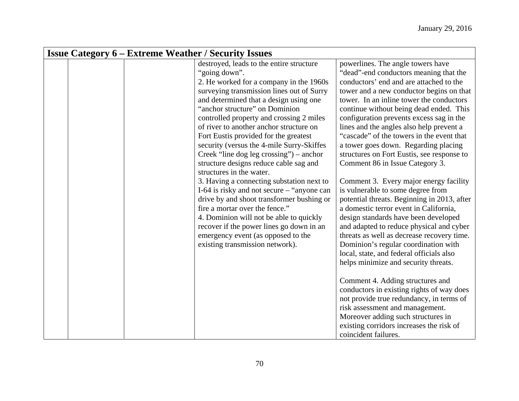|  | <b>Issue Category 6 – Extreme Weather / Security Issues</b>                                                                                                                                                                                                                                                                                                                                                                                                                                                                 |                                                                                                                                                                                                                                                                                                                                                                                                                                                                                                                                                                                                                                                                                                              |
|--|-----------------------------------------------------------------------------------------------------------------------------------------------------------------------------------------------------------------------------------------------------------------------------------------------------------------------------------------------------------------------------------------------------------------------------------------------------------------------------------------------------------------------------|--------------------------------------------------------------------------------------------------------------------------------------------------------------------------------------------------------------------------------------------------------------------------------------------------------------------------------------------------------------------------------------------------------------------------------------------------------------------------------------------------------------------------------------------------------------------------------------------------------------------------------------------------------------------------------------------------------------|
|  | destroyed, leads to the entire structure<br>"going down".<br>2. He worked for a company in the 1960s<br>surveying transmission lines out of Surry<br>and determined that a design using one<br>"anchor structure" on Dominion<br>controlled property and crossing 2 miles<br>of river to another anchor structure on<br>Fort Eustis provided for the greatest<br>security (versus the 4-mile Surry-Skiffes<br>Creek "line dog leg crossing") – anchor<br>structure designs reduce cable sag and<br>structures in the water. | powerlines. The angle towers have<br>"dead"-end conductors meaning that the<br>conductors' end and are attached to the<br>tower and a new conductor begins on that<br>tower. In an inline tower the conductors<br>continue without being dead ended. This<br>configuration prevents excess sag in the<br>lines and the angles also help prevent a<br>"cascade" of the towers in the event that<br>a tower goes down. Regarding placing<br>structures on Fort Eustis, see response to<br>Comment 86 in Issue Category 3.                                                                                                                                                                                      |
|  | 3. Having a connecting substation next to<br>I-64 is risky and not secure – "anyone can<br>drive by and shoot transformer bushing or<br>fire a mortar over the fence."<br>4. Dominion will not be able to quickly<br>recover if the power lines go down in an<br>emergency event (as opposed to the<br>existing transmission network).                                                                                                                                                                                      | Comment 3. Every major energy facility<br>is vulnerable to some degree from<br>potential threats. Beginning in 2013, after<br>a domestic terror event in California,<br>design standards have been developed<br>and adapted to reduce physical and cyber<br>threats as well as decrease recovery time.<br>Dominion's regular coordination with<br>local, state, and federal officials also<br>helps minimize and security threats.<br>Comment 4. Adding structures and<br>conductors in existing rights of way does<br>not provide true redundancy, in terms of<br>risk assessment and management.<br>Moreover adding such structures in<br>existing corridors increases the risk of<br>coincident failures. |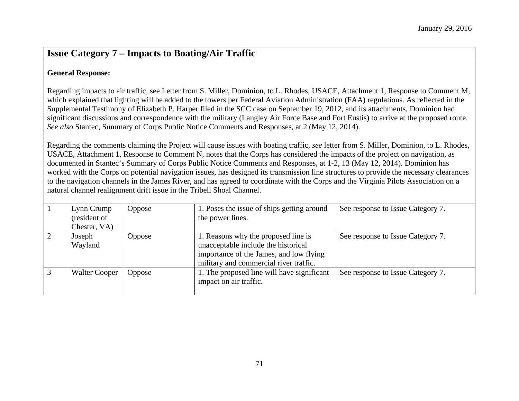### **Issue Category 7 – Impacts to Boating/Air Traffic**

#### **General Response:**

Regarding impacts to air traffic, see Letter from S. Miller, Dominion, to L. Rhodes, USACE, Attachment 1, Response to Comment M, which explained that lighting will be added to the towers per Federal Aviation Administration (FAA) regulations. As reflected in the Supplemental Testimony of Elizabeth P. Harper filed in the SCC case on September 19, 2012, and its attachments, Dominion had significant discussions and correspondence with the military (Langley Air Force Base and Fort Eustis) to arrive at the proposed route. *See also* Stantec, Summary of Corps Public Notice Comments and Responses, at 2 (May 12, 2014).

Regarding the comments claiming the Project will cause issues with boating traffic, *see* letter from S. Miller, Dominion, to L. Rhodes, USACE, Attachment 1, Response to Comment N, notes that the Corps has considered the impacts of the project on navigation, as documented in Stantec's Summary of Corps Public Notice Comments and Responses, at 1-2, 13 (May 12, 2014). Dominion has worked with the Corps on potential navigation issues, has designed its transmission line structures to provide the necessary clearances to the navigation channels in the James River, and has agreed to coordinate with the Corps and the Virginia Pilots Association on a natural channel realignment drift issue in the Tribell Shoal Channel.

| Lynn Crump<br>(resident of<br>Chester, VA) | Oppose        | 1. Poses the issue of ships getting around<br>the power lines.                                                                                                  | See response to Issue Category 7. |
|--------------------------------------------|---------------|-----------------------------------------------------------------------------------------------------------------------------------------------------------------|-----------------------------------|
| Joseph<br>Wayland                          | <b>Oppose</b> | 1. Reasons why the proposed line is<br>unacceptable include the historical<br>importance of the James, and low flying<br>military and commercial river traffic. | See response to Issue Category 7. |
| <b>Walter Cooper</b>                       | Oppose        | 1. The proposed line will have significant<br>impact on air traffic.                                                                                            | See response to Issue Category 7. |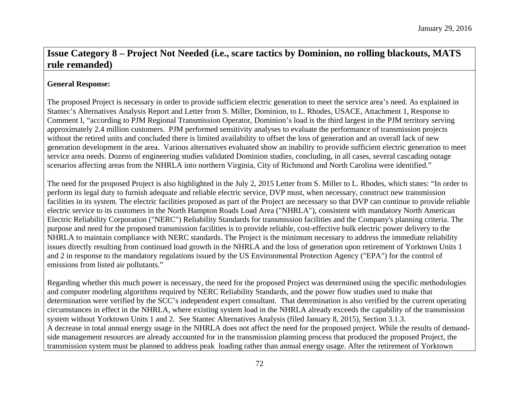## **Issue Category 8 – Project Not Needed (i.e., scare tactics by Dominion, no rolling blackouts, MATS rule remanded)**

#### **General Response:**

The proposed Project is necessary in order to provide sufficient electric generation to meet the service area's need. As explained in Stantec's Alternatives Analysis Report and Letter from S. Miller, Dominion, to L. Rhodes, USACE, Attachment 1, Response to Comment I, "according to PJM Regional Transmission Operator, Dominion's load is the third largest in the PJM territory serving approximately 2.4 million customers. PJM performed sensitivity analyses to evaluate the performance of transmission projects without the retired units and concluded there is limited availability to offset the loss of generation and an overall lack of new generation development in the area. Various alternatives evaluated show an inability to provide sufficient electric generation to meet service area needs. Dozens of engineering studies validated Dominion studies, concluding, in all cases, several cascading outage scenarios affecting areas from the NHRLA into northern Virginia, City of Richmond and North Carolina were identified."

The need for the proposed Project is also highlighted in the July 2, 2015 Letter from S. Miller to L. Rhodes, which states: "In order to perform its legal duty to furnish adequate and reliable electric service, DVP must, when necessary, construct new transmission facilities in its system. The electric facilities proposed as part of the Project are necessary so that DVP can continue to provide reliable electric service to its customers in the North Hampton Roads Load Area ("NHRLA"), consistent with mandatory North American Electric Reliability Corporation ("NERC") Reliability Standards for transmission facilities and the Company's planning criteria. The purpose and need for the proposed transmission facilities is to provide reliable, cost-effective bulk electric power delivery to the NHRLA to maintain compliance with NERC standards. The Project is the minimum necessary to address the immediate reliability issues directly resulting from continued load growth in the NHRLA and the loss of generation upon retirement of Yorktown Units 1 and 2 in response to the mandatory regulations issued by the US Environmental Protection Agency ("EPA") for the control of emissions from listed air pollutants."

Regarding whether this much power is necessary, the need for the proposed Project was determined using the specific methodologies and computer modeling algorithms required by NERC Reliability Standards, and the power flow studies used to make that determination were verified by the SCC's independent expert consultant. That determination is also verified by the current operating circumstances in effect in the NHRLA, where existing system load in the NHRLA already exceeds the capability of the transmission system without Yorktown Units 1 and 2. See Stantec Alternatives Analysis (filed January 8, 2015), Section 3.1.3. A decrease in total annual energy usage in the NHRLA does not affect the need for the proposed project. While the results of demandside management resources are already accounted for in the transmission planning process that produced the proposed Project, the transmission system must be planned to address peak loading rather than annual energy usage. After the retirement of Yorktown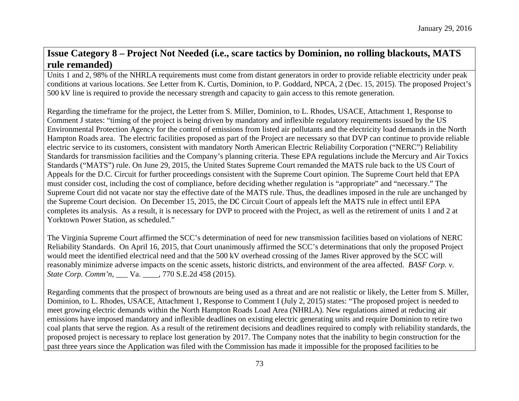### **Issue Category 8 – Project Not Needed (i.e., scare tactics by Dominion, no rolling blackouts, MATS rule remanded)**

Units 1 and 2, 98% of the NHRLA requirements must come from distant generators in order to provide reliable electricity under peak conditions at various locations. *See* Letter from K. Curtis, Dominion, to P. Goddard, NPCA, 2 (Dec. 15, 2015). The proposed Project's 500 kV line is required to provide the necessary strength and capacity to gain access to this remote generation.

Regarding the timeframe for the project, the Letter from S. Miller, Dominion, to L. Rhodes, USACE, Attachment 1, Response to Comment J states: "timing of the project is being driven by mandatory and inflexible regulatory requirements issued by the US Environmental Protection Agency for the control of emissions from listed air pollutants and the electricity load demands in the North Hampton Roads area. The electric facilities proposed as part of the Project are necessary so that DVP can continue to provide reliable electric service to its customers, consistent with mandatory North American Electric Reliability Corporation ("NERC") Reliability Standards for transmission facilities and the Company's planning criteria. These EPA regulations include the Mercury and Air Toxics Standards ("MATS") rule. On June 29, 2015, the United States Supreme Court remanded the MATS rule back to the US Court of Appeals for the D.C. Circuit for further proceedings consistent with the Supreme Court opinion. The Supreme Court held that EPA must consider cost, including the cost of compliance, before deciding whether regulation is "appropriate" and "necessary." The Supreme Court did not vacate nor stay the effective date of the MATS rule. Thus, the deadlines imposed in the rule are unchanged by the Supreme Court decision. On December 15, 2015, the DC Circuit Court of appeals left the MATS rule in effect until EPA completes its analysis. As a result, it is necessary for DVP to proceed with the Project, as well as the retirement of units 1 and 2 at Yorktown Power Station, as scheduled."

The Virginia Supreme Court affirmed the SCC's determination of need for new transmission facilities based on violations of NERC Reliability Standards. On April 16, 2015, that Court unanimously affirmed the SCC's determinations that only the proposed Project would meet the identified electrical need and that the 500 kV overhead crossing of the James River approved by the SCC will reasonably minimize adverse impacts on the scenic assets, historic districts, and environment of the area affected. *BASF Corp. v. State Corp. Comm'n*, \_\_\_ Va. \_\_\_\_, 770 S.E.2d 458 (2015).

Regarding comments that the prospect of brownouts are being used as a threat and are not realistic or likely, the Letter from S. Miller, Dominion, to L. Rhodes, USACE, Attachment 1, Response to Comment I (July 2, 2015) states: "The proposed project is needed to meet growing electric demands within the North Hampton Roads Load Area (NHRLA). New regulations aimed at reducing air emissions have imposed mandatory and inflexible deadlines on existing electric generating units and require Dominion to retire two coal plants that serve the region. As a result of the retirement decisions and deadlines required to comply with reliability standards, the proposed project is necessary to replace lost generation by 2017. The Company notes that the inability to begin construction for the past three years since the Application was filed with the Commission has made it impossible for the proposed facilities to be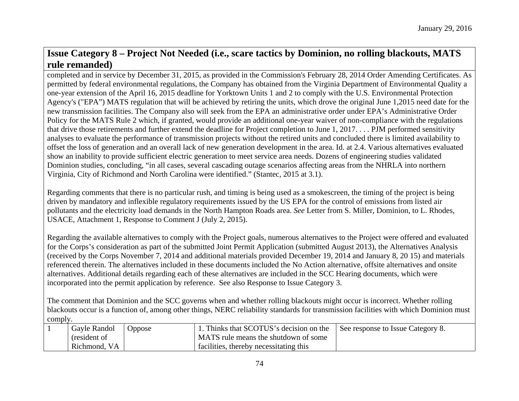## **Issue Category 8 – Project Not Needed (i.e., scare tactics by Dominion, no rolling blackouts, MATS rule remanded)**

completed and in service by December 31, 2015, as provided in the Commission's February 28, 2014 Order Amending Certificates. As permitted by federal environmental regulations, the Company has obtained from the Virginia Department of Environmental Quality a one-year extension of the April 16, 2015 deadline for Yorktown Units 1 and 2 to comply with the U.S. Environmental Protection Agency's ("EPA") MATS regulation that will be achieved by retiring the units, which drove the original June 1,2015 need date for the new transmission facilities. The Company also will seek from the EPA an administrative order under EPA's Administrative Order Policy for the MATS Rule 2 which, if granted, would provide an additional one-year waiver of non-compliance with the regulations that drive those retirements and further extend the deadline for Project completion to June 1, 2017. . . . PJM performed sensitivity analyses to evaluate the performance of transmission projects without the retired units and concluded there is limited availability to offset the loss of generation and an overall lack of new generation development in the area. Id. at 2.4. Various alternatives evaluated show an inability to provide sufficient electric generation to meet service area needs. Dozens of engineering studies validated Dominion studies, concluding, "in all cases, several cascading outage scenarios affecting areas from the NHRLA into northern Virginia, City of Richmond and North Carolina were identified." (Stantec, 2015 at 3.1).

Regarding comments that there is no particular rush, and timing is being used as a smokescreen, the timing of the project is being driven by mandatory and inflexible regulatory requirements issued by the US EPA for the control of emissions from listed air pollutants and the electricity load demands in the North Hampton Roads area. *See* Letter from S. Miller, Dominion, to L. Rhodes, USACE, Attachment 1, Response to Comment J (July 2, 2015).

Regarding the available alternatives to comply with the Project goals, numerous alternatives to the Project were offered and evaluated for the Corps's consideration as part of the submitted Joint Permit Application (submitted August 2013), the Alternatives Analysis (received by the Corps November 7, 2014 and additional materials provided December 19, 2014 and January 8, 20 15) and materials referenced therein. The alternatives included in these documents included the No Action alternative, offsite alternatives and onsite alternatives. Additional details regarding each of these alternatives are included in the SCC Hearing documents, which were incorporated into the permit application by reference. See also Response to Issue Category 3.

The comment that Dominion and the SCC governs when and whether rolling blackouts might occur is incorrect. Whether rolling blackouts occur is a function of, among other things, NERC reliability standards for transmission facilities with which Dominion must comply.

| Gayle Randol | Oppose | Thinks that SCOTUS's decision on the   | See response to Issue Category 8. |
|--------------|--------|----------------------------------------|-----------------------------------|
| (resident of |        | A MATS rule means the shutdown of some |                                   |
| Richmond, VA |        | facilities, thereby necessitating this |                                   |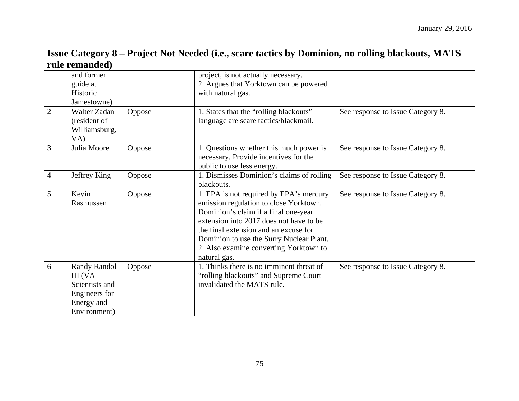|                | Issue Category 8 – Project Not Needed (i.e., scare tactics by Dominion, no rolling blackouts, MATS |        |                                                                                                                                                                                                                                                                                                                     |                                   |  |  |  |
|----------------|----------------------------------------------------------------------------------------------------|--------|---------------------------------------------------------------------------------------------------------------------------------------------------------------------------------------------------------------------------------------------------------------------------------------------------------------------|-----------------------------------|--|--|--|
|                | rule remanded)                                                                                     |        |                                                                                                                                                                                                                                                                                                                     |                                   |  |  |  |
|                | and former<br>guide at<br>Historic<br>Jamestowne)                                                  |        | project, is not actually necessary.<br>2. Argues that Yorktown can be powered<br>with natural gas.                                                                                                                                                                                                                  |                                   |  |  |  |
| $\overline{2}$ | Walter Zadan<br>(resident of<br>Williamsburg,<br>VA)                                               | Oppose | 1. States that the "rolling blackouts"<br>language are scare tactics/blackmail.                                                                                                                                                                                                                                     | See response to Issue Category 8. |  |  |  |
| $\overline{3}$ | Julia Moore                                                                                        | Oppose | 1. Questions whether this much power is<br>necessary. Provide incentives for the<br>public to use less energy.                                                                                                                                                                                                      | See response to Issue Category 8. |  |  |  |
| $\overline{4}$ | Jeffrey King                                                                                       | Oppose | 1. Dismisses Dominion's claims of rolling<br>blackouts.                                                                                                                                                                                                                                                             | See response to Issue Category 8. |  |  |  |
| 5              | Kevin<br>Rasmussen                                                                                 | Oppose | 1. EPA is not required by EPA's mercury<br>emission regulation to close Yorktown.<br>Dominion's claim if a final one-year<br>extension into 2017 does not have to be<br>the final extension and an excuse for<br>Dominion to use the Surry Nuclear Plant.<br>2. Also examine converting Yorktown to<br>natural gas. | See response to Issue Category 8. |  |  |  |
| 6              | <b>Randy Randol</b><br>III (VA<br>Scientists and<br>Engineers for<br>Energy and<br>Environment)    | Oppose | 1. Thinks there is no imminent threat of<br>"rolling blackouts" and Supreme Court<br>invalidated the MATS rule.                                                                                                                                                                                                     | See response to Issue Category 8. |  |  |  |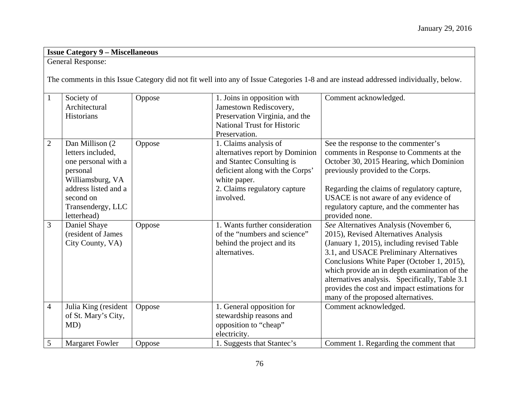## **Issue Category 9 – Miscellaneous**

General Response:

The comments in this Issue Category did not fit well into any of Issue Categories 1-8 and are instead addressed individually, below.

| $\mathbf{1}$   | Society of             | Oppose | 1. Joins in opposition with        | Comment acknowledged.                          |
|----------------|------------------------|--------|------------------------------------|------------------------------------------------|
|                | Architectural          |        | Jamestown Rediscovery,             |                                                |
|                | Historians             |        | Preservation Virginia, and the     |                                                |
|                |                        |        | <b>National Trust for Historic</b> |                                                |
|                |                        |        | Preservation.                      |                                                |
| $\mathbf{2}$   | Dan Millison (2)       | Oppose | 1. Claims analysis of              | See the response to the commenter's            |
|                | letters included.      |        | alternatives report by Dominion    | comments in Response to Comments at the        |
|                | one personal with a    |        | and Stantec Consulting is          | October 30, 2015 Hearing, which Dominion       |
|                | personal               |        | deficient along with the Corps'    | previously provided to the Corps.              |
|                | Williamsburg, VA       |        | white paper.                       |                                                |
|                | address listed and a   |        | 2. Claims regulatory capture       | Regarding the claims of regulatory capture,    |
|                | second on              |        | involved.                          | USACE is not aware of any evidence of          |
|                | Transendergy, LLC      |        |                                    | regulatory capture, and the commenter has      |
|                | letterhead)            |        |                                    | provided none.                                 |
| 3              | Daniel Shaye           | Oppose | 1. Wants further consideration     | See Alternatives Analysis (November 6,         |
|                | (resident of James     |        | of the "numbers and science"       | 2015), Revised Alternatives Analysis           |
|                | City County, VA)       |        | behind the project and its         | (January 1, 2015), including revised Table     |
|                |                        |        | alternatives.                      | 3.1, and USACE Preliminary Alternatives        |
|                |                        |        |                                    | Conclusions White Paper (October 1, 2015),     |
|                |                        |        |                                    | which provide an in depth examination of the   |
|                |                        |        |                                    | alternatives analysis. Specifically, Table 3.1 |
|                |                        |        |                                    | provides the cost and impact estimations for   |
|                |                        |        |                                    | many of the proposed alternatives.             |
| $\overline{4}$ | Julia King (resident   | Oppose | 1. General opposition for          | Comment acknowledged.                          |
|                | of St. Mary's City,    |        | stewardship reasons and            |                                                |
|                | MD)                    |        | opposition to "cheap"              |                                                |
|                |                        |        | electricity.                       |                                                |
| 5              | <b>Margaret Fowler</b> | Oppose | 1. Suggests that Stantec's         | Comment 1. Regarding the comment that          |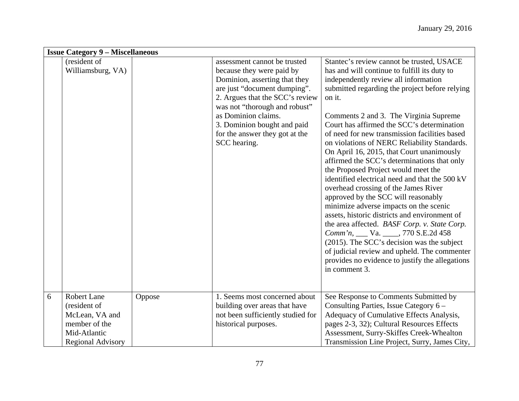|   | <b>Issue Category 9 – Miscellaneous</b>                                                                    |        |                                                                                                                                                                                                                                                                                                        |                                                                                                                                                                                                                                                                                                                                                                                                                                                                                                                                                                                                                                                                                                                                                                                                                                                                                                                                                                                                                 |  |
|---|------------------------------------------------------------------------------------------------------------|--------|--------------------------------------------------------------------------------------------------------------------------------------------------------------------------------------------------------------------------------------------------------------------------------------------------------|-----------------------------------------------------------------------------------------------------------------------------------------------------------------------------------------------------------------------------------------------------------------------------------------------------------------------------------------------------------------------------------------------------------------------------------------------------------------------------------------------------------------------------------------------------------------------------------------------------------------------------------------------------------------------------------------------------------------------------------------------------------------------------------------------------------------------------------------------------------------------------------------------------------------------------------------------------------------------------------------------------------------|--|
|   | (resident of<br>Williamsburg, VA)                                                                          |        | assessment cannot be trusted<br>because they were paid by<br>Dominion, asserting that they<br>are just "document dumping".<br>2. Argues that the SCC's review<br>was not "thorough and robust"<br>as Dominion claims.<br>3. Dominion bought and paid<br>for the answer they got at the<br>SCC hearing. | Stantec's review cannot be trusted, USACE<br>has and will continue to fulfill its duty to<br>independently review all information<br>submitted regarding the project before relying<br>on it.<br>Comments 2 and 3. The Virginia Supreme<br>Court has affirmed the SCC's determination<br>of need for new transmission facilities based<br>on violations of NERC Reliability Standards.<br>On April 16, 2015, that Court unanimously<br>affirmed the SCC's determinations that only<br>the Proposed Project would meet the<br>identified electrical need and that the 500 kV<br>overhead crossing of the James River<br>approved by the SCC will reasonably<br>minimize adverse impacts on the scenic<br>assets, historic districts and environment of<br>the area affected. BASF Corp. v. State Corp.<br>Comm'n, ___ Va. ____, 770 S.E.2d 458<br>(2015). The SCC's decision was the subject<br>of judicial review and upheld. The commenter<br>provides no evidence to justify the allegations<br>in comment 3. |  |
| 6 | Robert Lane<br>(resident of<br>McLean, VA and<br>member of the<br>Mid-Atlantic<br><b>Regional Advisory</b> | Oppose | 1. Seems most concerned about<br>building over areas that have<br>not been sufficiently studied for<br>historical purposes.                                                                                                                                                                            | See Response to Comments Submitted by<br>Consulting Parties, Issue Category 6 –<br>Adequacy of Cumulative Effects Analysis,<br>pages 2-3, 32); Cultural Resources Effects<br>Assessment, Surry-Skiffes Creek-Whealton<br>Transmission Line Project, Surry, James City,                                                                                                                                                                                                                                                                                                                                                                                                                                                                                                                                                                                                                                                                                                                                          |  |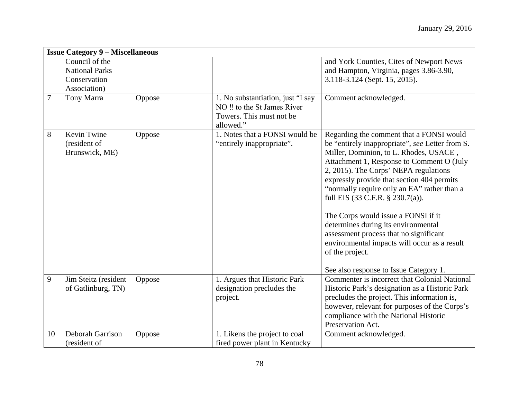|    | <b>Issue Category 9 - Miscellaneous</b>                                 |        |                                                                                                           |                                                                                                                                                                                                                                                                                                                                                                                                                                                                                                                                                                                                   |  |
|----|-------------------------------------------------------------------------|--------|-----------------------------------------------------------------------------------------------------------|---------------------------------------------------------------------------------------------------------------------------------------------------------------------------------------------------------------------------------------------------------------------------------------------------------------------------------------------------------------------------------------------------------------------------------------------------------------------------------------------------------------------------------------------------------------------------------------------------|--|
|    | Council of the<br><b>National Parks</b><br>Conservation<br>Association) |        |                                                                                                           | and York Counties, Cites of Newport News<br>and Hampton, Virginia, pages 3.86-3.90,<br>3.118-3.124 (Sept. 15, 2015).                                                                                                                                                                                                                                                                                                                                                                                                                                                                              |  |
| 7  | Tony Marra                                                              | Oppose | 1. No substantiation, just "I say<br>NO !! to the St James River<br>Towers. This must not be<br>allowed." | Comment acknowledged.                                                                                                                                                                                                                                                                                                                                                                                                                                                                                                                                                                             |  |
| 8  | Kevin Twine<br>(resident of<br>Brunswick, ME)                           | Oppose | 1. Notes that a FONSI would be<br>"entirely inappropriate".                                               | Regarding the comment that a FONSI would<br>be "entirely inappropriate", see Letter from S.<br>Miller, Dominion, to L. Rhodes, USACE,<br>Attachment 1, Response to Comment O (July<br>2, 2015). The Corps' NEPA regulations<br>expressly provide that section 404 permits<br>"normally require only an EA" rather than a<br>full EIS (33 C.F.R. § 230.7(a)).<br>The Corps would issue a FONSI if it<br>determines during its environmental<br>assessment process that no significant<br>environmental impacts will occur as a result<br>of the project.<br>See also response to Issue Category 1. |  |
| 9  | Jim Steitz (resident<br>of Gatlinburg, TN)                              | Oppose | 1. Argues that Historic Park<br>designation precludes the<br>project.                                     | Commenter is incorrect that Colonial National<br>Historic Park's designation as a Historic Park<br>precludes the project. This information is,<br>however, relevant for purposes of the Corps's<br>compliance with the National Historic<br>Preservation Act.                                                                                                                                                                                                                                                                                                                                     |  |
| 10 | Deborah Garrison<br>(resident of                                        | Oppose | 1. Likens the project to coal<br>fired power plant in Kentucky                                            | Comment acknowledged.                                                                                                                                                                                                                                                                                                                                                                                                                                                                                                                                                                             |  |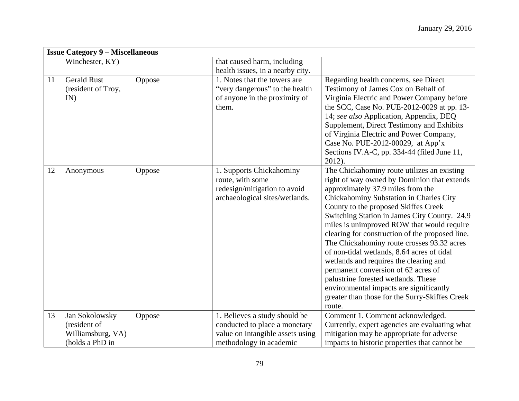|    | <b>Issue Category 9 – Miscellaneous</b>                                |        |                                                                                                                               |                                                                                                                                                                                                                                                                                                                                                                                                                                                                                                                                                                                                                                                                                                |  |
|----|------------------------------------------------------------------------|--------|-------------------------------------------------------------------------------------------------------------------------------|------------------------------------------------------------------------------------------------------------------------------------------------------------------------------------------------------------------------------------------------------------------------------------------------------------------------------------------------------------------------------------------------------------------------------------------------------------------------------------------------------------------------------------------------------------------------------------------------------------------------------------------------------------------------------------------------|--|
|    | Winchester, KY)                                                        |        | that caused harm, including<br>health issues, in a nearby city.                                                               |                                                                                                                                                                                                                                                                                                                                                                                                                                                                                                                                                                                                                                                                                                |  |
| 11 | <b>Gerald Rust</b><br>(resident of Troy,<br>IN)                        | Oppose | 1. Notes that the towers are<br>"very dangerous" to the health<br>of anyone in the proximity of<br>them.                      | Regarding health concerns, see Direct<br>Testimony of James Cox on Behalf of<br>Virginia Electric and Power Company before<br>the SCC, Case No. PUE-2012-0029 at pp. 13-<br>14; see also Application, Appendix, DEQ<br>Supplement, Direct Testimony and Exhibits<br>of Virginia Electric and Power Company,<br>Case No. PUE-2012-00029, at App'x<br>Sections IV.A-C, pp. 334-44 (filed June 11,<br>$2012$ ).                                                                                                                                                                                                                                                                                   |  |
| 12 | Anonymous                                                              | Oppose | 1. Supports Chickahominy<br>route, with some<br>redesign/mitigation to avoid<br>archaeological sites/wetlands.                | The Chickahominy route utilizes an existing<br>right of way owned by Dominion that extends<br>approximately 37.9 miles from the<br>Chickahominy Substation in Charles City<br>County to the proposed Skiffes Creek<br>Switching Station in James City County. 24.9<br>miles is unimproved ROW that would require<br>clearing for construction of the proposed line.<br>The Chickahominy route crosses 93.32 acres<br>of non-tidal wetlands, 8.64 acres of tidal<br>wetlands and requires the clearing and<br>permanent conversion of 62 acres of<br>palustrine forested wetlands. These<br>environmental impacts are significantly<br>greater than those for the Surry-Skiffes Creek<br>route. |  |
| 13 | Jan Sokolowsky<br>(resident of<br>Williamsburg, VA)<br>(holds a PhD in | Oppose | 1. Believes a study should be<br>conducted to place a monetary<br>value on intangible assets using<br>methodology in academic | Comment 1. Comment acknowledged.<br>Currently, expert agencies are evaluating what<br>mitigation may be appropriate for adverse<br>impacts to historic properties that cannot be                                                                                                                                                                                                                                                                                                                                                                                                                                                                                                               |  |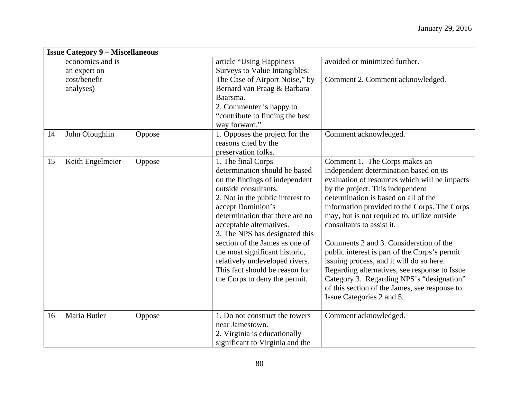|    | <b>Issue Category 9 – Miscellaneous</b> |        |                                                                                                                                                                                                                                                                                                                                                                                                                                                  |                                                                                                                                                                                                                                                                                                                                                                                                                                                                                                                                                                                                                                                      |  |  |
|----|-----------------------------------------|--------|--------------------------------------------------------------------------------------------------------------------------------------------------------------------------------------------------------------------------------------------------------------------------------------------------------------------------------------------------------------------------------------------------------------------------------------------------|------------------------------------------------------------------------------------------------------------------------------------------------------------------------------------------------------------------------------------------------------------------------------------------------------------------------------------------------------------------------------------------------------------------------------------------------------------------------------------------------------------------------------------------------------------------------------------------------------------------------------------------------------|--|--|
|    | economics and is<br>an expert on        |        | article "Using Happiness<br>Surveys to Value Intangibles:                                                                                                                                                                                                                                                                                                                                                                                        | avoided or minimized further.                                                                                                                                                                                                                                                                                                                                                                                                                                                                                                                                                                                                                        |  |  |
|    | cost/benefit<br>analyses)               |        | The Case of Airport Noise," by<br>Bernard van Praag & Barbara<br>Baarsma.<br>2. Commenter is happy to<br>"contribute to finding the best"<br>way forward."                                                                                                                                                                                                                                                                                       | Comment 2. Comment acknowledged.                                                                                                                                                                                                                                                                                                                                                                                                                                                                                                                                                                                                                     |  |  |
| 14 | John Oloughlin                          | Oppose | 1. Opposes the project for the<br>reasons cited by the<br>preservation folks.                                                                                                                                                                                                                                                                                                                                                                    | Comment acknowledged.                                                                                                                                                                                                                                                                                                                                                                                                                                                                                                                                                                                                                                |  |  |
| 15 | Keith Engelmeier                        | Oppose | 1. The final Corps<br>determination should be based<br>on the findings of independent<br>outside consultants.<br>2. Not in the public interest to<br>accept Dominion's<br>determination that there are no<br>acceptable alternatives.<br>3. The NPS has designated this<br>section of the James as one of<br>the most significant historic,<br>relatively undeveloped rivers.<br>This fact should be reason for<br>the Corps to deny the permit. | Comment 1. The Corps makes an<br>independent determination based on its<br>evaluation of resources which will be impacts<br>by the project. This independent<br>determination is based on all of the<br>information provided to the Corps. The Corps<br>may, but is not required to, utilize outside<br>consultants to assist it.<br>Comments 2 and 3. Consideration of the<br>public interest is part of the Corps's permit<br>issuing process, and it will do so here.<br>Regarding alternatives, see response to Issue<br>Category 3. Regarding NPS's "designation"<br>of this section of the James, see response to<br>Issue Categories 2 and 5. |  |  |
| 16 | Maria Butler                            | Oppose | 1. Do not construct the towers<br>near Jamestown.<br>2. Virginia is educationally<br>significant to Virginia and the                                                                                                                                                                                                                                                                                                                             | Comment acknowledged.                                                                                                                                                                                                                                                                                                                                                                                                                                                                                                                                                                                                                                |  |  |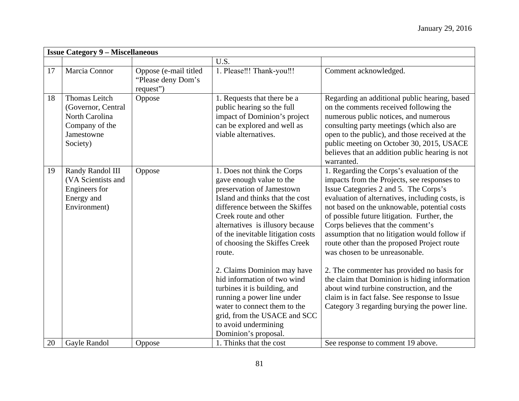|    | <b>Issue Category 9 - Miscellaneous</b>                                                                  |                                                          |                                                                                                                                                                                                                                                                                                                                                                                                                                                                                                                                                     |                                                                                                                                                                                                                                                                                                                                                                                                                                                                                                                                                                                                                                                                                                         |  |
|----|----------------------------------------------------------------------------------------------------------|----------------------------------------------------------|-----------------------------------------------------------------------------------------------------------------------------------------------------------------------------------------------------------------------------------------------------------------------------------------------------------------------------------------------------------------------------------------------------------------------------------------------------------------------------------------------------------------------------------------------------|---------------------------------------------------------------------------------------------------------------------------------------------------------------------------------------------------------------------------------------------------------------------------------------------------------------------------------------------------------------------------------------------------------------------------------------------------------------------------------------------------------------------------------------------------------------------------------------------------------------------------------------------------------------------------------------------------------|--|
|    |                                                                                                          |                                                          | U.S.                                                                                                                                                                                                                                                                                                                                                                                                                                                                                                                                                |                                                                                                                                                                                                                                                                                                                                                                                                                                                                                                                                                                                                                                                                                                         |  |
| 17 | Marcia Connor                                                                                            | Oppose (e-mail titled<br>"Please deny Dom's<br>request") | 1. Please!!! Thank-you!!!                                                                                                                                                                                                                                                                                                                                                                                                                                                                                                                           | Comment acknowledged.                                                                                                                                                                                                                                                                                                                                                                                                                                                                                                                                                                                                                                                                                   |  |
| 18 | <b>Thomas Leitch</b><br>(Governor, Central<br>North Carolina<br>Company of the<br>Jamestowne<br>Society) | Oppose                                                   | 1. Requests that there be a<br>public hearing so the full<br>impact of Dominion's project<br>can be explored and well as<br>viable alternatives.                                                                                                                                                                                                                                                                                                                                                                                                    | Regarding an additional public hearing, based<br>on the comments received following the<br>numerous public notices, and numerous<br>consulting party meetings (which also are<br>open to the public), and those received at the<br>public meeting on October 30, 2015, USACE<br>believes that an addition public hearing is not<br>warranted.                                                                                                                                                                                                                                                                                                                                                           |  |
| 19 | Randy Randol III<br>(VA Scientists and<br>Engineers for<br>Energy and<br>Environment)                    | Oppose                                                   | 1. Does not think the Corps<br>gave enough value to the<br>preservation of Jamestown<br>Island and thinks that the cost<br>difference between the Skiffes<br>Creek route and other<br>alternatives is illusory because<br>of the inevitable litigation costs<br>of choosing the Skiffes Creek<br>route.<br>2. Claims Dominion may have<br>hid information of two wind<br>turbines it is building, and<br>running a power line under<br>water to connect them to the<br>grid, from the USACE and SCC<br>to avoid undermining<br>Dominion's proposal. | 1. Regarding the Corps's evaluation of the<br>impacts from the Projects, see responses to<br>Issue Categories 2 and 5. The Corps's<br>evaluation of alternatives, including costs, is<br>not based on the unknowable, potential costs<br>of possible future litigation. Further, the<br>Corps believes that the comment's<br>assumption that no litigation would follow if<br>route other than the proposed Project route<br>was chosen to be unreasonable.<br>2. The commenter has provided no basis for<br>the claim that Dominion is hiding information<br>about wind turbine construction, and the<br>claim is in fact false. See response to Issue<br>Category 3 regarding burying the power line. |  |
| 20 | Gayle Randol                                                                                             | Oppose                                                   | 1. Thinks that the cost                                                                                                                                                                                                                                                                                                                                                                                                                                                                                                                             | See response to comment 19 above.                                                                                                                                                                                                                                                                                                                                                                                                                                                                                                                                                                                                                                                                       |  |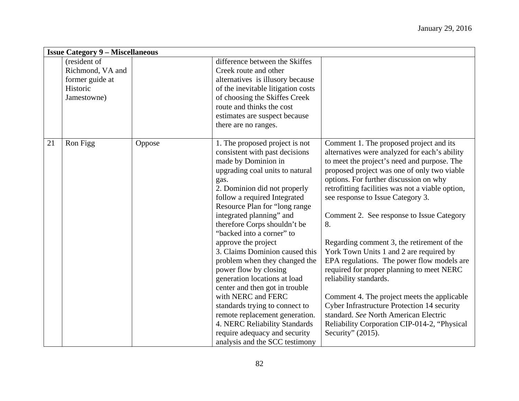|    | <b>Issue Category 9 - Miscellaneous</b> |        |                                    |                                                    |  |  |
|----|-----------------------------------------|--------|------------------------------------|----------------------------------------------------|--|--|
|    | (resident of                            |        | difference between the Skiffes     |                                                    |  |  |
|    | Richmond, VA and                        |        | Creek route and other              |                                                    |  |  |
|    | former guide at                         |        | alternatives is illusory because   |                                                    |  |  |
|    | Historic                                |        | of the inevitable litigation costs |                                                    |  |  |
|    | Jamestowne)                             |        | of choosing the Skiffes Creek      |                                                    |  |  |
|    |                                         |        | route and thinks the cost          |                                                    |  |  |
|    |                                         |        | estimates are suspect because      |                                                    |  |  |
|    |                                         |        | there are no ranges.               |                                                    |  |  |
|    |                                         |        |                                    |                                                    |  |  |
| 21 | Ron Figg                                | Oppose | 1. The proposed project is not     | Comment 1. The proposed project and its            |  |  |
|    |                                         |        | consistent with past decisions     | alternatives were analyzed for each's ability      |  |  |
|    |                                         |        | made by Dominion in                | to meet the project's need and purpose. The        |  |  |
|    |                                         |        | upgrading coal units to natural    | proposed project was one of only two viable        |  |  |
|    |                                         |        | gas.                               | options. For further discussion on why             |  |  |
|    |                                         |        | 2. Dominion did not properly       | retrofitting facilities was not a viable option,   |  |  |
|    |                                         |        | follow a required Integrated       | see response to Issue Category 3.                  |  |  |
|    |                                         |        | Resource Plan for "long range"     |                                                    |  |  |
|    |                                         |        | integrated planning" and           | Comment 2. See response to Issue Category          |  |  |
|    |                                         |        | therefore Corps shouldn't be       | 8.                                                 |  |  |
|    |                                         |        | "backed into a corner" to          |                                                    |  |  |
|    |                                         |        | approve the project                | Regarding comment 3, the retirement of the         |  |  |
|    |                                         |        | 3. Claims Dominion caused this     | York Town Units 1 and 2 are required by            |  |  |
|    |                                         |        | problem when they changed the      | EPA regulations. The power flow models are         |  |  |
|    |                                         |        | power flow by closing              | required for proper planning to meet NERC          |  |  |
|    |                                         |        | generation locations at load       | reliability standards.                             |  |  |
|    |                                         |        | center and then got in trouble     |                                                    |  |  |
|    |                                         |        | with NERC and FERC                 | Comment 4. The project meets the applicable        |  |  |
|    |                                         |        | standards trying to connect to     | <b>Cyber Infrastructure Protection 14 security</b> |  |  |
|    |                                         |        | remote replacement generation.     | standard. See North American Electric              |  |  |
|    |                                         |        | 4. NERC Reliability Standards      | Reliability Corporation CIP-014-2, "Physical       |  |  |
|    |                                         |        | require adequacy and security      | Security" $(2015)$ .                               |  |  |
|    |                                         |        | analysis and the SCC testimony     |                                                    |  |  |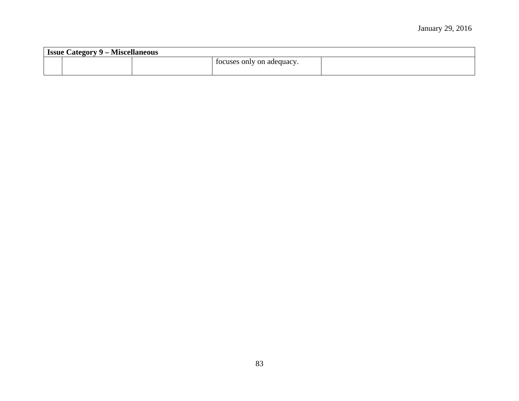| - Miscellaneous<br><b>Issue Category</b> |  |  |                           |  |
|------------------------------------------|--|--|---------------------------|--|
|                                          |  |  | focuses only on adequacy. |  |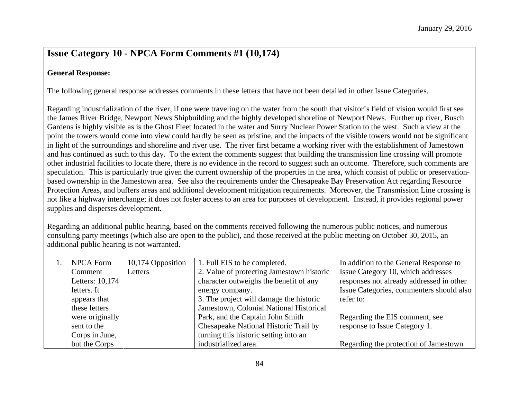### **Issue Category 10 - NPCA Form Comments #1 (10,174)**

#### **General Response:**

The following general response addresses comments in these letters that have not been detailed in other Issue Categories.

Regarding industrialization of the river, if one were traveling on the water from the south that visitor's field of vision would first see the James River Bridge, Newport News Shipbuilding and the highly developed shoreline of Newport News. Further up river, Busch Gardens is highly visible as is the Ghost Fleet located in the water and Surry Nuclear Power Station to the west. Such a view at the point the towers would come into view could hardly be seen as pristine, and the impacts of the visible towers would not be significant in light of the surroundings and shoreline and river use. The river first became a working river with the establishment of Jamestown and has continued as such to this day. To the extent the comments suggest that building the transmission line crossing will promote other industrial facilities to locate there, there is no evidence in the record to suggest such an outcome. Therefore, such comments are speculation. This is particularly true given the current ownership of the properties in the area, which consist of public or preservationbased ownership in the Jamestown area. See also the requirements under the Chesapeake Bay Preservation Act regarding Resource Protection Areas, and buffers areas and additional development mitigation requirements. Moreover, the Transmission Line crossing is not like a highway interchange; it does not foster access to an area for purposes of development. Instead, it provides regional power supplies and disperses development.

Regarding an additional public hearing, based on the comments received following the numerous public notices, and numerous consulting party meetings (which also are open to the public), and those received at the public meeting on October 30, 2015, an additional public hearing is not warranted.

| <b>NPCA Form</b> | 10,174 Opposition | 1. Full EIS to be completed.              | In addition to the General Response to   |
|------------------|-------------------|-------------------------------------------|------------------------------------------|
| Comment          | Letters           | 2. Value of protecting Jamestown historic | Issue Category 10, which addresses       |
| Letters: 10,174  |                   | character outweighs the benefit of any    | responses not already addressed in other |
| letters. It      |                   | energy company.                           | Issue Categories, commenters should also |
| appears that     |                   | 3. The project will damage the historic   | refer to:                                |
| these letters    |                   | Jamestown, Colonial National Historical   |                                          |
| were originally  |                   | Park, and the Captain John Smith          | Regarding the EIS comment, see           |
| sent to the      |                   | Chesapeake National Historic Trail by     | response to Issue Category 1.            |
| Corps in June,   |                   | turning this historic setting into an     |                                          |
| but the Corps    |                   | industrialized area.                      | Regarding the protection of Jamestown    |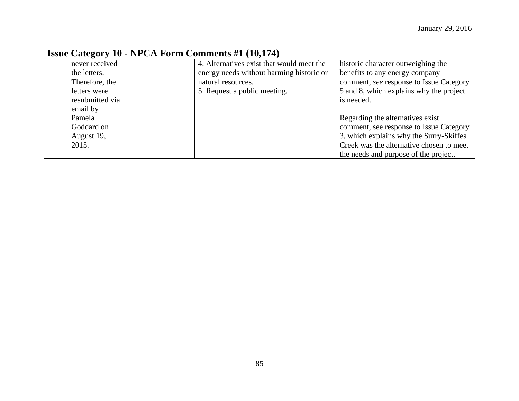| <b>Issue Category 10 - NPCA Form Comments #1 (10,174)</b> |  |                                           |                                          |  |  |
|-----------------------------------------------------------|--|-------------------------------------------|------------------------------------------|--|--|
| never received                                            |  | 4. Alternatives exist that would meet the | historic character outweighing the       |  |  |
| the letters.                                              |  | energy needs without harming historic or  | benefits to any energy company           |  |  |
| Therefore, the                                            |  | natural resources.                        | comment, see response to Issue Category  |  |  |
| letters were                                              |  | 5. Request a public meeting.              | 5 and 8, which explains why the project  |  |  |
| resubmitted via                                           |  |                                           | is needed.                               |  |  |
| email by                                                  |  |                                           |                                          |  |  |
| Pamela                                                    |  |                                           | Regarding the alternatives exist         |  |  |
| Goddard on                                                |  |                                           | comment, see response to Issue Category  |  |  |
| August 19,                                                |  |                                           | 3, which explains why the Surry-Skiffes  |  |  |
| 2015.                                                     |  |                                           | Creek was the alternative chosen to meet |  |  |
|                                                           |  |                                           | the needs and purpose of the project.    |  |  |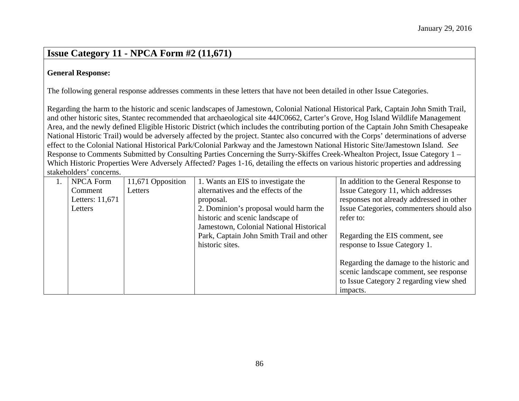## **Issue Category 11 - NPCA Form #2 (11,671)**

#### **General Response:**

The following general response addresses comments in these letters that have not been detailed in other Issue Categories.

Regarding the harm to the historic and scenic landscapes of Jamestown, Colonial National Historical Park, Captain John Smith Trail, and other historic sites, Stantec recommended that archaeological site 44JC0662, Carter's Grove, Hog Island Wildlife Management Area, and the newly defined Eligible Historic District (which includes the contributing portion of the Captain John Smith Chesapeake National Historic Trail) would be adversely affected by the project. Stantec also concurred with the Corps' determinations of adverse effect to the Colonial National Historical Park/Colonial Parkway and the Jamestown National Historic Site/Jamestown Island. *See* Response to Comments Submitted by Consulting Parties Concerning the Surry-Skiffes Creek-Whealton Project, Issue Category 1 – Which Historic Properties Were Adversely Affected? Pages 1-16, detailing the effects on various historic properties and addressing stakeholders' concerns.

| <b>NPCA Form</b> | 11,671 Opposition | 1. Wants an EIS to investigate the       | In addition to the General Response to   |
|------------------|-------------------|------------------------------------------|------------------------------------------|
| Comment          | Letters           | alternatives and the effects of the      | Issue Category 11, which addresses       |
| Letters: 11,671  |                   | proposal.                                | responses not already addressed in other |
| Letters          |                   | 2. Dominion's proposal would harm the    | Issue Categories, commenters should also |
|                  |                   | historic and scenic landscape of         | refer to:                                |
|                  |                   | Jamestown, Colonial National Historical  |                                          |
|                  |                   | Park, Captain John Smith Trail and other | Regarding the EIS comment, see           |
|                  |                   | historic sites.                          | response to Issue Category 1.            |
|                  |                   |                                          |                                          |
|                  |                   |                                          | Regarding the damage to the historic and |
|                  |                   |                                          | scenic landscape comment, see response   |
|                  |                   |                                          | to Issue Category 2 regarding view shed  |
|                  |                   |                                          | impacts.                                 |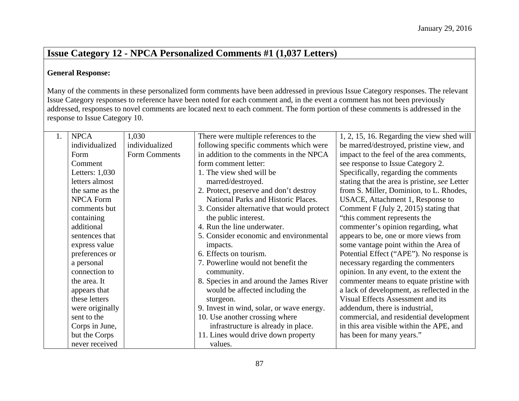# **Issue Category 12 - NPCA Personalized Comments #1 (1,037 Letters)**

#### **General Response:**

Many of the comments in these personalized form comments have been addressed in previous Issue Category responses. The relevant Issue Category responses to reference have been noted for each comment and, in the event a comment has not been previously addressed, responses to novel comments are located next to each comment. The form portion of these comments is addressed in the response to Issue Category 10.

| 1. | <b>NPCA</b>      | 1,030          | There were multiple references to the      | 1, 2, 15, 16. Regarding the view shed will    |
|----|------------------|----------------|--------------------------------------------|-----------------------------------------------|
|    | individualized   | individualized | following specific comments which were     | be marred/destroyed, pristine view, and       |
|    | Form             | Form Comments  | in addition to the comments in the NPCA    | impact to the feel of the area comments,      |
|    | Comment          |                | form comment letter:                       | see response to Issue Category 2.             |
|    | Letters: $1,030$ |                | 1. The view shed will be                   | Specifically, regarding the comments          |
|    | letters almost   |                | marred/destroyed.                          | stating that the area is pristine, see Letter |
|    | the same as the  |                | 2. Protect, preserve and don't destroy     | from S. Miller, Dominion, to L. Rhodes,       |
|    | <b>NPCA Form</b> |                | National Parks and Historic Places.        | USACE, Attachment 1, Response to              |
|    | comments but     |                | 3. Consider alternative that would protect | Comment F (July 2, 2015) stating that         |
|    | containing       |                | the public interest.                       | "this comment represents the                  |
|    | additional       |                | 4. Run the line underwater.                | commenter's opinion regarding, what           |
|    | sentences that   |                | 5. Consider economic and environmental     | appears to be, one or more views from         |
|    | express value    |                | impacts.                                   | some vantage point within the Area of         |
|    | preferences or   |                | 6. Effects on tourism.                     | Potential Effect ("APE"). No response is      |
|    | a personal       |                | 7. Powerline would not benefit the         | necessary regarding the commenters            |
|    | connection to    |                | community.                                 | opinion. In any event, to the extent the      |
|    | the area. It     |                | 8. Species in and around the James River   | commenter means to equate pristine with       |
|    | appears that     |                | would be affected including the            | a lack of development, as reflected in the    |
|    | these letters    |                | sturgeon.                                  | Visual Effects Assessment and its             |
|    | were originally  |                | 9. Invest in wind, solar, or wave energy.  | addendum, there is industrial,                |
|    | sent to the      |                | 10. Use another crossing where             | commercial, and residential development       |
|    | Corps in June,   |                | infrastructure is already in place.        | in this area visible within the APE, and      |
|    | but the Corps    |                | 11. Lines would drive down property        | has been for many years."                     |
|    | never received   |                | values.                                    |                                               |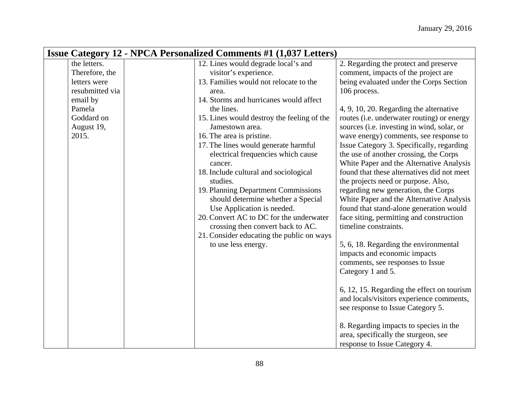| <b>Issue Category 12 - NPCA Personalized Comments #1 (1,037 Letters)</b> |                                            |                                            |  |  |  |
|--------------------------------------------------------------------------|--------------------------------------------|--------------------------------------------|--|--|--|
| the letters.                                                             | 12. Lines would degrade local's and        | 2. Regarding the protect and preserve      |  |  |  |
| Therefore, the                                                           | visitor's experience.                      | comment, impacts of the project are        |  |  |  |
| letters were                                                             | 13. Families would not relocate to the     | being evaluated under the Corps Section    |  |  |  |
| resubmitted via                                                          | area.                                      | 106 process.                               |  |  |  |
| email by                                                                 | 14. Storms and hurricanes would affect     |                                            |  |  |  |
| Pamela                                                                   | the lines.                                 | 4, 9, 10, 20. Regarding the alternative    |  |  |  |
| Goddard on                                                               | 15. Lines would destroy the feeling of the | routes (i.e. underwater routing) or energy |  |  |  |
| August 19,                                                               | Jamestown area.                            | sources (i.e. investing in wind, solar, or |  |  |  |
| 2015.                                                                    | 16. The area is pristine.                  | wave energy) comments, see response to     |  |  |  |
|                                                                          | 17. The lines would generate harmful       | Issue Category 3. Specifically, regarding  |  |  |  |
|                                                                          | electrical frequencies which cause         | the use of another crossing, the Corps     |  |  |  |
|                                                                          | cancer.                                    | White Paper and the Alternative Analysis   |  |  |  |
|                                                                          | 18. Include cultural and sociological      | found that these alternatives did not meet |  |  |  |
|                                                                          | studies.                                   | the projects need or purpose. Also,        |  |  |  |
|                                                                          | 19. Planning Department Commissions        | regarding new generation, the Corps        |  |  |  |
|                                                                          | should determine whether a Special         | White Paper and the Alternative Analysis   |  |  |  |
|                                                                          | Use Application is needed.                 | found that stand-alone generation would    |  |  |  |
|                                                                          | 20. Convert AC to DC for the underwater    | face siting, permitting and construction   |  |  |  |
|                                                                          | crossing then convert back to AC.          | timeline constraints.                      |  |  |  |
|                                                                          | 21. Consider educating the public on ways  |                                            |  |  |  |
|                                                                          | to use less energy.                        | 5, 6, 18. Regarding the environmental      |  |  |  |
|                                                                          |                                            | impacts and economic impacts               |  |  |  |
|                                                                          |                                            | comments, see responses to Issue           |  |  |  |
|                                                                          |                                            | Category 1 and 5.                          |  |  |  |
|                                                                          |                                            |                                            |  |  |  |
|                                                                          |                                            | 6, 12, 15. Regarding the effect on tourism |  |  |  |
|                                                                          |                                            | and locals/visitors experience comments,   |  |  |  |
|                                                                          |                                            | see response to Issue Category 5.          |  |  |  |
|                                                                          |                                            |                                            |  |  |  |
|                                                                          |                                            | 8. Regarding impacts to species in the     |  |  |  |
|                                                                          |                                            | area, specifically the sturgeon, see       |  |  |  |
|                                                                          |                                            | response to Issue Category 4.              |  |  |  |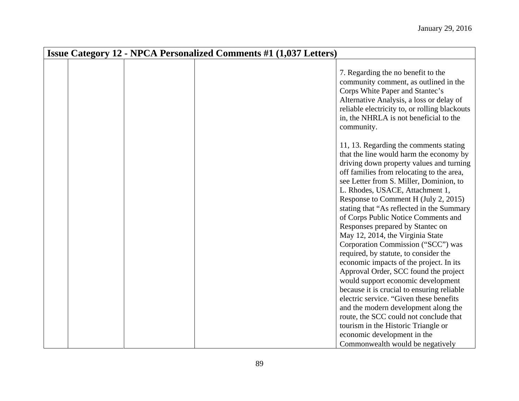| <b>Issue Category 12 - NPCA Personalized Comments #1 (1,037 Letters)</b> |  |                                                                                                                                                                                                                                                                                                                                                                                                                                                                                                                                                                                                                                 |  |  |
|--------------------------------------------------------------------------|--|---------------------------------------------------------------------------------------------------------------------------------------------------------------------------------------------------------------------------------------------------------------------------------------------------------------------------------------------------------------------------------------------------------------------------------------------------------------------------------------------------------------------------------------------------------------------------------------------------------------------------------|--|--|
|                                                                          |  | 7. Regarding the no benefit to the<br>community comment, as outlined in the<br>Corps White Paper and Stantec's<br>Alternative Analysis, a loss or delay of<br>reliable electricity to, or rolling blackouts<br>in, the NHRLA is not beneficial to the<br>community.                                                                                                                                                                                                                                                                                                                                                             |  |  |
|                                                                          |  | 11, 13. Regarding the comments stating<br>that the line would harm the economy by<br>driving down property values and turning<br>off families from relocating to the area,<br>see Letter from S. Miller, Dominion, to<br>L. Rhodes, USACE, Attachment 1,<br>Response to Comment H (July 2, 2015)<br>stating that "As reflected in the Summary<br>of Corps Public Notice Comments and<br>Responses prepared by Stantec on<br>May 12, 2014, the Virginia State<br>Corporation Commission ("SCC") was<br>required, by statute, to consider the<br>economic impacts of the project. In its<br>Approval Order, SCC found the project |  |  |
|                                                                          |  | would support economic development<br>because it is crucial to ensuring reliable<br>electric service. "Given these benefits<br>and the modern development along the<br>route, the SCC could not conclude that<br>tourism in the Historic Triangle or<br>economic development in the<br>Commonwealth would be negatively                                                                                                                                                                                                                                                                                                         |  |  |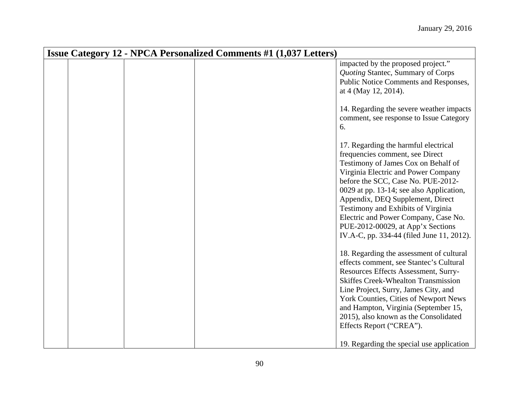| <b>Issue Category 12 - NPCA Personalized Comments #1 (1,037 Letters)</b> |  |                                                                                                                                                                                                                                                                                                                                                                                                                                             |  |  |
|--------------------------------------------------------------------------|--|---------------------------------------------------------------------------------------------------------------------------------------------------------------------------------------------------------------------------------------------------------------------------------------------------------------------------------------------------------------------------------------------------------------------------------------------|--|--|
|                                                                          |  | impacted by the proposed project."<br>Quoting Stantec, Summary of Corps<br>Public Notice Comments and Responses,<br>at 4 (May 12, 2014).                                                                                                                                                                                                                                                                                                    |  |  |
|                                                                          |  | 14. Regarding the severe weather impacts<br>comment, see response to Issue Category<br>6.                                                                                                                                                                                                                                                                                                                                                   |  |  |
|                                                                          |  | 17. Regarding the harmful electrical<br>frequencies comment, see Direct<br>Testimony of James Cox on Behalf of<br>Virginia Electric and Power Company<br>before the SCC, Case No. PUE-2012-<br>0029 at pp. 13-14; see also Application,<br>Appendix, DEQ Supplement, Direct<br>Testimony and Exhibits of Virginia<br>Electric and Power Company, Case No.<br>PUE-2012-00029, at App'x Sections<br>IV.A-C, pp. 334-44 (filed June 11, 2012). |  |  |
|                                                                          |  | 18. Regarding the assessment of cultural<br>effects comment, see Stantec's Cultural<br>Resources Effects Assessment, Surry-<br><b>Skiffes Creek-Whealton Transmission</b><br>Line Project, Surry, James City, and<br>York Counties, Cities of Newport News<br>and Hampton, Virginia (September 15,<br>2015), also known as the Consolidated<br>Effects Report ("CREA").<br>19. Regarding the special use application                        |  |  |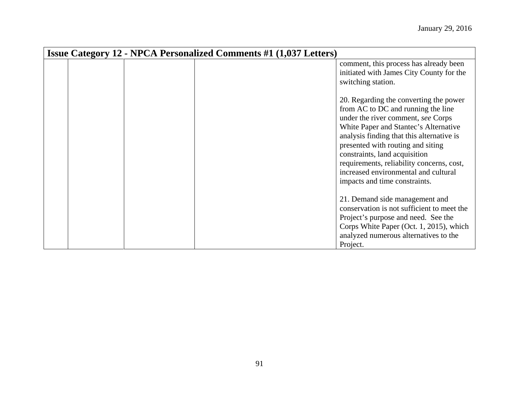|  | <b>Issue Category 12 - NPCA Personalized Comments #1 (1,037 Letters)</b> |                                                                                                                                                                                                                                                                                                                                                                                                      |
|--|--------------------------------------------------------------------------|------------------------------------------------------------------------------------------------------------------------------------------------------------------------------------------------------------------------------------------------------------------------------------------------------------------------------------------------------------------------------------------------------|
|  |                                                                          | comment, this process has already been<br>initiated with James City County for the<br>switching station.                                                                                                                                                                                                                                                                                             |
|  |                                                                          | 20. Regarding the converting the power<br>from AC to DC and running the line<br>under the river comment, see Corps<br>White Paper and Stantec's Alternative<br>analysis finding that this alternative is<br>presented with routing and siting<br>constraints, land acquisition<br>requirements, reliability concerns, cost,<br>increased environmental and cultural<br>impacts and time constraints. |
|  |                                                                          | 21. Demand side management and<br>conservation is not sufficient to meet the<br>Project's purpose and need. See the<br>Corps White Paper (Oct. 1, 2015), which<br>analyzed numerous alternatives to the<br>Project.                                                                                                                                                                                  |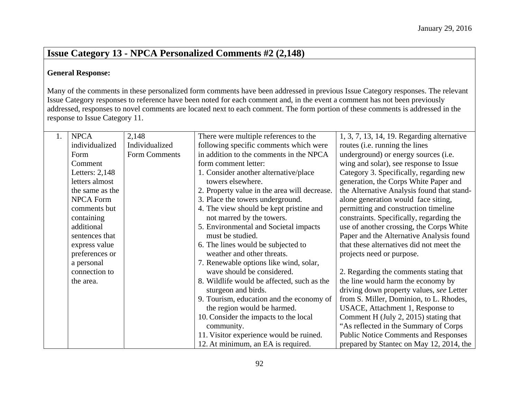# **Issue Category 13 - NPCA Personalized Comments #2 (2,148)**

#### **General Response:**

Many of the comments in these personalized form comments have been addressed in previous Issue Category responses. The relevant Issue Category responses to reference have been noted for each comment and, in the event a comment has not been previously addressed, responses to novel comments are located next to each comment. The form portion of these comments is addressed in the response to Issue Category 11.

| 1. | <b>NPCA</b>      | 2,148          | There were multiple references to the        | 1, 3, 7, 13, 14, 19. Regarding alternative  |
|----|------------------|----------------|----------------------------------------------|---------------------------------------------|
|    | individualized   | Individualized | following specific comments which were       | routes ( <i>i.e.</i> running the lines      |
|    | Form             | Form Comments  | in addition to the comments in the NPCA      | underground) or energy sources (i.e.        |
|    | Comment          |                | form comment letter:                         | wing and solar), see response to Issue      |
|    | Letters: $2,148$ |                | 1. Consider another alternative/place        | Category 3. Specifically, regarding new     |
|    | letters almost   |                | towers elsewhere.                            | generation, the Corps White Paper and       |
|    | the same as the  |                | 2. Property value in the area will decrease. | the Alternative Analysis found that stand-  |
|    | <b>NPCA Form</b> |                | 3. Place the towers underground.             | alone generation would face siting,         |
|    | comments but     |                | 4. The view should be kept pristine and      | permitting and construction timeline        |
|    | containing       |                | not marred by the towers.                    | constraints. Specifically, regarding the    |
|    | additional       |                | 5. Environmental and Societal impacts        | use of another crossing, the Corps White    |
|    | sentences that   |                | must be studied.                             | Paper and the Alternative Analysis found    |
|    | express value    |                | 6. The lines would be subjected to           | that these alternatives did not meet the    |
|    | preferences or   |                | weather and other threats.                   | projects need or purpose.                   |
|    | a personal       |                | 7. Renewable options like wind, solar,       |                                             |
|    | connection to    |                | wave should be considered.                   | 2. Regarding the comments stating that      |
|    | the area.        |                | 8. Wildlife would be affected, such as the   | the line would harm the economy by          |
|    |                  |                | sturgeon and birds.                          | driving down property values, see Letter    |
|    |                  |                | 9. Tourism, education and the economy of     | from S. Miller, Dominion, to L. Rhodes,     |
|    |                  |                | the region would be harmed.                  | USACE, Attachment 1, Response to            |
|    |                  |                | 10. Consider the impacts to the local        | Comment H (July 2, 2015) stating that       |
|    |                  |                | community.                                   | "As reflected in the Summary of Corps       |
|    |                  |                | 11. Visitor experience would be ruined.      | <b>Public Notice Comments and Responses</b> |
|    |                  |                | 12. At minimum, an EA is required.           | prepared by Stantec on May 12, 2014, the    |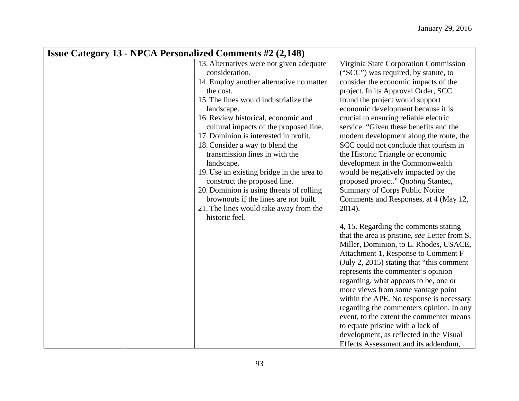| <b>Issue Category 13 - NPCA Personalized Comments #2 (2,148)</b> |  |  |                                           |                                               |  |
|------------------------------------------------------------------|--|--|-------------------------------------------|-----------------------------------------------|--|
|                                                                  |  |  | 13. Alternatives were not given adequate  | Virginia State Corporation Commission         |  |
|                                                                  |  |  | consideration.                            | ("SCC") was required, by statute, to          |  |
|                                                                  |  |  | 14. Employ another alternative no matter  | consider the economic impacts of the          |  |
|                                                                  |  |  | the cost.                                 | project. In its Approval Order, SCC           |  |
|                                                                  |  |  | 15. The lines would industrialize the     | found the project would support               |  |
|                                                                  |  |  | landscape.                                | economic development because it is            |  |
|                                                                  |  |  | 16. Review historical, economic and       | crucial to ensuring reliable electric         |  |
|                                                                  |  |  | cultural impacts of the proposed line.    | service. "Given these benefits and the        |  |
|                                                                  |  |  | 17. Dominion is interested in profit.     | modern development along the route, the       |  |
|                                                                  |  |  | 18. Consider a way to blend the           | SCC could not conclude that tourism in        |  |
|                                                                  |  |  | transmission lines in with the            | the Historic Triangle or economic             |  |
|                                                                  |  |  | landscape.                                | development in the Commonwealth               |  |
|                                                                  |  |  | 19. Use an existing bridge in the area to | would be negatively impacted by the           |  |
|                                                                  |  |  | construct the proposed line.              | proposed project." Quoting Stantec,           |  |
|                                                                  |  |  | 20. Dominion is using threats of rolling  | Summary of Corps Public Notice                |  |
|                                                                  |  |  | brownouts if the lines are not built.     | Comments and Responses, at 4 (May 12,         |  |
|                                                                  |  |  | 21. The lines would take away from the    | 2014).                                        |  |
|                                                                  |  |  | historic feel.                            |                                               |  |
|                                                                  |  |  |                                           | 4, 15. Regarding the comments stating         |  |
|                                                                  |  |  |                                           | that the area is pristine, see Letter from S. |  |
|                                                                  |  |  |                                           | Miller, Dominion, to L. Rhodes, USACE,        |  |
|                                                                  |  |  |                                           | Attachment 1, Response to Comment F           |  |
|                                                                  |  |  |                                           | (July 2, 2015) stating that "this comment"    |  |
|                                                                  |  |  |                                           | represents the commenter's opinion            |  |
|                                                                  |  |  |                                           | regarding, what appears to be, one or         |  |
|                                                                  |  |  |                                           | more views from some vantage point            |  |
|                                                                  |  |  |                                           | within the APE. No response is necessary      |  |
|                                                                  |  |  |                                           | regarding the commenters opinion. In any      |  |
|                                                                  |  |  |                                           | event, to the extent the commenter means      |  |
|                                                                  |  |  |                                           | to equate pristine with a lack of             |  |
|                                                                  |  |  |                                           | development, as reflected in the Visual       |  |
|                                                                  |  |  |                                           | Effects Assessment and its addendum,          |  |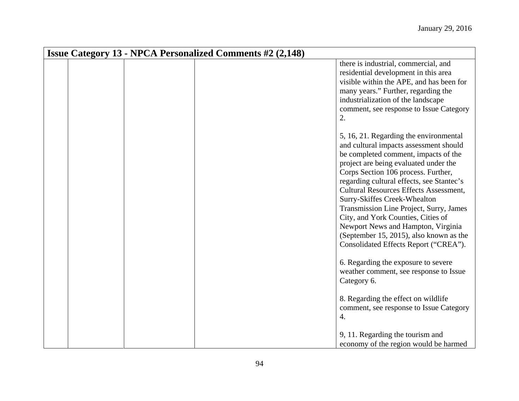|  | <b>Issue Category 13 - NPCA Personalized Comments #2 (2,148)</b>                                                                                                                                                                                                                                                                                                                                                                                                                                                                                  |
|--|---------------------------------------------------------------------------------------------------------------------------------------------------------------------------------------------------------------------------------------------------------------------------------------------------------------------------------------------------------------------------------------------------------------------------------------------------------------------------------------------------------------------------------------------------|
|  | there is industrial, commercial, and<br>residential development in this area<br>visible within the APE, and has been for<br>many years." Further, regarding the<br>industrialization of the landscape<br>comment, see response to Issue Category<br>2.                                                                                                                                                                                                                                                                                            |
|  | 5, 16, 21. Regarding the environmental<br>and cultural impacts assessment should<br>be completed comment, impacts of the<br>project are being evaluated under the<br>Corps Section 106 process. Further,<br>regarding cultural effects, see Stantec's<br><b>Cultural Resources Effects Assessment,</b><br>Surry-Skiffes Creek-Whealton<br>Transmission Line Project, Surry, James<br>City, and York Counties, Cities of<br>Newport News and Hampton, Virginia<br>(September 15, 2015), also known as the<br>Consolidated Effects Report ("CREA"). |
|  | 6. Regarding the exposure to severe<br>weather comment, see response to Issue<br>Category 6.                                                                                                                                                                                                                                                                                                                                                                                                                                                      |
|  | 8. Regarding the effect on wildlife<br>comment, see response to Issue Category<br>4.<br>9, 11. Regarding the tourism and<br>economy of the region would be harmed                                                                                                                                                                                                                                                                                                                                                                                 |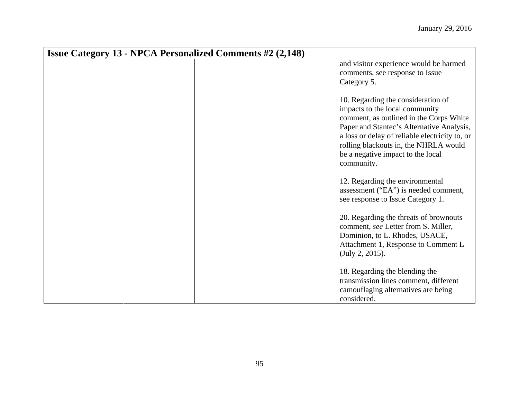| <b>Issue Category 13 - NPCA Personalized Comments #2 (2,148)</b> |  |                                                                                                                                                                                                                                                                                                            |  |  |
|------------------------------------------------------------------|--|------------------------------------------------------------------------------------------------------------------------------------------------------------------------------------------------------------------------------------------------------------------------------------------------------------|--|--|
|                                                                  |  | and visitor experience would be harmed<br>comments, see response to Issue<br>Category 5.                                                                                                                                                                                                                   |  |  |
|                                                                  |  | 10. Regarding the consideration of<br>impacts to the local community<br>comment, as outlined in the Corps White<br>Paper and Stantec's Alternative Analysis,<br>a loss or delay of reliable electricity to, or<br>rolling blackouts in, the NHRLA would<br>be a negative impact to the local<br>community. |  |  |
|                                                                  |  | 12. Regarding the environmental<br>assessment ("EA") is needed comment,<br>see response to Issue Category 1.                                                                                                                                                                                               |  |  |
|                                                                  |  | 20. Regarding the threats of brownouts<br>comment, see Letter from S. Miller,<br>Dominion, to L. Rhodes, USACE,<br>Attachment 1, Response to Comment L<br>(July 2, 2015).                                                                                                                                  |  |  |
|                                                                  |  | 18. Regarding the blending the<br>transmission lines comment, different<br>camouflaging alternatives are being<br>considered.                                                                                                                                                                              |  |  |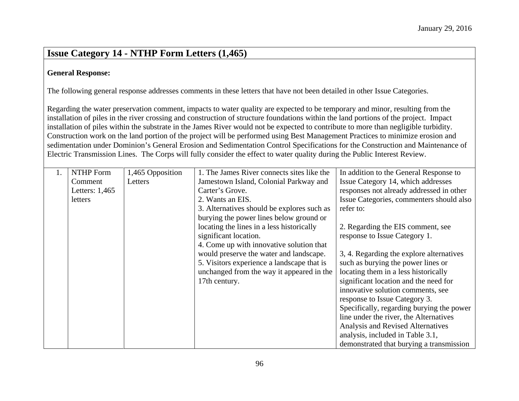### **Issue Category 14 - NTHP Form Letters (1,465)**

#### **General Response:**

The following general response addresses comments in these letters that have not been detailed in other Issue Categories.

Regarding the water preservation comment, impacts to water quality are expected to be temporary and minor, resulting from the installation of piles in the river crossing and construction of structure foundations within the land portions of the project. Impact installation of piles within the substrate in the James River would not be expected to contribute to more than negligible turbidity. Construction work on the land portion of the project will be performed using Best Management Practices to minimize erosion and sedimentation under Dominion's General Erosion and Sedimentation Control Specifications for the Construction and Maintenance of Electric Transmission Lines. The Corps will fully consider the effect to water quality during the Public Interest Review.

| 1. | <b>NTHP</b> Form | 1,465 Opposition | 1. The James River connects sites like the | In addition to the General Response to    |
|----|------------------|------------------|--------------------------------------------|-------------------------------------------|
|    | Comment          | Letters          | Jamestown Island, Colonial Parkway and     | Issue Category 14, which addresses        |
|    | Letters: 1,465   |                  | Carter's Grove.                            | responses not already addressed in other  |
|    | letters          |                  | 2. Wants an EIS.                           | Issue Categories, commenters should also  |
|    |                  |                  | 3. Alternatives should be explores such as | refer to:                                 |
|    |                  |                  | burying the power lines below ground or    |                                           |
|    |                  |                  | locating the lines in a less historically  | 2. Regarding the EIS comment, see         |
|    |                  |                  | significant location.                      | response to Issue Category 1.             |
|    |                  |                  | 4. Come up with innovative solution that   |                                           |
|    |                  |                  | would preserve the water and landscape.    | 3, 4. Regarding the explore alternatives  |
|    |                  |                  | 5. Visitors experience a landscape that is | such as burying the power lines or        |
|    |                  |                  | unchanged from the way it appeared in the  | locating them in a less historically      |
|    |                  |                  | 17th century.                              | significant location and the need for     |
|    |                  |                  |                                            | innovative solution comments, see         |
|    |                  |                  |                                            | response to Issue Category 3.             |
|    |                  |                  |                                            | Specifically, regarding burying the power |
|    |                  |                  |                                            | line under the river, the Alternatives    |
|    |                  |                  |                                            | Analysis and Revised Alternatives         |
|    |                  |                  |                                            | analysis, included in Table 3.1,          |
|    |                  |                  |                                            | demonstrated that burying a transmission  |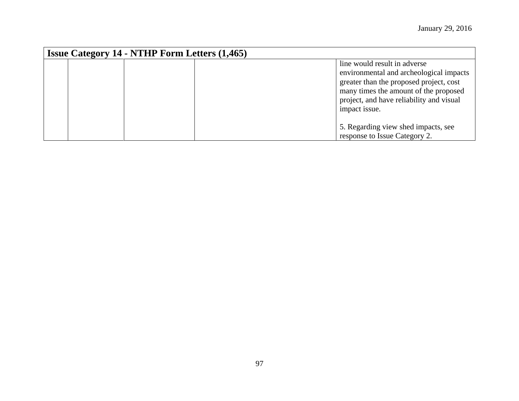| <b>Issue Category 14 - NTHP Form Letters (1,465)</b> |                                                                                                                                                                                                                          |  |  |  |
|------------------------------------------------------|--------------------------------------------------------------------------------------------------------------------------------------------------------------------------------------------------------------------------|--|--|--|
|                                                      | line would result in adverse<br>environmental and archeological impacts<br>greater than the proposed project, cost<br>many times the amount of the proposed<br>project, and have reliability and visual<br>impact issue. |  |  |  |
|                                                      | 5. Regarding view shed impacts, see<br>response to Issue Category 2.                                                                                                                                                     |  |  |  |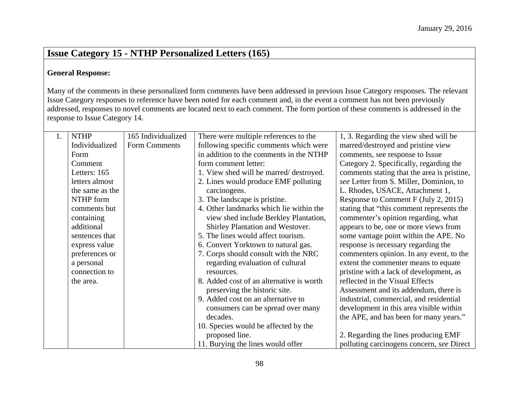# **Issue Category 15 - NTHP Personalized Letters (165)**

#### **General Response:**

Many of the comments in these personalized form comments have been addressed in previous Issue Category responses. The relevant Issue Category responses to reference have been noted for each comment and, in the event a comment has not been previously addressed, responses to novel comments are located next to each comment. The form portion of these comments is addressed in the response to Issue Category 14.

| 1. | <b>NTHP</b>     | 165 Individualized | There were multiple references to the    | 1, 3. Regarding the view shed will be       |
|----|-----------------|--------------------|------------------------------------------|---------------------------------------------|
|    | Individualized  | Form Comments      | following specific comments which were   | marred/destroyed and pristine view          |
|    | Form            |                    | in addition to the comments in the NTHP  | comments, see response to Issue             |
|    | Comment         |                    | form comment letter:                     | Category 2. Specifically, regarding the     |
|    | Letters: 165    |                    | 1. View shed will be marred/destroyed.   | comments stating that the area is pristine, |
|    | letters almost  |                    | 2. Lines would produce EMF polluting     | see Letter from S. Miller, Dominion, to     |
|    | the same as the |                    | carcinogens.                             | L. Rhodes, USACE, Attachment 1,             |
|    | NTHP form       |                    | 3. The landscape is pristine.            | Response to Comment F (July 2, 2015)        |
|    | comments but    |                    | 4. Other landmarks which lie within the  | stating that "this comment represents the   |
|    | containing      |                    | view shed include Berkley Plantation,    | commenter's opinion regarding, what         |
|    | additional      |                    | Shirley Plantation and Westover.         | appears to be, one or more views from       |
|    | sentences that  |                    | 5. The lines would affect tourism.       | some vantage point within the APE. No       |
|    | express value   |                    | 6. Convert Yorktown to natural gas.      | response is necessary regarding the         |
|    | preferences or  |                    | 7. Corps should consult with the NRC     | commenters opinion. In any event, to the    |
|    | a personal      |                    | regarding evaluation of cultural         | extent the commenter means to equate        |
|    | connection to   |                    | resources.                               | pristine with a lack of development, as     |
|    | the area.       |                    | 8. Added cost of an alternative is worth | reflected in the Visual Effects             |
|    |                 |                    | preserving the historic site.            | Assessment and its addendum, there is       |
|    |                 |                    | 9. Added cost on an alternative to       | industrial, commercial, and residential     |
|    |                 |                    | consumers can be spread over many        | development in this area visible within     |
|    |                 |                    | decades.                                 | the APE, and has been for many years."      |
|    |                 |                    | 10. Species would be affected by the     |                                             |
|    |                 |                    | proposed line.                           | 2. Regarding the lines producing EMF        |
|    |                 |                    | 11. Burying the lines would offer        | polluting carcinogens concern, see Direct   |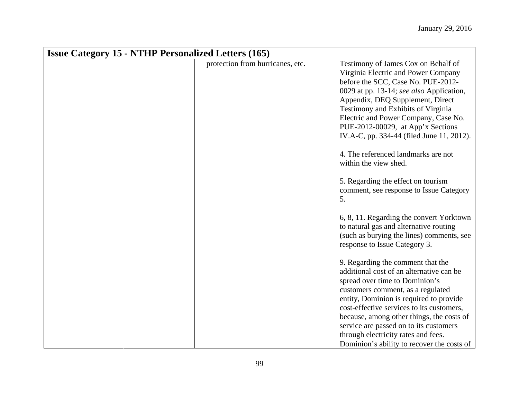| <b>Issue Category 15 - NTHP Personalized Letters (165)</b> |                                  |                                                                                                                                                                                                                                                                                                                                                                                                                          |  |  |  |
|------------------------------------------------------------|----------------------------------|--------------------------------------------------------------------------------------------------------------------------------------------------------------------------------------------------------------------------------------------------------------------------------------------------------------------------------------------------------------------------------------------------------------------------|--|--|--|
|                                                            | protection from hurricanes, etc. | Testimony of James Cox on Behalf of<br>Virginia Electric and Power Company<br>before the SCC, Case No. PUE-2012-<br>0029 at pp. 13-14; see also Application,<br>Appendix, DEQ Supplement, Direct<br>Testimony and Exhibits of Virginia<br>Electric and Power Company, Case No.<br>PUE-2012-00029, at App'x Sections<br>IV.A-C, pp. 334-44 (filed June 11, 2012).                                                         |  |  |  |
|                                                            |                                  | 4. The referenced landmarks are not<br>within the view shed.<br>5. Regarding the effect on tourism<br>comment, see response to Issue Category<br>5.                                                                                                                                                                                                                                                                      |  |  |  |
|                                                            |                                  | 6, 8, 11. Regarding the convert Yorktown<br>to natural gas and alternative routing<br>(such as burying the lines) comments, see<br>response to Issue Category 3.                                                                                                                                                                                                                                                         |  |  |  |
|                                                            |                                  | 9. Regarding the comment that the<br>additional cost of an alternative can be<br>spread over time to Dominion's<br>customers comment, as a regulated<br>entity, Dominion is required to provide<br>cost-effective services to its customers,<br>because, among other things, the costs of<br>service are passed on to its customers<br>through electricity rates and fees.<br>Dominion's ability to recover the costs of |  |  |  |